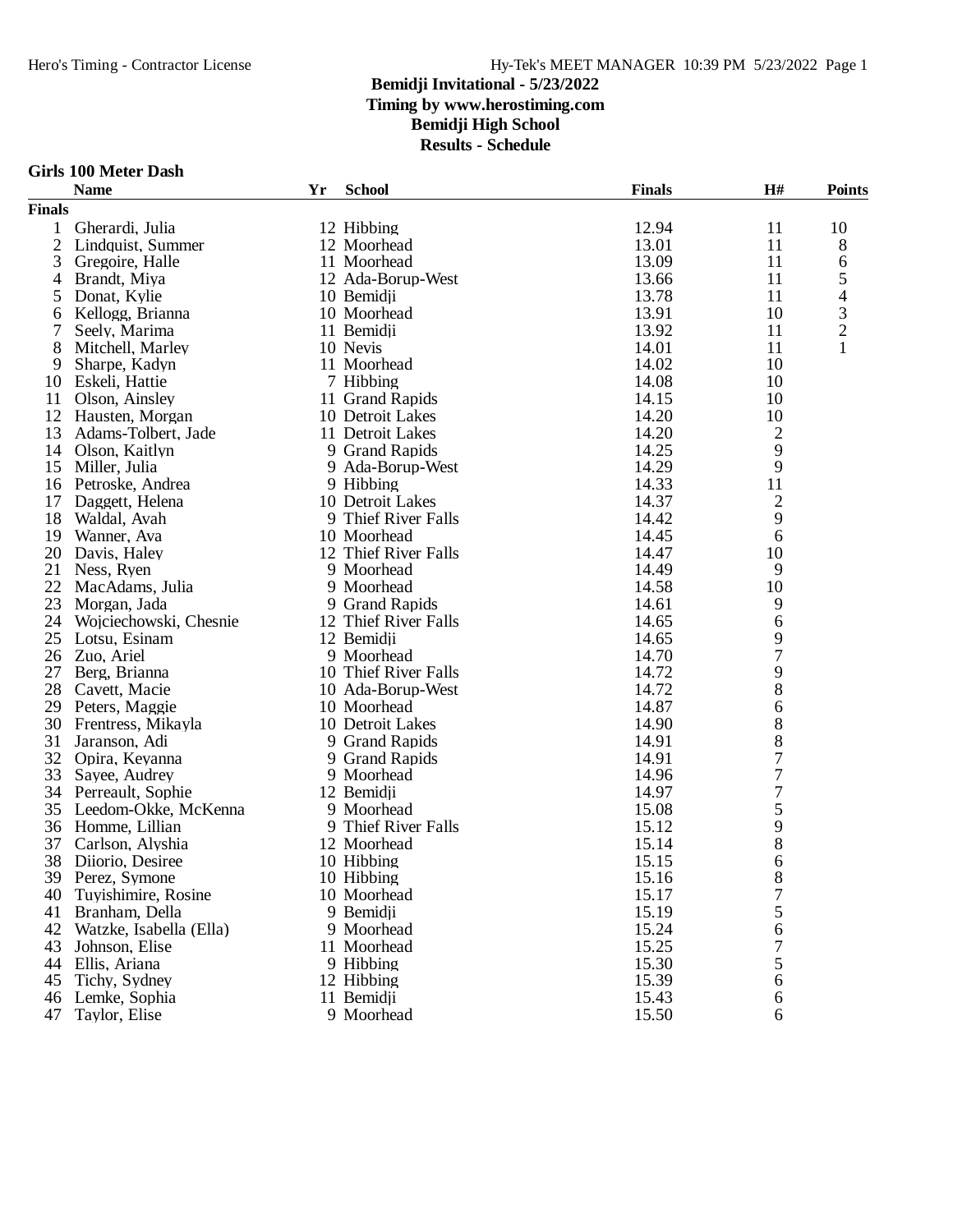|  |  | Girls 100 Meter Dash |  |
|--|--|----------------------|--|
|--|--|----------------------|--|

|                | <b>Name</b>             | Yr | <b>School</b>        | <b>Finals</b> | H#               | <b>Points</b>  |
|----------------|-------------------------|----|----------------------|---------------|------------------|----------------|
| <b>Finals</b>  |                         |    |                      |               |                  |                |
| 1              | Gherardi, Julia         |    | 12 Hibbing           | 12.94         | 11               | 10             |
| $\overline{2}$ | Lindquist, Summer       |    | 12 Moorhead          | 13.01         | 11               | 8              |
| 3              | Gregoire, Halle         |    | 11 Moorhead          | 13.09         | 11               | 6              |
| 4              | Brandt, Miya            |    | 12 Ada-Borup-West    | 13.66         | 11               | 5              |
| 5              | Donat, Kylie            |    | 10 Bemidji           | 13.78         | 11               | 4              |
| 6              | Kellogg, Brianna        |    | 10 Moorhead          | 13.91         | 10               | 3              |
| 7              | Seely, Marima           |    | 11 Bemidji           | 13.92         | 11               | $\overline{c}$ |
| 8              | Mitchell, Marley        |    | 10 Nevis             | 14.01         | 11               | 1              |
| 9              | Sharpe, Kadyn           |    | 11 Moorhead          | 14.02         | 10               |                |
| 10             | Eskeli, Hattie          |    | 7 Hibbing            | 14.08         | 10               |                |
| 11             | Olson, Ainsley          |    | 11 Grand Rapids      | 14.15         | 10               |                |
| 12             | Hausten, Morgan         |    | 10 Detroit Lakes     | 14.20         | 10               |                |
| 13             | Adams-Tolbert, Jade     |    | 11 Detroit Lakes     | 14.20         | $\overline{c}$   |                |
| 14             | Olson, Kaitlyn          |    | 9 Grand Rapids       | 14.25         | 9                |                |
| 15             | Miller, Julia           |    | 9 Ada-Borup-West     | 14.29         | 9                |                |
| 16             | Petroske, Andrea        |    | 9 Hibbing            | 14.33         | 11               |                |
| 17             | Daggett, Helena         |    | 10 Detroit Lakes     | 14.37         | $\overline{2}$   |                |
| 18             | Waldal, Avah            |    | 9 Thief River Falls  | 14.42         | 9                |                |
| 19             | Wanner, Ava             |    | 10 Moorhead          | 14.45         | 6                |                |
| 20             | Davis, Haley            |    | 12 Thief River Falls | 14.47         | 10               |                |
| 21             | Ness, Ryen              |    | 9 Moorhead           | 14.49         | 9                |                |
| 22             | MacAdams, Julia         |    | 9 Moorhead           | 14.58         | 10               |                |
| 23             | Morgan, Jada            |    | 9 Grand Rapids       | 14.61         | 9                |                |
| 24             | Wojciechowski, Chesnie  |    | 12 Thief River Falls | 14.65         | 6                |                |
| 25             | Lotsu, Esinam           |    | 12 Bemidji           | 14.65         | 9                |                |
| 26             | Zuo, Ariel              |    | 9 Moorhead           | 14.70         | 7                |                |
| 27             | Berg, Brianna           |    | 10 Thief River Falls | 14.72         | 9                |                |
| 28             | Cavett, Macie           |    | 10 Ada-Borup-West    | 14.72         | 8                |                |
| 29             | Peters, Maggie          |    | 10 Moorhead          | 14.87         | 6                |                |
| 30             | Frentress, Mikayla      |    | 10 Detroit Lakes     | 14.90         | 8                |                |
| 31             | Jaranson, Adi           |    | 9 Grand Rapids       | 14.91         | 8                |                |
| 32             | Opira, Keyanna          |    | 9 Grand Rapids       | 14.91         | $\boldsymbol{7}$ |                |
| 33             | Sayee, Audrey           |    | 9 Moorhead           | 14.96         | $\boldsymbol{7}$ |                |
| 34             | Perreault, Sophie       |    | 12 Bemidji           | 14.97         | $\boldsymbol{7}$ |                |
| 35             | Leedom-Okke, McKenna    |    | 9 Moorhead           | 15.08         | 5                |                |
| 36             | Homme, Lillian          |    | 9 Thief River Falls  | 15.12         | 9                |                |
| 37             | Carlson, Alyshia        |    | 12 Moorhead          | 15.14         | 8                |                |
| 38             | Diiorio, Desiree        |    | 10 Hibbing           | 15.15         | 6                |                |
|                | 39 Perez, Symone        |    | 10 Hibbing           | 15.16         | 8                |                |
| 40             | Tuyishimire, Rosine     |    | 10 Moorhead          | 15.17         | 7                |                |
| 41             | Branham, Della          |    | 9 Bemidji            | 15.19         | 5                |                |
| 42             | Watzke, Isabella (Ella) |    | 9 Moorhead           | 15.24         | 6                |                |
| 43             | Johnson, Elise          |    | 11 Moorhead          | 15.25         | 7                |                |
| 44             | Ellis, Ariana           |    | 9 Hibbing            | 15.30         | 5                |                |
| 45             | Tichy, Sydney           |    | 12 Hibbing           | 15.39         | 6                |                |
| 46             | Lemke, Sophia           |    | 11 Bemidji           | 15.43         | 6                |                |
| 47             | Taylor, Elise           |    | 9 Moorhead           | 15.50         | 6                |                |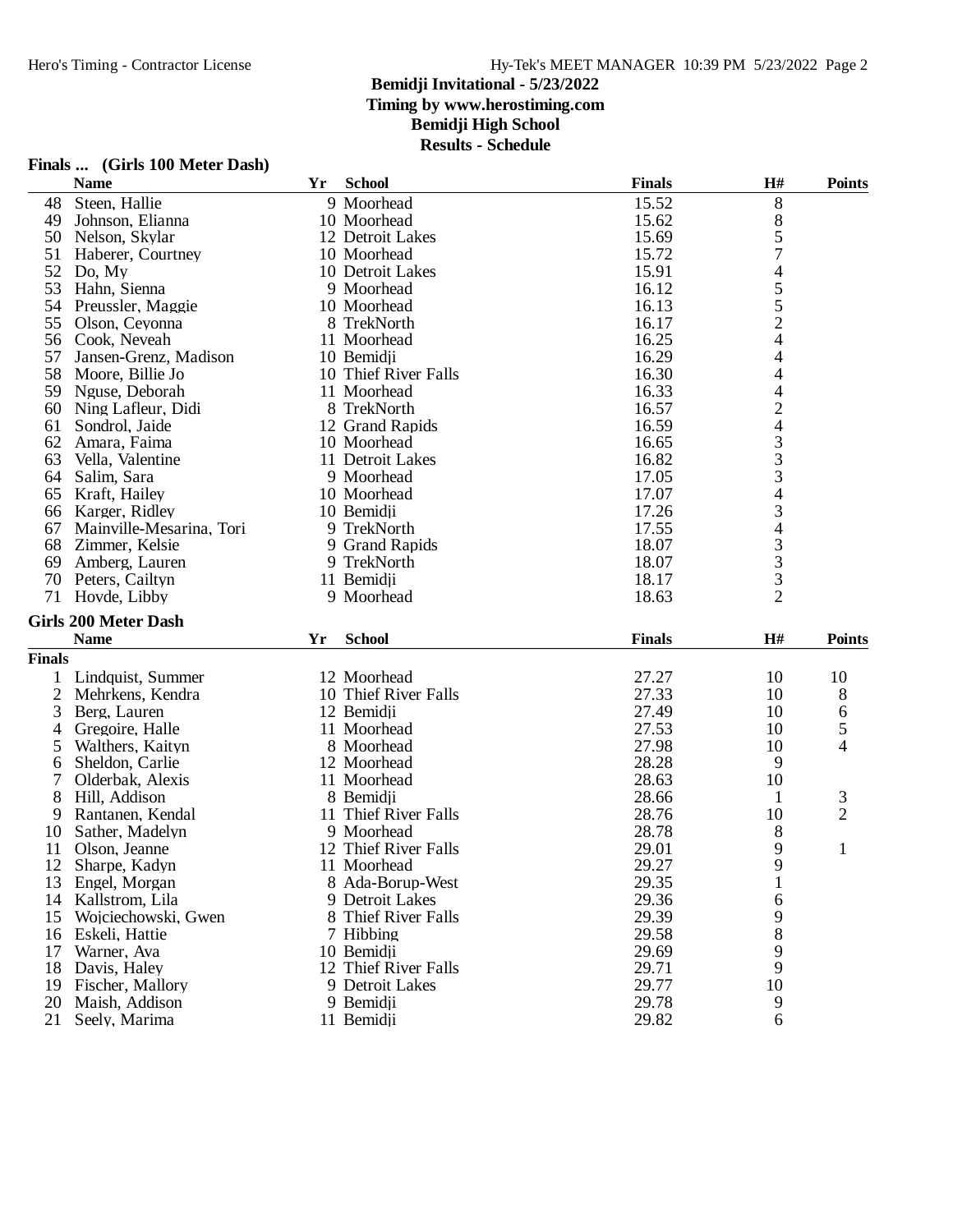|               | Finals  (Girls 100 Meter Dash) |    |                          |                |                          |                     |
|---------------|--------------------------------|----|--------------------------|----------------|--------------------------|---------------------|
|               | <b>Name</b>                    | Yr | <b>School</b>            | <b>Finals</b>  | H#                       | <b>Points</b>       |
| 48            | Steen, Hallie                  |    | 9 Moorhead               | 15.52          | 8                        |                     |
| 49            | Johnson, Elianna               |    | 10 Moorhead              | 15.62          | 8                        |                     |
| 50            | Nelson, Skylar                 |    | 12 Detroit Lakes         | 15.69          | 5                        |                     |
| 51            | Haberer, Courtney              |    | 10 Moorhead              | 15.72          | 7                        |                     |
| 52            | Do, My                         |    | 10 Detroit Lakes         | 15.91          | $\overline{\mathcal{A}}$ |                     |
| 53            | Hahn, Sienna                   |    | 9 Moorhead               | 16.12          |                          |                     |
| 54            | Preussler, Maggie              |    | 10 Moorhead              | 16.13          | $\frac{5}{5}$            |                     |
| 55            | Olson, Ceyonna                 |    | 8 TrekNorth              | 16.17          | $\overline{c}$           |                     |
| 56            | Cook, Neveah                   |    | 11 Moorhead              | 16.25          | 4                        |                     |
| 57            | Jansen-Grenz, Madison          |    | 10 Bemidji               | 16.29          | 4                        |                     |
| 58            | Moore, Billie Jo               |    | 10 Thief River Falls     | 16.30          | 4                        |                     |
| 59            | Nguse, Deborah                 |    | 11 Moorhead              | 16.33          |                          |                     |
| 60            | Ning Lafleur, Didi             |    | 8 TrekNorth              | 16.57          | 4<br>2<br>4              |                     |
| 61            | Sondrol, Jaide                 |    | 12 Grand Rapids          | 16.59          |                          |                     |
| 62            | Amara, Faima                   |    | 10 Moorhead              | 16.65          |                          |                     |
| 63            | Vella, Valentine               |    | 11 Detroit Lakes         | 16.82          | $\frac{3}{3}$            |                     |
| 64            | Salim, Sara                    |    | 9 Moorhead               | 17.05          | 3                        |                     |
| 65            | Kraft, Hailey                  |    | 10 Moorhead              | 17.07          |                          |                     |
| 66            | Karger, Ridley                 |    | 10 Bemidji               | 17.26          | $\frac{4}{3}$            |                     |
| 67            | Mainville-Mesarina, Tori       |    | 9 TrekNorth              | 17.55          | $\overline{4}$           |                     |
| 68            | Zimmer, Kelsie                 |    | 9 Grand Rapids           | 18.07          | 3                        |                     |
| 69            | Amberg, Lauren                 |    | 9 TrekNorth              | 18.07          | 3                        |                     |
| 70            | Peters, Cailtyn                |    | 11 Bemidji               | 18.17          | 3                        |                     |
|               | 71 Hovde, Libby                |    | 9 Moorhead               | 18.63          | $\overline{2}$           |                     |
|               | <b>Girls 200 Meter Dash</b>    |    |                          |                |                          |                     |
|               | <b>Name</b>                    | Yr | <b>School</b>            | <b>Finals</b>  | H#                       | <b>Points</b>       |
| <b>Finals</b> |                                |    |                          |                |                          |                     |
|               |                                |    |                          |                |                          |                     |
|               | Lindquist, Summer              |    | 12 Moorhead              | 27.27<br>27.33 | 10<br>10                 | 10                  |
| 2             | Mehrkens, Kendra               |    | 10 Thief River Falls     | 27.49          | 10                       | 8                   |
| 3             | Berg, Lauren                   |    | 12 Bemidji               |                |                          | 6                   |
| 4             | Gregoire, Halle                |    | 11 Moorhead              | 27.53<br>27.98 | 10                       | 5<br>4              |
| 5             | Walthers, Kaityn               |    | 8 Moorhead               |                | 10                       |                     |
| 6<br>7        | Sheldon, Carlie                |    | 12 Moorhead              | 28.28          | 9                        |                     |
|               | Olderbak, Alexis               |    | 11 Moorhead<br>8 Bemidii | 28.63<br>28.66 | 10                       |                     |
| 8             | Hill, Addison                  |    | 11 Thief River Falls     | 28.76          | 1                        | 3<br>$\overline{2}$ |
| 9             | Rantanen, Kendal               |    |                          |                | 10                       |                     |
| 10            | Sather, Madelyn                |    | 9 Moorhead               | 28.78          | 8<br>$\mathbf Q$         |                     |
| 11            | Olson, Jeanne                  |    | 12 Thief River Falls     | 29.01          |                          |                     |
| 12            | Sharpe, Kadyn                  |    | 11 Moorhead              | 29.27          | 9                        |                     |
| 13            | Engel, Morgan                  |    | 8 Ada-Borup-West         | 29.35          |                          |                     |
| 14            | Kallstrom, Lila                |    | 9 Detroit Lakes          | 29.36          | 6                        |                     |
| 15            | Wojciechowski, Gwen            |    | 8 Thief River Falls      | 29.39          | 9                        |                     |
| 16            | Eskeli, Hattie                 |    | 7 Hibbing                | 29.58          | 8                        |                     |
| 17            | Warner, Ava                    |    | 10 Bemidji               | 29.69          | 9                        |                     |
| 18            | Davis, Haley                   |    | 12 Thief River Falls     | 29.71          | 9                        |                     |
| 19            | Fischer, Mallory               |    | 9 Detroit Lakes          | 29.77          | 10                       |                     |
|               | 20 Maish, Addison              |    | 9 Bemidji                | 29.78          | 9                        |                     |
| 21            | Seely, Marima                  |    | 11 Bemidji               | 29.82          | 6                        |                     |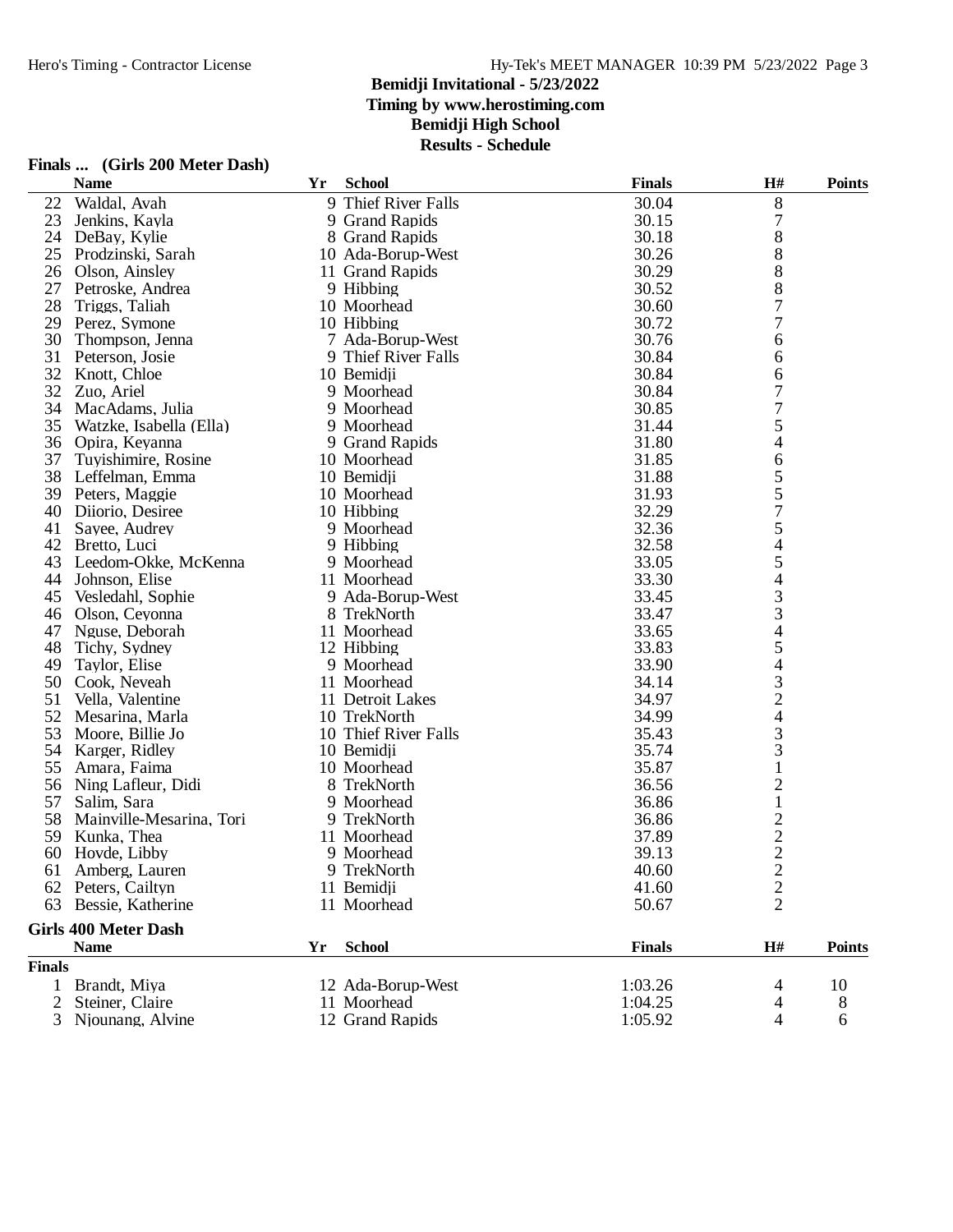**Results - Schedule**

|                | <b>Name</b>                 | Yr | <b>School</b>              | <b>Finals</b>  | H#                | <b>Points</b> |
|----------------|-----------------------------|----|----------------------------|----------------|-------------------|---------------|
| 22             | Waldal, Avah                | 9  | Thief River Falls          | 30.04          | 8                 |               |
| 23             | Jenkins, Kayla              |    | 9 Grand Rapids             | 30.15          | 7                 |               |
| 24             | DeBay, Kylie                |    | 8 Grand Rapids             | 30.18          | 8                 |               |
| 25             | Prodzinski, Sarah           |    | 10 Ada-Borup-West          | 30.26          | 8                 |               |
| 26             | Olson, Ainsley              |    | 11 Grand Rapids            | 30.29          | 8                 |               |
| 27             | Petroske, Andrea            |    | 9 Hibbing                  | 30.52          | 8                 |               |
| 28             | Triggs, Taliah              |    | 10 Moorhead                | 30.60          | 7                 |               |
| 29             | Perez, Symone               |    | 10 Hibbing                 | 30.72          | 7                 |               |
| 30             | Thompson, Jenna             |    | 7 Ada-Borup-West           | 30.76          | 6                 |               |
| 31             | Peterson, Josie             |    | 9 Thief River Falls        | 30.84          | 6                 |               |
| 32             | Knott, Chloe                |    | 10 Bemidji                 | 30.84          | 6                 |               |
| 32             | Zuo, Ariel                  |    | 9 Moorhead                 | 30.84          | 7                 |               |
| 34             | MacAdams, Julia             |    | 9 Moorhead                 | 30.85          | 7                 |               |
| 35             | Watzke, Isabella (Ella)     |    | 9 Moorhead                 | 31.44          | 5                 |               |
| 36             | Opira, Keyanna              |    | 9 Grand Rapids             | 31.80          | 4                 |               |
| 37             | Tuyishimire, Rosine         |    | 10 Moorhead                | 31.85          | 6                 |               |
| 38             | Leffelman, Emma             |    | 10 Bemidii                 | 31.88          | 5                 |               |
| 39             | Peters, Maggie              |    | 10 Moorhead                | 31.93          | 5                 |               |
| 40             | Diiorio, Desiree            |    | 10 Hibbing                 | 32.29          | $\overline{7}$    |               |
| 41             | Sayee, Audrey               |    | 9 Moorhead                 | 32.36          | 5                 |               |
| 42             | Bretto, Luci                |    | 9 Hibbing                  | 32.58          | 4                 |               |
| 43             | Leedom-Okke, McKenna        |    | 9 Moorhead                 | 33.05          | 5                 |               |
| 44             | Johnson, Elise              |    | 11 Moorhead                | 33.30          | 4                 |               |
| 45             | Vesledahl, Sophie           |    | 9 Ada-Borup-West           | 33.45          | 3                 |               |
| 46             | Olson, Ceyonna              |    | 8 TrekNorth                | 33.47          | 3                 |               |
| 47             | Nguse, Deborah              |    | 11 Moorhead                | 33.65          | $\overline{4}$    |               |
| 48             | Tichy, Sydney               |    | 12 Hibbing                 | 33.83          | 5                 |               |
| 49             | Taylor, Elise               |    | 9 Moorhead                 | 33.90          | $\overline{4}$    |               |
| 50             | Cook, Neveah                |    | 11 Moorhead                | 34.14          |                   |               |
| 51             | Vella, Valentine            |    | 11 Detroit Lakes           | 34.97          | $\frac{3}{2}$     |               |
| 52             | Mesarina, Marla             |    | 10 TrekNorth               | 34.99          |                   |               |
| 53             | Moore, Billie Jo            |    | 10 Thief River Falls       | 35.43          | 3                 |               |
| 54             |                             |    |                            | 35.74          | 3                 |               |
| 55             | Karger, Ridley              |    | 10 Bemidji                 | 35.87          |                   |               |
|                | Amara, Faima                |    | 10 Moorhead<br>8 TrekNorth |                | $\mathbf{1}$      |               |
| 56             | Ning Lafleur, Didi          |    |                            | 36.56          | $\overline{c}$    |               |
| 57             | Salim, Sara                 |    | 9 Moorhead                 | 36.86<br>36.86 | $\mathbf{1}$      |               |
| 58             | Mainville-Mesarina, Tori    |    | 9 TrekNorth                |                | $\frac{2}{2}$     |               |
| 59             | Kunka, Thea                 |    | 11 Moorhead                | 37.89          |                   |               |
| 60             | Hovde, Libby                |    | 9 Moorhead                 | 39.13          |                   |               |
|                | 61 Amberg, Lauren           |    | 9 TrekNorth                | 40.60          | $\overline{c}$    |               |
|                | 62 Peters, Cailtyn          |    | 11 Bemidji                 | 41.60          | $\overline{c}$    |               |
| 63             | Bessie, Katherine           |    | 11 Moorhead                | 50.67          | $\overline{2}$    |               |
|                | <b>Girls 400 Meter Dash</b> |    |                            |                |                   |               |
|                | <b>Name</b>                 | Yr | <b>School</b>              | <b>Finals</b>  | $\mathbf{H}^{\#}$ | <b>Points</b> |
| <b>Finals</b>  |                             |    |                            |                |                   |               |
| 1              | Brandt, Miya                |    | 12 Ada-Borup-West          | 1:03.26        | 4                 | 10            |
| $\overline{2}$ | Steiner, Claire             |    | 11 Moorhead                | 1:04.25        | 4                 | 8             |
|                | 3 Njounang, Alvine          |    | 12 Grand Rapids            | 1:05.92        | 4                 | 6             |

# **Finals ... (Girls 200 Meter Dash)**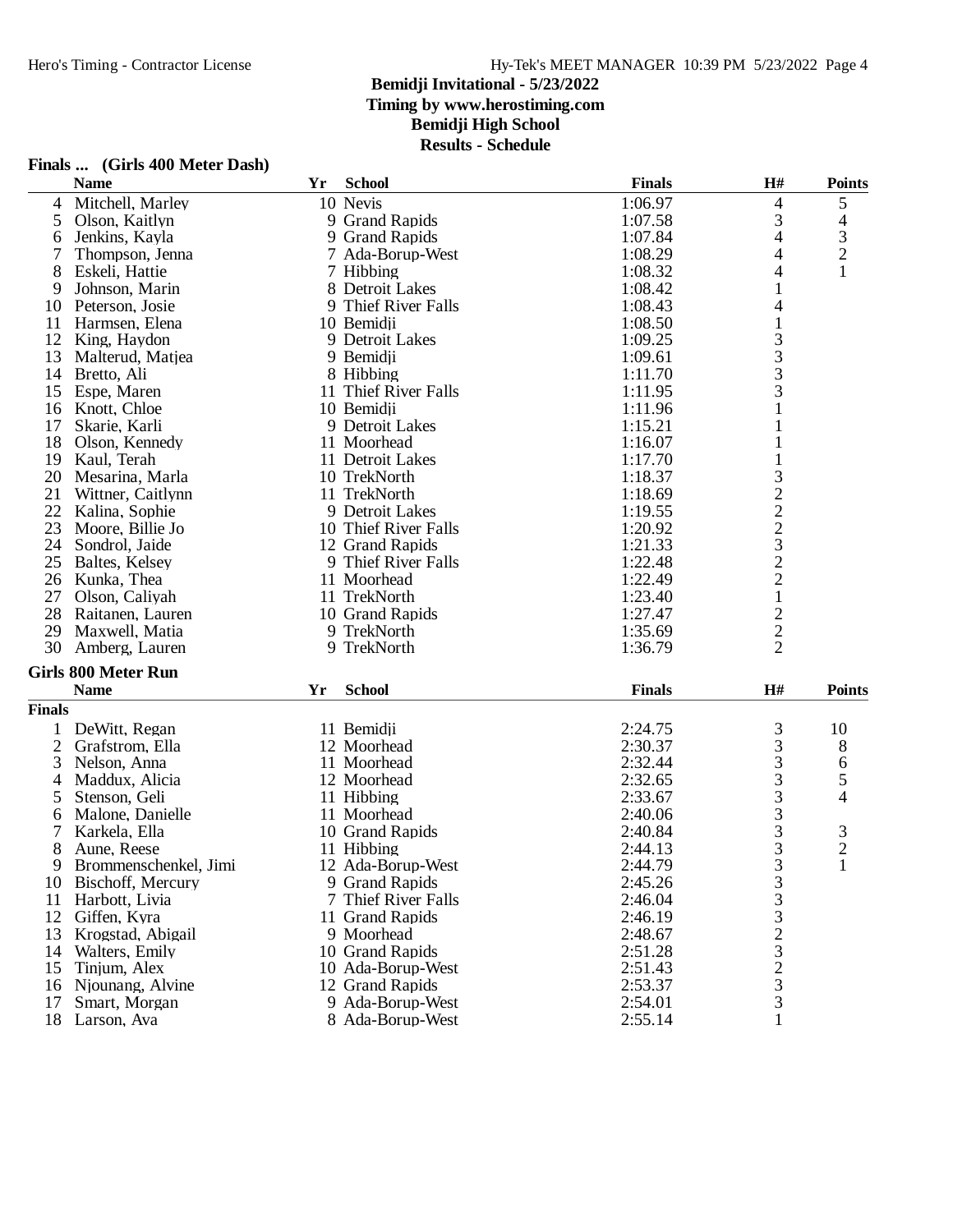**Results - Schedule**

|                | <b>Name</b>                | Yr | <b>School</b>        | <b>Finals</b> | H#                                         | <b>Points</b>  |
|----------------|----------------------------|----|----------------------|---------------|--------------------------------------------|----------------|
| 4              | Mitchell, Marley           |    | 10 Nevis             | 1:06.97       | 4                                          | 5              |
| 5              | Olson, Kaitlyn             |    | 9 Grand Rapids       | 1:07.58       | 3                                          | 4              |
| 6              | Jenkins, Kayla             |    | 9 Grand Rapids       | 1:07.84       | 4                                          | 3              |
| 7              | Thompson, Jenna            |    | 7 Ada-Borup-West     | 1:08.29       | 4                                          | $\overline{c}$ |
| 8              | Eskeli, Hattie             |    | 7 Hibbing            | 1:08.32       | 4                                          | 1              |
| 9              | Johnson, Marin             |    | 8 Detroit Lakes      | 1:08.42       |                                            |                |
| 10             | Peterson, Josie            |    | 9 Thief River Falls  | 1:08.43       | 4                                          |                |
| 11             | Harmsen, Elena             |    | 10 Bemidji           | 1:08.50       | $\mathbf{1}$                               |                |
| 12             | King, Haydon               |    | 9 Detroit Lakes      | 1:09.25       |                                            |                |
| 13             | Malterud, Matjea           |    | 9 Bemidji            | 1:09.61       | $\begin{array}{c} 3 \\ 3 \\ 3 \end{array}$ |                |
| 14             | Bretto, Ali                |    | 8 Hibbing            | 1:11.70       |                                            |                |
| 15             | Espe, Maren                |    | 11 Thief River Falls | 1:11.95       | 3                                          |                |
| 16             | Knott, Chloe               |    | 10 Bemidji           | 1:11.96       |                                            |                |
| 17             | Skarie, Karli              |    | 9 Detroit Lakes      | 1:15.21       |                                            |                |
| 18             | Olson, Kennedy             |    | 11 Moorhead          | 1:16.07       |                                            |                |
| 19             | Kaul, Terah                |    | 11 Detroit Lakes     | 1:17.70       |                                            |                |
| 20             | Mesarina, Marla            |    | 10 TrekNorth         | 1:18.37       |                                            |                |
| 21             | Wittner, Caitlynn          |    | 11 TrekNorth         | 1:18.69       | $\frac{3}{2}$                              |                |
| 22             | Kalina, Sophie             |    | 9 Detroit Lakes      | 1:19.55       |                                            |                |
| 23             | Moore, Billie Jo           |    | 10 Thief River Falls | 1:20.92       |                                            |                |
| 24             | Sondrol, Jaide             |    | 12 Grand Rapids      | 1:21.33       |                                            |                |
| 25             | Baltes, Kelsey             |    | 9 Thief River Falls  | 1:22.48       | $22322$<br>$221$                           |                |
| 26             | Kunka, Thea                |    | 11 Moorhead          | 1:22.49       |                                            |                |
| 27             | Olson, Caliyah             |    | 11 TrekNorth         | 1:23.40       |                                            |                |
| 28             | Raitanen, Lauren           |    | 10 Grand Rapids      | 1:27.47       |                                            |                |
| 29             | Maxwell, Matia             |    | 9 TrekNorth          | 1:35.69       | $\frac{2}{2}$                              |                |
| 30             | Amberg, Lauren             |    | 9 TrekNorth          | 1:36.79       | $\overline{2}$                             |                |
|                |                            |    |                      |               |                                            |                |
|                | <b>Girls 800 Meter Run</b> |    |                      |               |                                            |                |
|                | <b>Name</b>                | Yr | <b>School</b>        | <b>Finals</b> | H#                                         | <b>Points</b>  |
| <b>Finals</b>  |                            |    |                      |               |                                            |                |
| 1              | DeWitt, Regan              |    | 11 Bemidji           | 2:24.75       | 3                                          | 10             |
| $\overline{c}$ | Grafstrom, Ella            |    | 12 Moorhead          | 2:30.37       | 3                                          | 8              |
| 3              | Nelson, Anna               |    | 11 Moorhead          | 2:32.44       | 3                                          | 6              |
| 4              | Maddux, Alicia             |    | 12 Moorhead          | 2:32.65       | 3                                          | 5              |
| 5              | Stenson, Geli              |    | 11 Hibbing           | 2:33.67       | 3                                          | 4              |
| 6              | Malone, Danielle           |    | 11 Moorhead          | 2:40.06       | 3                                          |                |
| 7              | Karkela, Ella              |    | 10 Grand Rapids      | 2:40.84       | $\frac{3}{3}$                              | $\frac{3}{2}$  |
| 8              | Aune, Reese                |    | 11 Hibbing           | 2:44.13       |                                            |                |
| 9              | Brommenschenkel, Jimi      |    | 12 Ada-Borup-West    | 2:44.79       | 3                                          | 1              |
| 10             | Bischoff, Mercury          |    | 9 Grand Rapids       | 2:45.26       | $\frac{3}{3}$                              |                |
| 11             | Harbott, Livia             |    | Thief River Falls    | 2:46.04       |                                            |                |
| 12             | Giffen, Kyra               |    | 11 Grand Rapids      | 2:46.19       |                                            |                |
| 13             | Krogstad, Abigail          |    | 9 Moorhead           | 2:48.67       | $32323$<br>$333$                           |                |
| 14             | Walters, Emily             |    | 10 Grand Rapids      | 2:51.28       |                                            |                |
| 15             | Tinjum, Alex               |    | 10 Ada-Borup-West    | 2:51.43       |                                            |                |
| 16             | Njounang, Alvine           |    | 12 Grand Rapids      | 2:53.37       |                                            |                |
| 17             | Smart, Morgan              |    | 9 Ada-Borup-West     | 2:54.01       |                                            |                |
|                | 18 Larson, Ava             |    | 8 Ada-Borup-West     | 2:55.14       |                                            |                |

# **Finals ... (Girls 400 Meter Dash)**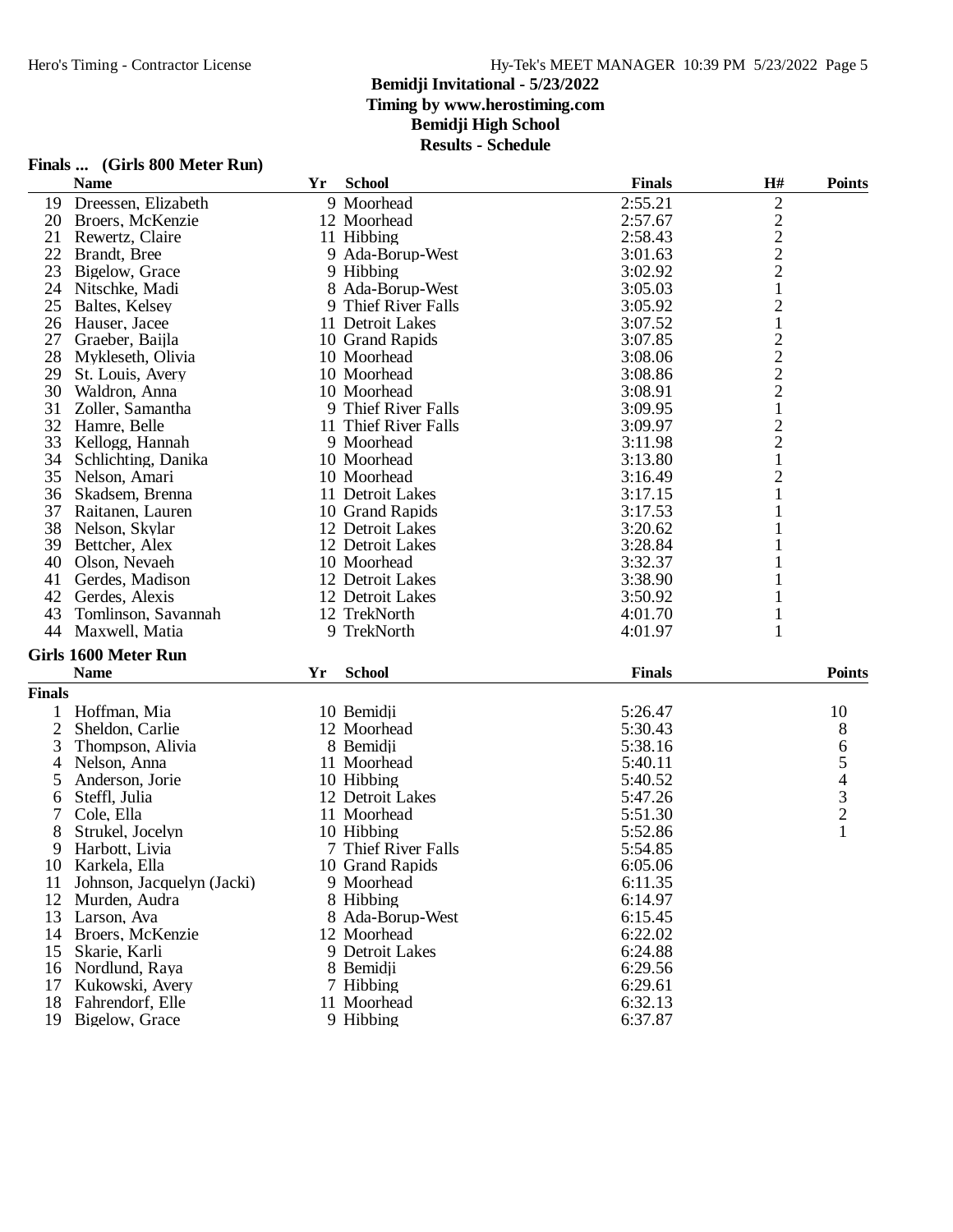**Results - Schedule**

|        | <b>Name</b>                 | Yr | <b>School</b>        | <b>Finals</b> | H#                             | <b>Points</b> |
|--------|-----------------------------|----|----------------------|---------------|--------------------------------|---------------|
| 19     | Dreessen, Elizabeth         |    | 9 Moorhead           | 2:55.21       | $\overline{2}$                 |               |
| 20     | Broers, McKenzie            |    | 12 Moorhead          | 2:57.67       |                                |               |
| 21     | Rewertz, Claire             |    | 11 Hibbing           | 2:58.43       |                                |               |
| 22     | Brandt, Bree                |    | 9 Ada-Borup-West     | 3:01.63       | $\frac{2}{2}$                  |               |
| 23     | Bigelow, Grace              |    | 9 Hibbing            | 3:02.92       | $\overline{c}$                 |               |
| 24     | Nitschke, Madi              |    | 8 Ada-Borup-West     | 3:05.03       | $\mathbf{1}$                   |               |
| 25     | Baltes, Kelsey              |    | 9 Thief River Falls  | 3:05.92       | $\overline{c}$                 |               |
| 26     | Hauser, Jacee               |    | 11 Detroit Lakes     | 3:07.52       | $\mathbf{1}$                   |               |
| 27     | Graeber, Baijla             |    | 10 Grand Rapids      | 3:07.85       |                                |               |
| 28     | Mykleseth, Olivia           |    | 10 Moorhead          | 3:08.06       |                                |               |
| 29     | St. Louis, Avery            |    | 10 Moorhead          | 3:08.86       |                                |               |
| 30     | Waldron, Anna               |    | 10 Moorhead          | 3:08.91       | $\frac{2}{2}$<br>$\frac{2}{1}$ |               |
| 31     | Zoller, Samantha            |    | 9 Thief River Falls  | 3:09.95       |                                |               |
| 32     | Hamre, Belle                |    | 11 Thief River Falls | 3:09.97       |                                |               |
| 33     | Kellogg, Hannah             |    | 9 Moorhead           | 3:11.98       | $\frac{2}{2}$                  |               |
| 34     | Schlichting, Danika         |    | 10 Moorhead          | 3:13.80       | $\mathbf{1}$                   |               |
| 35     | Nelson, Amari               |    | 10 Moorhead          | 3:16.49       | $\overline{c}$                 |               |
| 36     | Skadsem, Brenna             |    | 11 Detroit Lakes     | 3:17.15       |                                |               |
| 37     | Raitanen, Lauren            |    | 10 Grand Rapids      | 3:17.53       |                                |               |
| 38     | Nelson, Skylar              |    | 12 Detroit Lakes     | 3:20.62       |                                |               |
| 39     | Bettcher, Alex              |    | 12 Detroit Lakes     | 3:28.84       |                                |               |
| 40     | Olson, Nevaeh               |    | 10 Moorhead          | 3:32.37       |                                |               |
| 41     | Gerdes, Madison             |    | 12 Detroit Lakes     | 3:38.90       |                                |               |
| 42     | Gerdes, Alexis              |    | 12 Detroit Lakes     | 3:50.92       | 1                              |               |
| 43     | Tomlinson, Savannah         |    | 12 TrekNorth         | 4:01.70       | $\mathbf 1$                    |               |
| 44     | Maxwell, Matia              |    | 9 TrekNorth          | 4:01.97       | $\mathbf{1}$                   |               |
|        | <b>Girls 1600 Meter Run</b> |    |                      |               |                                |               |
|        | <b>Name</b>                 | Yr | <b>School</b>        | <b>Finals</b> |                                | <b>Points</b> |
| Finals |                             |    |                      |               |                                |               |
|        |                             |    |                      |               |                                |               |
|        | Hoffman, Mia                |    | 10 Bemidji           | 5:26.47       |                                | 10            |
| 2      | Sheldon, Carlie             |    | 12 Moorhead          | 5:30.43       |                                | 8             |
| 3      | Thompson, Alivia            |    | 8 Bemidji            | 5:38.16       |                                | 65432         |
| 4      | Nelson, Anna                |    | 11 Moorhead          | 5:40.11       |                                |               |
| 5      | Anderson, Jorie             |    | 10 Hibbing           | 5:40.52       |                                |               |
| 6      | Steffl, Julia               |    | 12 Detroit Lakes     | 5:47.26       |                                |               |
| 7      | Cole, Ella                  |    | 11 Moorhead          | 5:51.30       |                                |               |
| 8      | Strukel, Jocelyn            |    | 10 Hibbing           | 5:52.86       |                                | 1             |
| 9      | Harbott, Livia              |    | 7 Thief River Falls  | 5:54.85       |                                |               |
|        | 10 Karkela, Ella            |    | 10 Grand Rapids      | 6:05.06       |                                |               |
| 11     | Johnson, Jacquelyn (Jacki)  |    | 9 Moorhead           | 6:11.35       |                                |               |
| 12     | Murden, Audra               |    | 8 Hibbing            | 6:14.97       |                                |               |
| 13     | Larson, Ava                 |    | 8 Ada-Borup-West     | 6:15.45       |                                |               |
| 14     | Broers, McKenzie            |    | 12 Moorhead          | 6:22.02       |                                |               |
| 15     | Skarie, Karli               |    | 9 Detroit Lakes      | 6:24.88       |                                |               |
| 16     | Nordlund, Raya              |    | 8 Bemidii            | 6:29.56       |                                |               |
| 17     | Kukowski, Avery             |    | 7 Hibbing            | 6:29.61       |                                |               |
| 18     | Fahrendorf, Elle            |    | 11 Moorhead          | 6:32.13       |                                |               |
| 19     | Bigelow, Grace              |    | 9 Hibbing            | 6:37.87       |                                |               |

# **Finals ... (Girls 800 Meter Run)**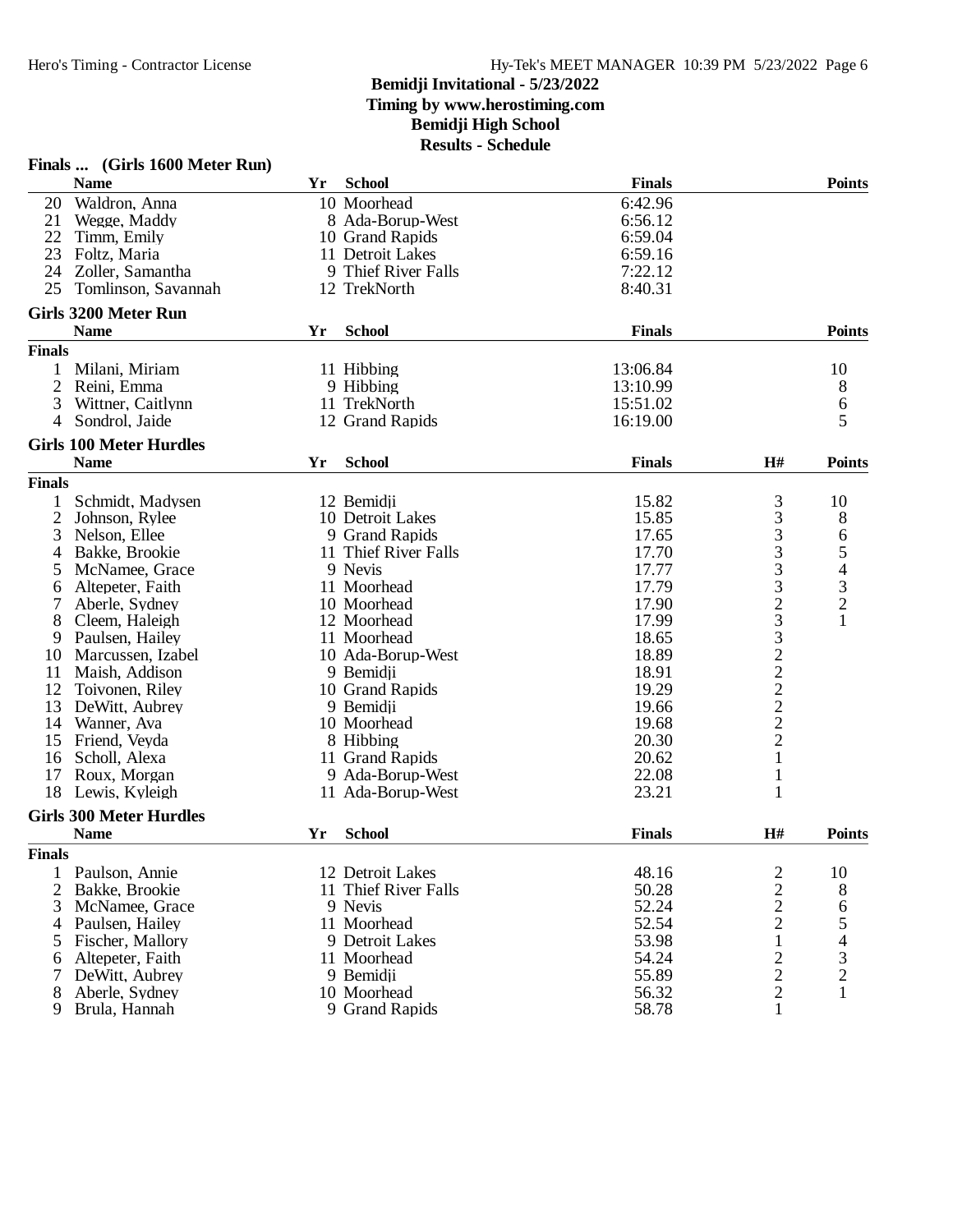|                | Finals  (Girls 1600 Meter Run) |    |                                       |                |                   |                                            |
|----------------|--------------------------------|----|---------------------------------------|----------------|-------------------|--------------------------------------------|
|                | <b>Name</b>                    | Yr | <b>School</b>                         | <b>Finals</b>  |                   | <b>Points</b>                              |
| 20             | Waldron, Anna                  |    | 10 Moorhead                           | 6:42.96        |                   |                                            |
| 21             | Wegge, Maddy                   |    | 8 Ada-Borup-West                      | 6:56.12        |                   |                                            |
| 22             | Timm, Emily                    |    | 10 Grand Rapids                       | 6:59.04        |                   |                                            |
| 23             | Foltz, Maria                   |    | 11 Detroit Lakes                      | 6:59.16        |                   |                                            |
| 24             | Zoller, Samantha               | 9  | Thief River Falls                     | 7:22.12        |                   |                                            |
| 25             | Tomlinson, Savannah            |    | 12 TrekNorth                          | 8:40.31        |                   |                                            |
|                | <b>Girls 3200 Meter Run</b>    |    |                                       |                |                   |                                            |
|                | <b>Name</b>                    | Yr | <b>School</b>                         | <b>Finals</b>  |                   | <b>Points</b>                              |
| <b>Finals</b>  |                                |    |                                       |                |                   |                                            |
| 1              | Milani, Miriam                 |    | 11 Hibbing                            | 13:06.84       |                   | 10                                         |
| $\overline{2}$ | Reini, Emma                    |    | 9 Hibbing                             | 13:10.99       |                   | 8                                          |
| 3              | Wittner, Caitlynn              |    | 11 TrekNorth                          | 15:51.02       |                   | 6                                          |
| 4              | Sondrol, Jaide                 |    | 12 Grand Rapids                       | 16:19.00       |                   | 5                                          |
|                | <b>Girls 100 Meter Hurdles</b> |    |                                       |                |                   |                                            |
|                | <b>Name</b>                    | Yr | <b>School</b>                         | <b>Finals</b>  | H#                | <b>Points</b>                              |
| <b>Finals</b>  |                                |    |                                       |                |                   |                                            |
| 1              | Schmidt, Madysen               |    | 12 Bemidji                            | 15.82          | 3                 | 10                                         |
| $\overline{2}$ | Johnson, Rylee                 |    | 10 Detroit Lakes                      | 15.85          |                   | 8                                          |
| 3              | Nelson, Ellee                  |    | 9 Grand Rapids                        | 17.65          |                   | 6                                          |
| 4              | Bakke, Brookie                 |    | 11 Thief River Falls                  | 17.70          |                   | 5                                          |
| 5              | McNamee, Grace                 |    | 9 Nevis                               | 17.77          |                   | $\overline{\mathcal{A}}$                   |
| 6              | Altepeter, Faith               |    | 11 Moorhead                           | 17.79          | 33333233222222    |                                            |
| 7              | Aberle, Sydney                 |    | 10 Moorhead                           | 17.90          |                   | $\begin{array}{c} 3 \\ 2 \\ 1 \end{array}$ |
|                | Cleem, Haleigh                 |    | 12 Moorhead                           | 17.99          |                   |                                            |
| 8              |                                |    | 11 Moorhead                           | 18.65          |                   |                                            |
| 9              | Paulsen, Hailey                |    |                                       |                |                   |                                            |
| 10             | Marcussen, Izabel              |    | 10 Ada-Borup-West                     | 18.89<br>18.91 |                   |                                            |
| 11             | Maish, Addison                 |    | 9 Bemidji                             |                |                   |                                            |
| 12             | Toivonen, Riley                |    | 10 Grand Rapids                       | 19.29          |                   |                                            |
| 13             | DeWitt, Aubrey                 |    | 9 Bemidji                             | 19.66          |                   |                                            |
| 14             | Wanner, Ava                    |    | 10 Moorhead                           | 19.68          |                   |                                            |
| 15             | Friend, Veyda                  |    | 8 Hibbing                             | 20.30          | $\mathbf{1}$      |                                            |
| 16             | Scholl, Alexa                  |    | 11 Grand Rapids                       | 20.62          |                   |                                            |
| 17<br>18       | Roux, Morgan<br>Lewis, Kyleigh |    | 9 Ada-Borup-West<br>11 Ada-Borup-West | 22.08<br>23.21 | $\mathbf{1}$<br>1 |                                            |
|                |                                |    |                                       |                |                   |                                            |
|                | <b>Girls 300 Meter Hurdles</b> |    |                                       |                |                   |                                            |
|                | <b>Name</b>                    | Yr | <b>School</b>                         | <b>Finals</b>  | H#                | <b>Points</b>                              |
| <b>Finals</b>  |                                |    |                                       |                |                   |                                            |
| 1              | Paulson, Annie                 |    | 12 Detroit Lakes                      | 48.16          | 2                 | 10                                         |
| $\overline{2}$ | Bakke, Brookie                 |    | 11 Thief River Falls                  | 50.28          | $\frac{2}{2}$     | 8                                          |
| 3              | McNamee, Grace                 |    | 9 Nevis                               | 52.24          |                   | 6                                          |
| 4              | Paulsen, Hailey                |    | 11 Moorhead                           | 52.54          | $\overline{c}$    | 5                                          |
| 5              | Fischer, Mallory               |    | 9 Detroit Lakes                       | 53.98          | $\mathbf{1}$      | 4                                          |
| 6              | Altepeter, Faith               |    | 11 Moorhead                           | 54.24          | $\frac{2}{2}$     | $\frac{3}{2}$                              |
|                | DeWitt, Aubrey                 |    | 9 Bemidji                             | 55.89          |                   |                                            |
| 8              | Aberle, Sydney                 |    | 10 Moorhead                           | 56.32          | $\frac{2}{1}$     | $\mathbf{1}$                               |
| 9              | Brula, Hannah                  |    | 9 Grand Rapids                        | 58.78          |                   |                                            |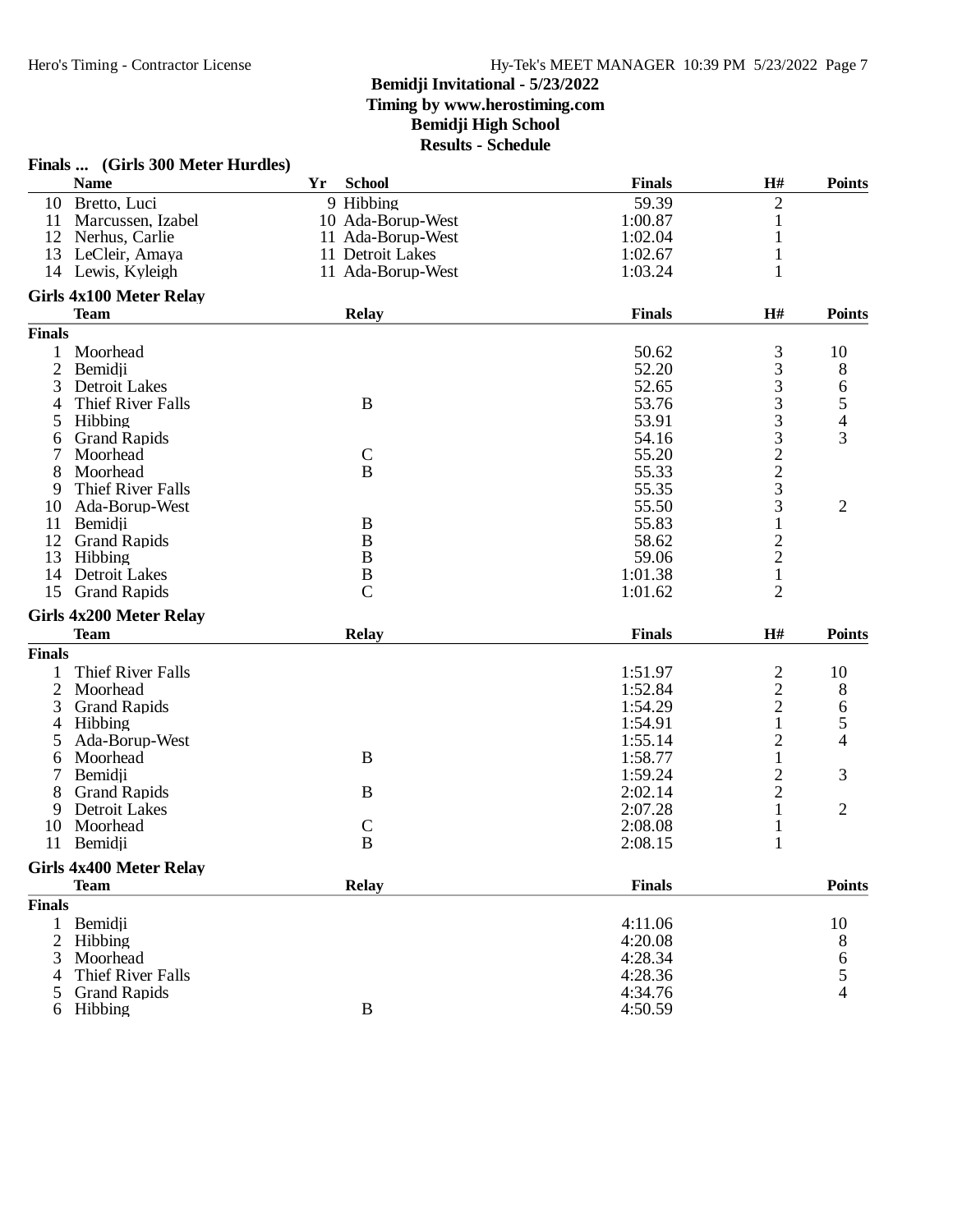|               | Finals  (Girls 300 Meter Hurdles) |    |                   |               |                |                          |
|---------------|-----------------------------------|----|-------------------|---------------|----------------|--------------------------|
|               | <b>Name</b>                       | Yr | <b>School</b>     | <b>Finals</b> | H#             | <b>Points</b>            |
|               | 10 Bretto, Luci                   |    | 9 Hibbing         | 59.39         | 2              |                          |
| 11            | Marcussen, Izabel                 |    | 10 Ada-Borup-West | 1:00.87       | 1              |                          |
| 12            | Nerhus, Carlie                    |    | 11 Ada-Borup-West | 1:02.04       | $\mathbf{1}$   |                          |
| 13            | LeCleir, Amaya                    |    | 11 Detroit Lakes  | 1:02.67       | 1              |                          |
|               | 14 Lewis, Kyleigh                 |    | 11 Ada-Borup-West | 1:03.24       | $\mathbf{1}$   |                          |
|               | <b>Girls 4x100 Meter Relay</b>    |    |                   |               |                |                          |
|               | <b>Team</b>                       |    | <b>Relay</b>      | <b>Finals</b> | H#             | <b>Points</b>            |
| <b>Finals</b> |                                   |    |                   |               |                |                          |
| 1             | Moorhead                          |    |                   | 50.62         | 3              | 10                       |
| 2             | Bemidji                           |    |                   | 52.20         | 3              | 8                        |
| 3             | <b>Detroit Lakes</b>              |    |                   | 52.65         | 3              | 6                        |
| 4             | Thief River Falls                 |    | B                 | 53.76         | 3              | 5                        |
| 5             | Hibbing                           |    |                   | 53.91         | 3              | $\overline{\mathcal{A}}$ |
| 6             | <b>Grand Rapids</b>               |    |                   | 54.16         | 3              | 3                        |
| 7             | Moorhead                          |    | $\mathbf C$       | 55.20         | $\overline{c}$ |                          |
| 8             | Moorhead                          |    | $\overline{B}$    | 55.33         | $\overline{c}$ |                          |
| 9             | Thief River Falls                 |    |                   | 55.35         | 3              |                          |
| 10            | Ada-Borup-West                    |    |                   | 55.50         | 3              | $\overline{2}$           |
| 11            | Bemidji                           |    | B                 | 55.83         | $\mathbf{1}$   |                          |
| 12            | <b>Grand Rapids</b>               |    | $\boldsymbol{B}$  | 58.62         |                |                          |
| 13            | Hibbing                           |    | $\bf{B}$          | 59.06         | $\frac{2}{2}$  |                          |
| 14            | Detroit Lakes                     |    | $\bf{B}$          | 1:01.38       | $\mathbf{1}$   |                          |
| 15            | <b>Grand Rapids</b>               |    | $\overline{C}$    | 1:01.62       | $\overline{2}$ |                          |
|               | <b>Girls 4x200 Meter Relay</b>    |    |                   |               |                |                          |
|               | <b>Team</b>                       |    | <b>Relay</b>      | <b>Finals</b> | H#             | <b>Points</b>            |
| <b>Finals</b> |                                   |    |                   |               |                |                          |
| 1             | Thief River Falls                 |    |                   | 1:51.97       | $\overline{c}$ | 10                       |
| 2             | Moorhead                          |    |                   | 1:52.84       | $\overline{c}$ | 8                        |
| 3             | <b>Grand Rapids</b>               |    |                   | 1:54.29       | $\overline{c}$ | 6                        |
| 4             | Hibbing                           |    |                   | 1:54.91       | 1              | 5                        |
| 5             | Ada-Borup-West                    |    |                   | 1:55.14       | $\overline{c}$ | 4                        |
| 6             | Moorhead                          |    | B                 | 1:58.77       | 1              |                          |
| 7             | Bemidji                           |    |                   | 1:59.24       | $\overline{c}$ | 3                        |
| 8             | <b>Grand Rapids</b>               |    | B                 | 2:02.14       | $\overline{c}$ |                          |
| 9             | <b>Detroit Lakes</b>              |    |                   | 2:07.28       | 1              | 2                        |
| 10            | Moorhead                          |    | $\mathsf{C}$      | 2:08.08       | 1              |                          |
| 11            | Bemidji                           |    | $\bf{B}$          | 2:08.15       | $\mathbf{1}$   |                          |
|               | <b>Girls 4x400 Meter Relay</b>    |    |                   |               |                |                          |
|               | <b>Team</b>                       |    | <b>Relay</b>      | <b>Finals</b> |                | <b>Points</b>            |
| <b>Finals</b> |                                   |    |                   |               |                |                          |
| 1             | Bemidji                           |    |                   | 4:11.06       |                | 10                       |
| 2             | Hibbing                           |    |                   | 4:20.08       |                | 8                        |
| 3             | Moorhead                          |    |                   | 4:28.34       |                | 6                        |
|               | Thief River Falls                 |    |                   | 4:28.36       |                | 5                        |
| 5             | <b>Grand Rapids</b>               |    |                   | 4:34.76       |                | 4                        |
| 6             | Hibbing                           |    | $\, {\bf B}$      | 4:50.59       |                |                          |
|               |                                   |    |                   |               |                |                          |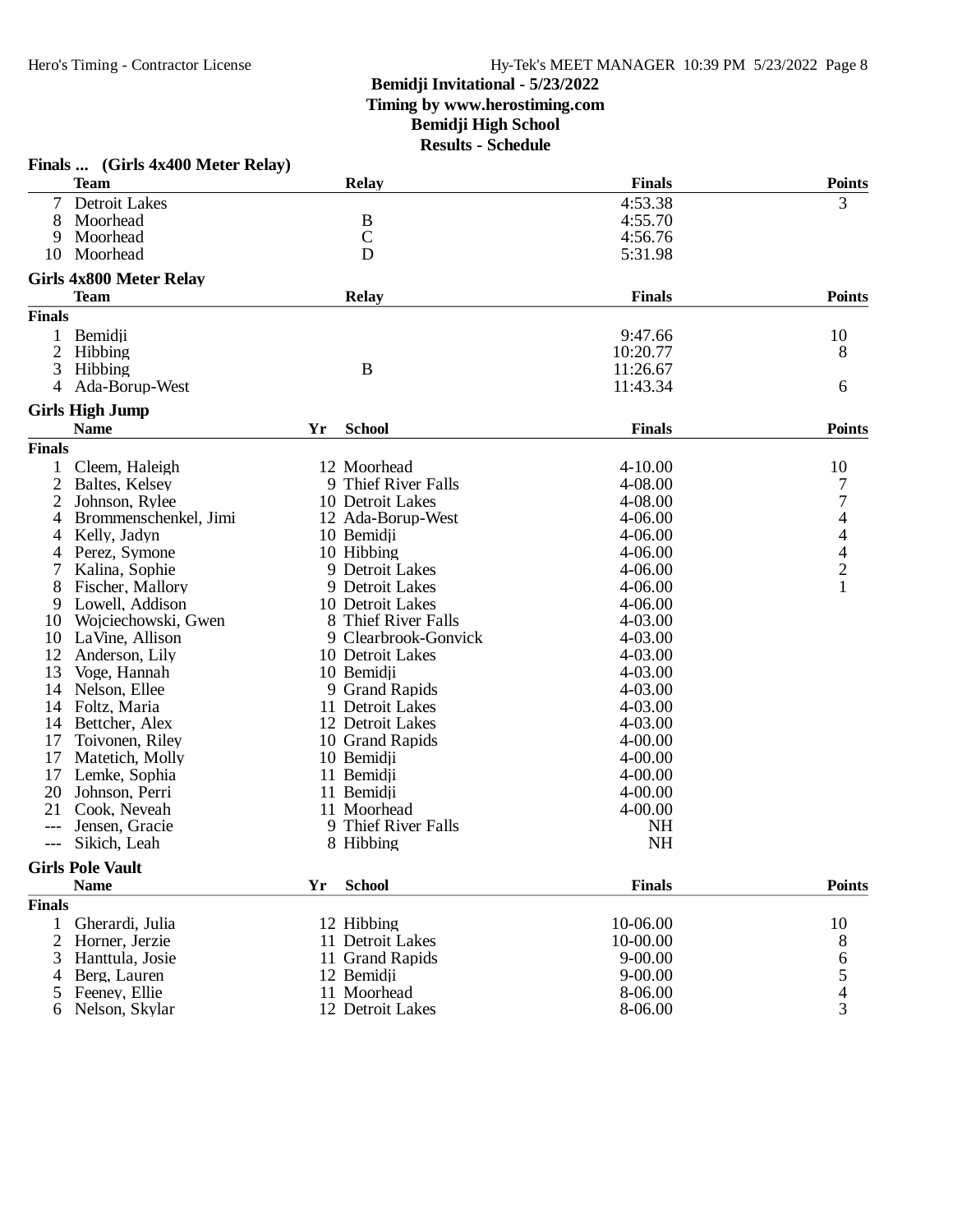### **Bemidji Invitational - 5/23/2022 Timing by www.herostiming.com**

### **Bemidji High School**

|                | Finals  (Girls 4x400 Meter Relay)      |    |                      |               |                                                 |
|----------------|----------------------------------------|----|----------------------|---------------|-------------------------------------------------|
|                | <b>Team</b>                            |    | <b>Relay</b>         | <b>Finals</b> | <b>Points</b>                                   |
|                | Detroit Lakes                          |    |                      | 4:53.38       | 3                                               |
| 8              | Moorhead                               |    | B                    | 4:55.70       |                                                 |
| 9              | Moorhead                               |    | $\mathbf C$          | 4:56.76       |                                                 |
| 10             | Moorhead                               |    | D                    | 5:31.98       |                                                 |
|                | <b>Girls 4x800 Meter Relay</b>         |    |                      |               |                                                 |
|                | <b>Team</b>                            |    | <b>Relay</b>         | <b>Finals</b> | <b>Points</b>                                   |
| <b>Finals</b>  |                                        |    |                      |               |                                                 |
| 1              | Bemidji                                |    |                      | 9:47.66       | 10                                              |
| $\overline{c}$ | Hibbing                                |    |                      | 10:20.77      | 8                                               |
| 3              | Hibbing                                |    | B                    | 11:26.67      |                                                 |
| 4              | Ada-Borup-West                         |    |                      | 11:43.34      | 6                                               |
|                | <b>Girls High Jump</b>                 |    |                      |               |                                                 |
|                | <b>Name</b>                            | Yr | <b>School</b>        | <b>Finals</b> | <b>Points</b>                                   |
| <b>Finals</b>  |                                        |    |                      |               |                                                 |
|                | Cleem, Haleigh                         |    | 12 Moorhead          | $4 - 10.00$   | 10                                              |
| 2              | Baltes, Kelsey                         |    | 9 Thief River Falls  | 4-08.00       | 7                                               |
| 2              | Johnson, Rylee                         |    | 10 Detroit Lakes     | 4-08.00       | 7                                               |
| 4              | Brommenschenkel, Jimi                  |    | 12 Ada-Borup-West    | $4 - 06.00$   | $\overline{4}$                                  |
| 4              | Kelly, Jadyn                           |    | 10 Bemidji           | $4 - 06.00$   |                                                 |
| 4              | Perez, Symone                          |    | 10 Hibbing           | $4 - 06.00$   |                                                 |
| 7              | Kalina, Sophie                         |    | 9 Detroit Lakes      | $4 - 06.00$   |                                                 |
| 8              | Fischer, Mallory                       |    | 9 Detroit Lakes      | $4 - 06.00$   | $\begin{array}{c} 4 \\ 4 \\ 2 \\ 1 \end{array}$ |
| 9              | Lowell, Addison                        |    | 10 Detroit Lakes     | $4 - 06.00$   |                                                 |
| 10             | Wojciechowski, Gwen                    |    | 8 Thief River Falls  | 4-03.00       |                                                 |
| 10             | LaVine, Allison                        |    | 9 Clearbrook-Gonvick | 4-03.00       |                                                 |
| 12             | Anderson, Lily                         |    | 10 Detroit Lakes     | 4-03.00       |                                                 |
| 13             | Voge, Hannah                           |    | 10 Bemidji           | 4-03.00       |                                                 |
| 14             | Nelson, Ellee                          |    | 9 Grand Rapids       | 4-03.00       |                                                 |
| 14             | Foltz, Maria                           |    | 11 Detroit Lakes     | 4-03.00       |                                                 |
| 14             | Bettcher, Alex                         |    | 12 Detroit Lakes     | 4-03.00       |                                                 |
| 17             | Toivonen, Riley                        |    | 10 Grand Rapids      | $4 - 00.00$   |                                                 |
| 17             | Matetich, Molly                        |    | 10 Bemidji           | $4 - 00.00$   |                                                 |
| 17             | Lemke, Sophia                          |    | 11 Bemidji           | $4 - 00.00$   |                                                 |
| 20             | Johnson, Perri                         |    | 11 Bemidji           | $4 - 00.00$   |                                                 |
| 21             | Cook, Neveah                           |    | 11 Moorhead          | $4 - 00.00$   |                                                 |
|                | Jensen, Gracie                         |    | 9 Thief River Falls  | <b>NH</b>     |                                                 |
| $---$          | Sikich, Leah                           |    | 8 Hibbing            | <b>NH</b>     |                                                 |
|                |                                        |    |                      |               |                                                 |
|                | <b>Girls Pole Vault</b><br><b>Name</b> | Yr | <b>School</b>        | <b>Finals</b> | <b>Points</b>                                   |
|                |                                        |    |                      |               |                                                 |
| <b>Finals</b>  |                                        |    |                      |               |                                                 |
| 1              | Gherardi, Julia                        |    | 12 Hibbing           | 10-06.00      | 10                                              |
| 2              | Horner, Jerzie                         |    | 11 Detroit Lakes     | 10-00.00      | 8                                               |
| 3              | Hanttula, Josie                        |    | 11 Grand Rapids      | $9 - 00.00$   | 6<br>5<br>4                                     |
| 4              | Berg, Lauren                           |    | 12 Bemidji           | $9 - 00.00$   |                                                 |
| 5              | Feeney, Ellie                          |    | 11 Moorhead          | 8-06.00       |                                                 |
| 6              | Nelson, Skylar                         |    | 12 Detroit Lakes     | 8-06.00       | $\overline{3}$                                  |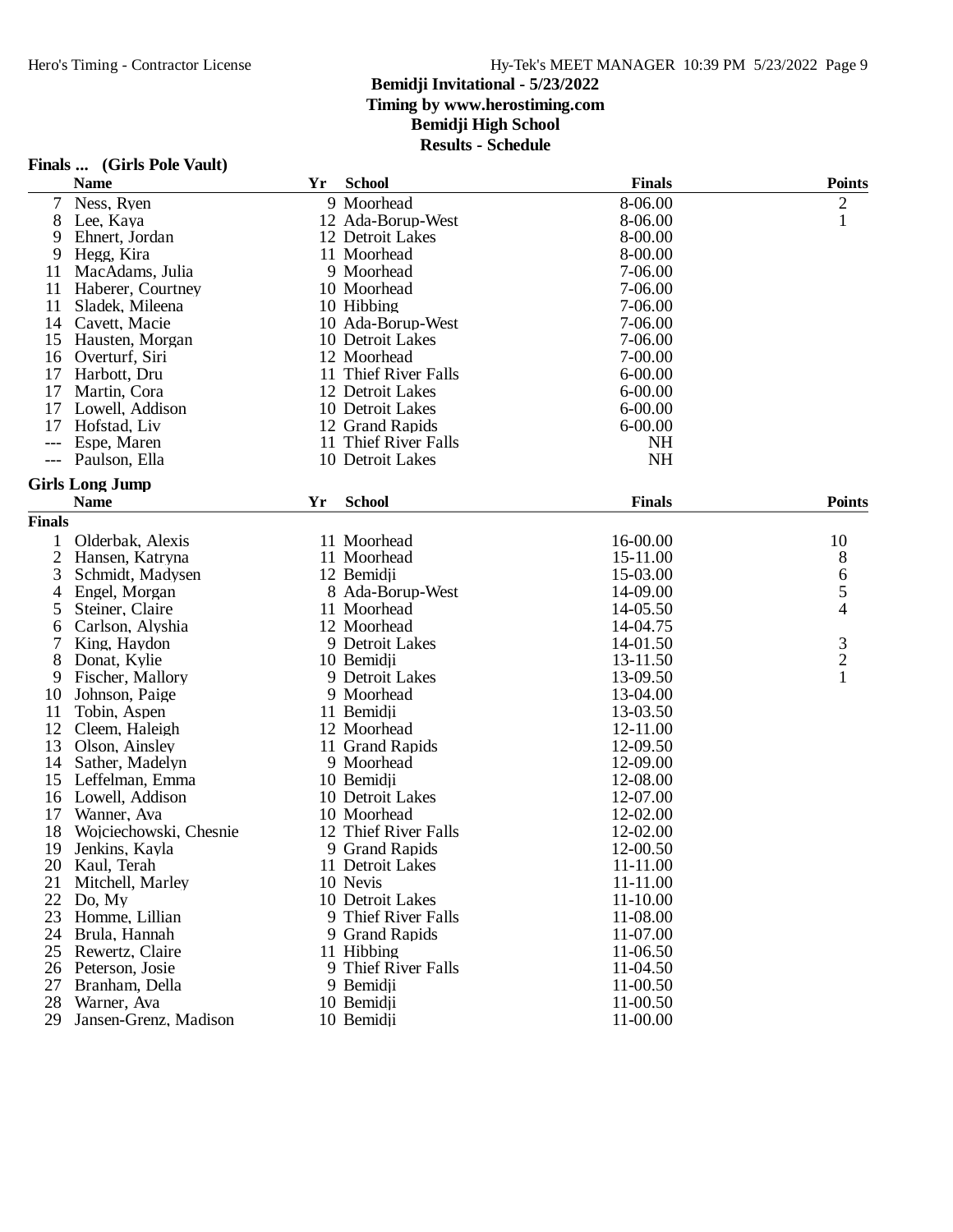|                | Finals  (Girls Pole Vault) |    |                      |               |                |
|----------------|----------------------------|----|----------------------|---------------|----------------|
|                | <b>Name</b>                | Yr | <b>School</b>        | <b>Finals</b> | <b>Points</b>  |
|                | Ness, Ryen                 |    | 9 Moorhead           | 8-06.00       | $\overline{c}$ |
| 8              | Lee, Kaya                  |    | 12 Ada-Borup-West    | 8-06.00       | 1              |
| 9              | Ehnert, Jordan             |    | 12 Detroit Lakes     | 8-00.00       |                |
| 9              | Hegg, Kira                 |    | 11 Moorhead          | 8-00.00       |                |
| 11             | MacAdams, Julia            |    | 9 Moorhead           | 7-06.00       |                |
| 11             | Haberer, Courtney          |    | 10 Moorhead          | 7-06.00       |                |
| 11             | Sladek, Mileena            |    | 10 Hibbing           | 7-06.00       |                |
| 14             | Cavett, Macie              |    | 10 Ada-Borup-West    | 7-06.00       |                |
| 15             | Hausten, Morgan            |    | 10 Detroit Lakes     | 7-06.00       |                |
| 16             | Overturf, Siri             |    | 12 Moorhead          | 7-00.00       |                |
| 17             | Harbott, Dru               |    | 11 Thief River Falls | $6 - 00.00$   |                |
| 17             | Martin, Cora               |    | 12 Detroit Lakes     | $6 - 00.00$   |                |
| 17             | Lowell, Addison            |    | 10 Detroit Lakes     | $6 - 00.00$   |                |
| 17             | Hofstad, Liv               |    | 12 Grand Rapids      | $6 - 00.00$   |                |
|                | Espe, Maren                | 11 | Thief River Falls    | <b>NH</b>     |                |
|                | Paulson, Ella              |    | 10 Detroit Lakes     | NH            |                |
|                | <b>Girls Long Jump</b>     |    |                      |               |                |
|                | <b>Name</b>                | Yr | <b>School</b>        | <b>Finals</b> | <b>Points</b>  |
| <b>Finals</b>  |                            |    |                      |               |                |
| 1              | Olderbak, Alexis           |    | 11 Moorhead          | 16-00.00      | 10             |
| $\overline{2}$ | Hansen, Katryna            |    | 11 Moorhead          | 15-11.00      | 8              |
| 3              | Schmidt, Madysen           |    | 12 Bemidii           | 15-03.00      | 6              |
| 4              | Engel, Morgan              |    | 8 Ada-Borup-West     | 14-09.00      | 5              |
| 5              | Steiner, Claire            |    | 11 Moorhead          | 14-05.50      | 4              |
| 6              | Carlson, Alyshia           |    | 12 Moorhead          | 14-04.75      |                |
| 7              | King, Haydon               |    | 9 Detroit Lakes      | 14-01.50      |                |
| 8              | Donat, Kylie               |    | 10 Bemidji           | 13-11.50      | $\frac{3}{2}$  |
| 9              | Fischer, Mallory           |    | 9 Detroit Lakes      | 13-09.50      | $\mathbf{1}$   |
| 10             | Johnson, Paige             |    | 9 Moorhead           | 13-04.00      |                |
| 11             | Tobin, Aspen               |    | 11 Bemidji           | 13-03.50      |                |
| 12             | Cleem, Haleigh             |    | 12 Moorhead          | 12-11.00      |                |
| 13             | Olson, Ainsley             |    | 11 Grand Rapids      | 12-09.50      |                |
| 14             | Sather, Madelyn            |    | 9 Moorhead           | 12-09.00      |                |
| 15             | Leffelman, Emma            |    | 10 Bemidji           | 12-08.00      |                |
| 16             | Lowell, Addison            |    | 10 Detroit Lakes     | 12-07.00      |                |
| 17             | Wanner, Ava                |    | 10 Moorhead          | 12-02.00      |                |
| 18             | Wojciechowski, Chesnie     |    | 12 Thief River Falls | 12-02.00      |                |
| 19             | Jenkins, Kayla             |    | 9 Grand Rapids       | 12-00.50      |                |
| 20             | Kaul, Terah                |    | 11 Detroit Lakes     | 11-11.00      |                |
| 21             | Mitchell, Marley           |    | 10 Nevis             | 11-11.00      |                |
| 22             | Do, My                     |    | 10 Detroit Lakes     | 11-10.00      |                |
|                | 23 Homme, Lillian          |    | 9 Thief River Falls  | 11-08.00      |                |
|                | 24 Brula, Hannah           |    | 9 Grand Rapids       | 11-07.00      |                |
|                | 25 Rewertz, Claire         |    | 11 Hibbing           | 11-06.50      |                |
|                | 26 Peterson, Josie         |    | 9 Thief River Falls  | 11-04.50      |                |
|                | 27 Branham, Della          |    | 9 Bemidji            | 11-00.50      |                |
|                | 28 Warner, Ava             |    | 10 Bemidji           | 11-00.50      |                |
|                | 29 Jansen-Grenz, Madison   |    | 10 Bemidji           | 11-00.00      |                |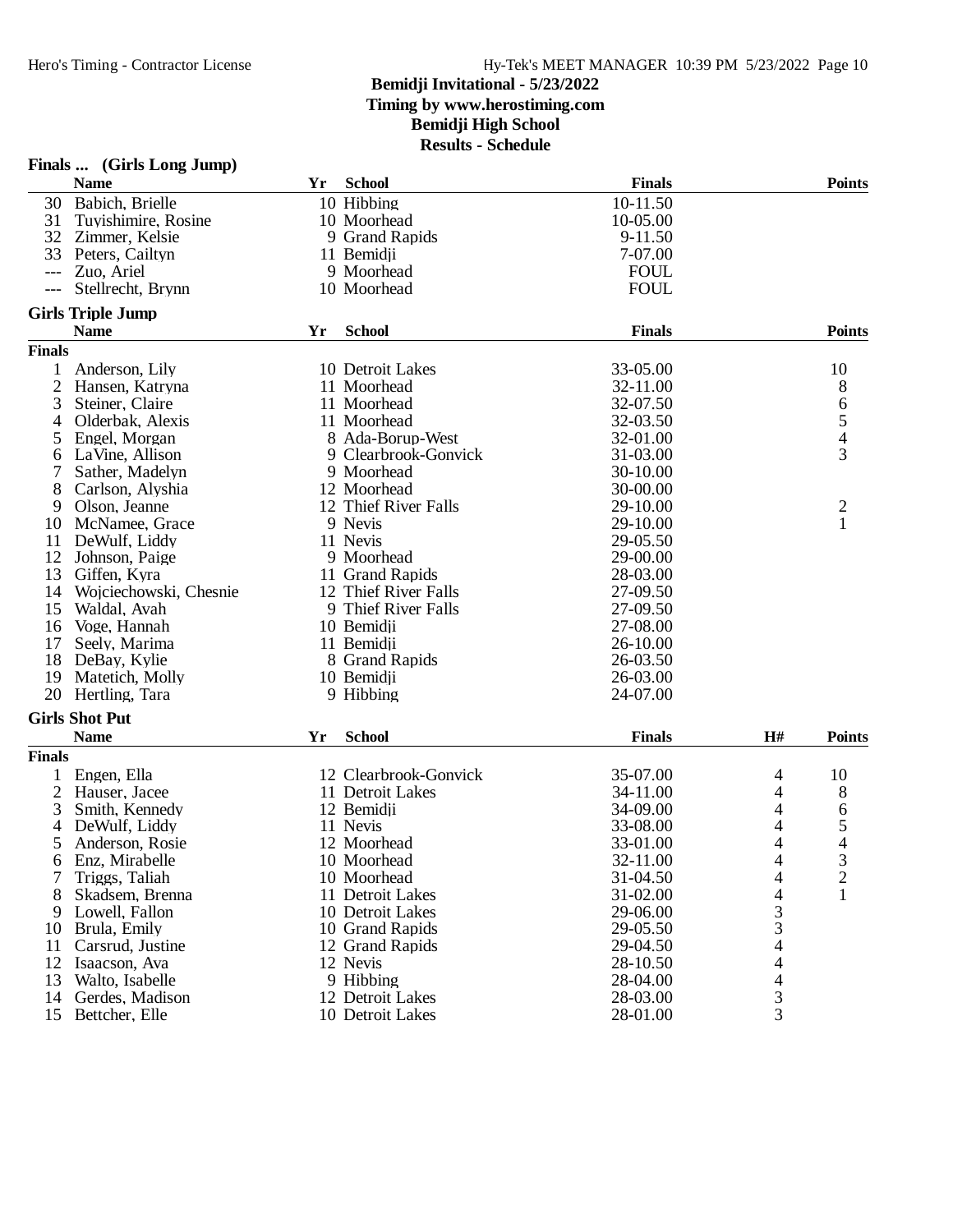|               | Finals  (Girls Long Jump) |    |                       |               |                          |                |
|---------------|---------------------------|----|-----------------------|---------------|--------------------------|----------------|
|               | <b>Name</b>               | Yr | <b>School</b>         | <b>Finals</b> |                          | <b>Points</b>  |
| 30            | Babich, Brielle           |    | 10 Hibbing            | 10-11.50      |                          |                |
| 31            | Tuyishimire, Rosine       |    | 10 Moorhead           | 10-05.00      |                          |                |
| 32            | Zimmer, Kelsie            |    | 9 Grand Rapids        | 9-11.50       |                          |                |
| 33            | Peters, Cailtyn           |    | 11 Bemidji            | 7-07.00       |                          |                |
| ---           | Zuo, Ariel                |    | 9 Moorhead            | <b>FOUL</b>   |                          |                |
|               | Stellrecht, Brynn         |    | 10 Moorhead           | <b>FOUL</b>   |                          |                |
|               | <b>Girls Triple Jump</b>  |    |                       |               |                          |                |
|               | <b>Name</b>               | Yr | <b>School</b>         | <b>Finals</b> |                          | <b>Points</b>  |
| <b>Finals</b> |                           |    |                       |               |                          |                |
|               | Anderson, Lily            |    | 10 Detroit Lakes      | 33-05.00      |                          | 10             |
| 2             | Hansen, Katryna           |    | 11 Moorhead           | 32-11.00      |                          | 8              |
| 3             | Steiner, Claire           |    | 11 Moorhead           | 32-07.50      |                          |                |
| 4             | Olderbak, Alexis          |    | 11 Moorhead           | 32-03.50      |                          | $rac{6}{5}$    |
| 5             | Engel, Morgan             |    | 8 Ada-Borup-West      | 32-01.00      |                          |                |
| 6             | LaVine, Allison           |    | 9 Clearbrook-Gonvick  | 31-03.00      |                          | $\overline{3}$ |
| 7             | Sather, Madelyn           |    | 9 Moorhead            | 30-10.00      |                          |                |
| 8             | Carlson, Alyshia          |    | 12 Moorhead           | 30-00.00      |                          |                |
| 9             | Olson, Jeanne             |    | 12 Thief River Falls  | 29-10.00      |                          | $\overline{c}$ |
| 10            | McNamee, Grace            |    | 9 Nevis               | 29-10.00      |                          | $\mathbf{1}$   |
| 11            | DeWulf, Liddy             |    | 11 Nevis              | 29-05.50      |                          |                |
| 12            | Johnson, Paige            |    | 9 Moorhead            | 29-00.00      |                          |                |
| 13            | Giffen, Kyra              |    | 11 Grand Rapids       | 28-03.00      |                          |                |
| 14            | Wojciechowski, Chesnie    |    | 12 Thief River Falls  | 27-09.50      |                          |                |
| 15            | Waldal, Avah              |    | 9 Thief River Falls   | 27-09.50      |                          |                |
| 16            | Voge, Hannah              |    | 10 Bemidji            | 27-08.00      |                          |                |
| 17            | Seely, Marima             |    | 11 Bemidji            | 26-10.00      |                          |                |
| 18            | DeBay, Kylie              |    | 8 Grand Rapids        | 26-03.50      |                          |                |
| 19            | Matetich, Molly           |    | 10 Bemidji            | 26-03.00      |                          |                |
| 20            | Hertling, Tara            |    | 9 Hibbing             | 24-07.00      |                          |                |
|               | <b>Girls Shot Put</b>     |    |                       |               |                          |                |
|               | <b>Name</b>               | Yr | <b>School</b>         | <b>Finals</b> | H#                       | <b>Points</b>  |
| <b>Finals</b> |                           |    |                       |               |                          |                |
| 1             | Engen, Ella               |    | 12 Clearbrook-Gonvick | 35-07.00      | 4                        | 10             |
| 2             | Hauser, Jacee             |    | 11 Detroit Lakes      | 34-11.00      | 4                        | 8              |
| 3             | Smith, Kennedy            |    | 12 Bemidji            | 34-09.00      | 4                        | 6              |
| 4             | DeWulf, Liddy             |    | 11 Nevis              | 33-08.00      | 4                        | 5              |
| 5             | Anderson, Rosie           |    | 12 Moorhead           | 33-01.00      | 4                        | 4              |
| 6             | Enz, Mirabelle            |    | 10 Moorhead           | 32-11.00      | 4                        | 3              |
| 7             | Triggs, Taliah            |    | 10 Moorhead           | 31-04.50      | 4                        | $\overline{c}$ |
| 8             | Skadsem, Brenna           |    | 11 Detroit Lakes      | 31-02.00      | 4                        | 1              |
| 9             | Lowell, Fallon            |    | 10 Detroit Lakes      | 29-06.00      | 3                        |                |
| 10            | Brula, Emily              |    | 10 Grand Rapids       | 29-05.50      | 3                        |                |
| 11            | Carsrud, Justine          |    | 12 Grand Rapids       | 29-04.50      | 4                        |                |
| 12            | Isaacson, Ava             |    | 12 Nevis              | 28-10.50      | 4                        |                |
| 13            | Walto, Isabelle           |    | 9 Hibbing             | 28-04.00      | $\overline{\mathcal{L}}$ |                |
| 14            | Gerdes, Madison           |    | 12 Detroit Lakes      | 28-03.00      | 3                        |                |
| 15            | Bettcher, Elle            |    | 10 Detroit Lakes      | 28-01.00      | $\overline{3}$           |                |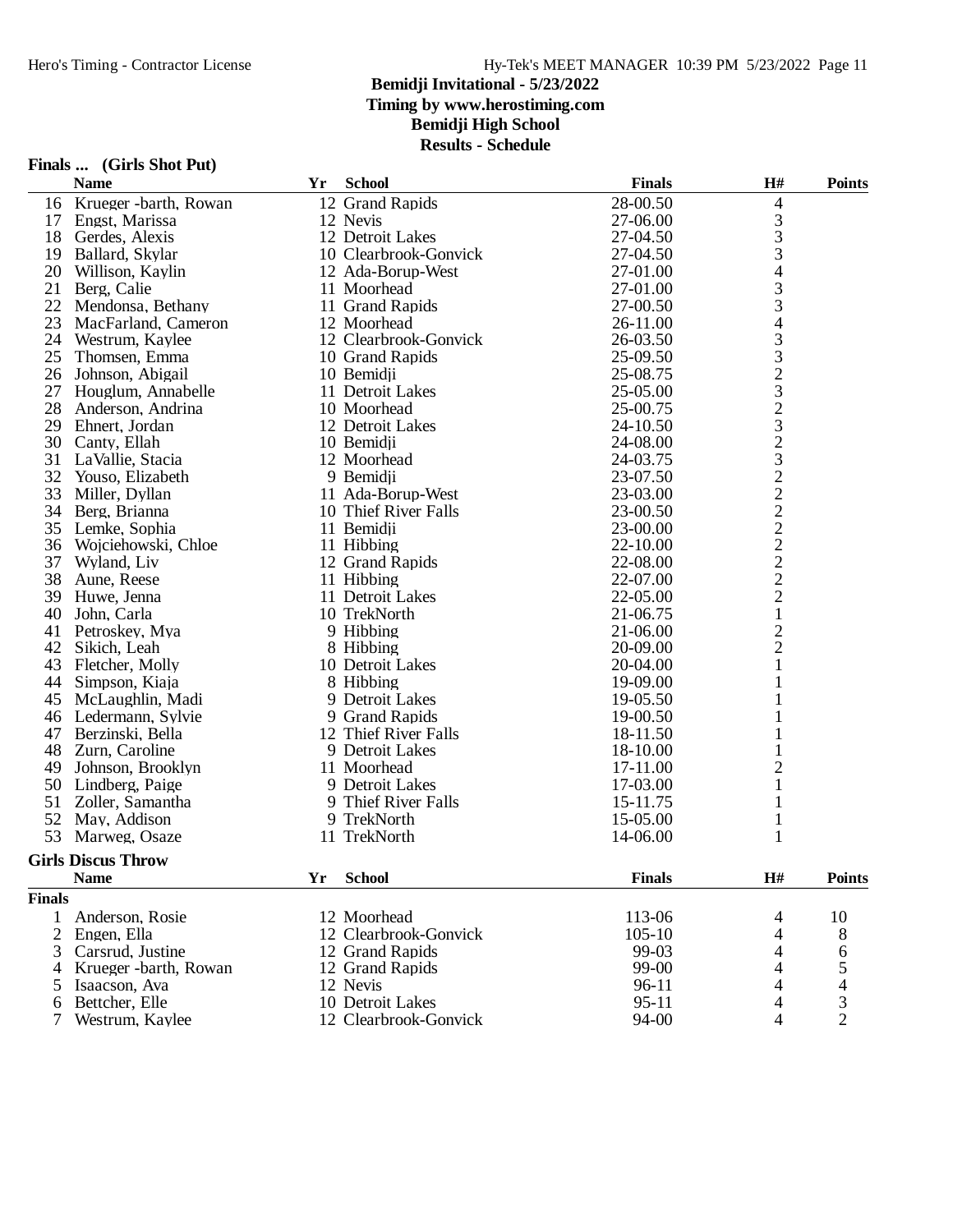### **Bemidji Invitational - 5/23/2022**

**Timing by www.herostiming.com**

**Bemidji High School**

|                | Finals  (Girls Shot Put)  |    |                       |               |                          |                |
|----------------|---------------------------|----|-----------------------|---------------|--------------------------|----------------|
|                | <b>Name</b>               | Yr | <b>School</b>         | <b>Finals</b> | H#                       | <b>Points</b>  |
| 16             | Krueger -barth, Rowan     |    | 12 Grand Rapids       | 28-00.50      | 4                        |                |
| 17             | Engst, Marissa            |    | 12 Nevis              | 27-06.00      | 3                        |                |
| 18             | Gerdes, Alexis            |    | 12 Detroit Lakes      | 27-04.50      | 3                        |                |
| 19             | Ballard, Skylar           |    | 10 Clearbrook-Gonvick | 27-04.50      | 3                        |                |
| 20             | Willison, Kaylin          |    | 12 Ada-Borup-West     | 27-01.00      | $\overline{\mathcal{L}}$ |                |
| 21             | Berg, Calie               |    | 11 Moorhead           | 27-01.00      | 3                        |                |
| 22             | Mendonsa, Bethany         |    | 11 Grand Rapids       | 27-00.50      | 3                        |                |
| 23             | MacFarland, Cameron       |    | 12 Moorhead           | 26-11.00      | $\overline{4}$           |                |
| 24             | Westrum, Kaylee           |    | 12 Clearbrook-Gonvick | 26-03.50      |                          |                |
| 25             | Thomsen, Emma             |    | 10 Grand Rapids       | 25-09.50      | $\frac{3}{3}$            |                |
| 26             | Johnson, Abigail          |    | 10 Bemidii            | 25-08.75      |                          |                |
| 27             | Houglum, Annabelle        |    | 11 Detroit Lakes      | 25-05.00      |                          |                |
| 28             | Anderson, Andrina         |    | 10 Moorhead           | 25-00.75      |                          |                |
| 29             | Ehnert, Jordan            |    | 12 Detroit Lakes      | 24-10.50      |                          |                |
| 30             | Canty, Ellah              |    | 10 Bemidji            | 24-08.00      |                          |                |
| 31             | LaVallie, Stacia          |    | 12 Moorhead           | 24-03.75      |                          |                |
| 32             | Youso, Elizabeth          |    | 9 Bemidii             | 23-07.50      |                          |                |
| 33             | Miller, Dyllan            |    | 11 Ada-Borup-West     | 23-03.00      |                          |                |
| 34             | Berg, Brianna             |    | 10 Thief River Falls  | 23-00.50      |                          |                |
| 35             | Lemke, Sophia             |    | 11 Bemidii            | 23-00.00      |                          |                |
| 36             | Wojciehowski, Chloe       |    | 11 Hibbing            | 22-10.00      |                          |                |
| 37             | Wyland, Liv               |    | 12 Grand Rapids       | 22-08.00      |                          |                |
| 38             | Aune, Reese               |    | 11 Hibbing            | 22-07.00      |                          |                |
| 39             | Huwe, Jenna               |    | 11 Detroit Lakes      | 22-05.00      | 23232322222221           |                |
| 40             | John, Carla               |    | 10 TrekNorth          | 21-06.75      |                          |                |
| 41             | Petroskey, Mya            |    | 9 Hibbing             | 21-06.00      | $\overline{c}$           |                |
| 42             | Sikich, Leah              |    | 8 Hibbing             | 20-09.00      | $\overline{c}$           |                |
| 43             | Fletcher, Molly           |    | 10 Detroit Lakes      | 20-04.00      | $\mathbf{1}$             |                |
| 44             | Simpson, Kiaja            |    | 8 Hibbing             | 19-09.00      | 1                        |                |
| 45             | McLaughlin, Madi          |    | 9 Detroit Lakes       | 19-05.50      |                          |                |
| 46             | Ledermann, Sylvie         |    | 9 Grand Rapids        | 19-00.50      |                          |                |
| 47             | Berzinski, Bella          |    | 12 Thief River Falls  | 18-11.50      | 1                        |                |
| 48             | Zurn, Caroline            |    | 9 Detroit Lakes       | 18-10.00      | $\mathbf{1}$             |                |
| 49             | Johnson, Brooklyn         |    | 11 Moorhead           | 17-11.00      | $\overline{c}$           |                |
| 50             | Lindberg, Paige           |    | 9 Detroit Lakes       | 17-03.00      | $\mathbf{1}$             |                |
| 51             | Zoller, Samantha          |    | 9 Thief River Falls   | 15-11.75      | 1                        |                |
| 52             | May, Addison              |    | 9 TrekNorth           | 15-05.00      | $\mathbf{1}$             |                |
| 53             | Marweg, Osaze             |    | 11 TrekNorth          | 14-06.00      | $\mathbf{1}$             |                |
|                | <b>Girls Discus Throw</b> |    |                       |               |                          |                |
|                | <b>Name</b>               | Yr | <b>School</b>         | <b>Finals</b> | H#                       | <b>Points</b>  |
| <b>Finals</b>  |                           |    |                       |               |                          |                |
| 1              | Anderson, Rosie           |    | 12 Moorhead           | 113-06        | 4                        | 10             |
| $\overline{2}$ | Engen, Ella               |    | 12 Clearbrook-Gonvick | $105 - 10$    | 4                        | 8              |
| 3              | Carsrud, Justine          |    | 12 Grand Rapids       | 99-03         | 4                        | 6              |
| 4              | Krueger -barth, Rowan     |    | 12 Grand Rapids       | 99-00         | 4                        |                |
| 5              | Isaacson, Ava             |    | 12 Nevis              | 96-11         | 4                        |                |
| 6              | Bettcher, Elle            |    | 10 Detroit Lakes      | $95 - 11$     | 4                        | 5<br>4<br>3    |
| 7              | Westrum, Kaylee           |    | 12 Clearbrook-Gonvick | 94-00         | 4                        | $\overline{2}$ |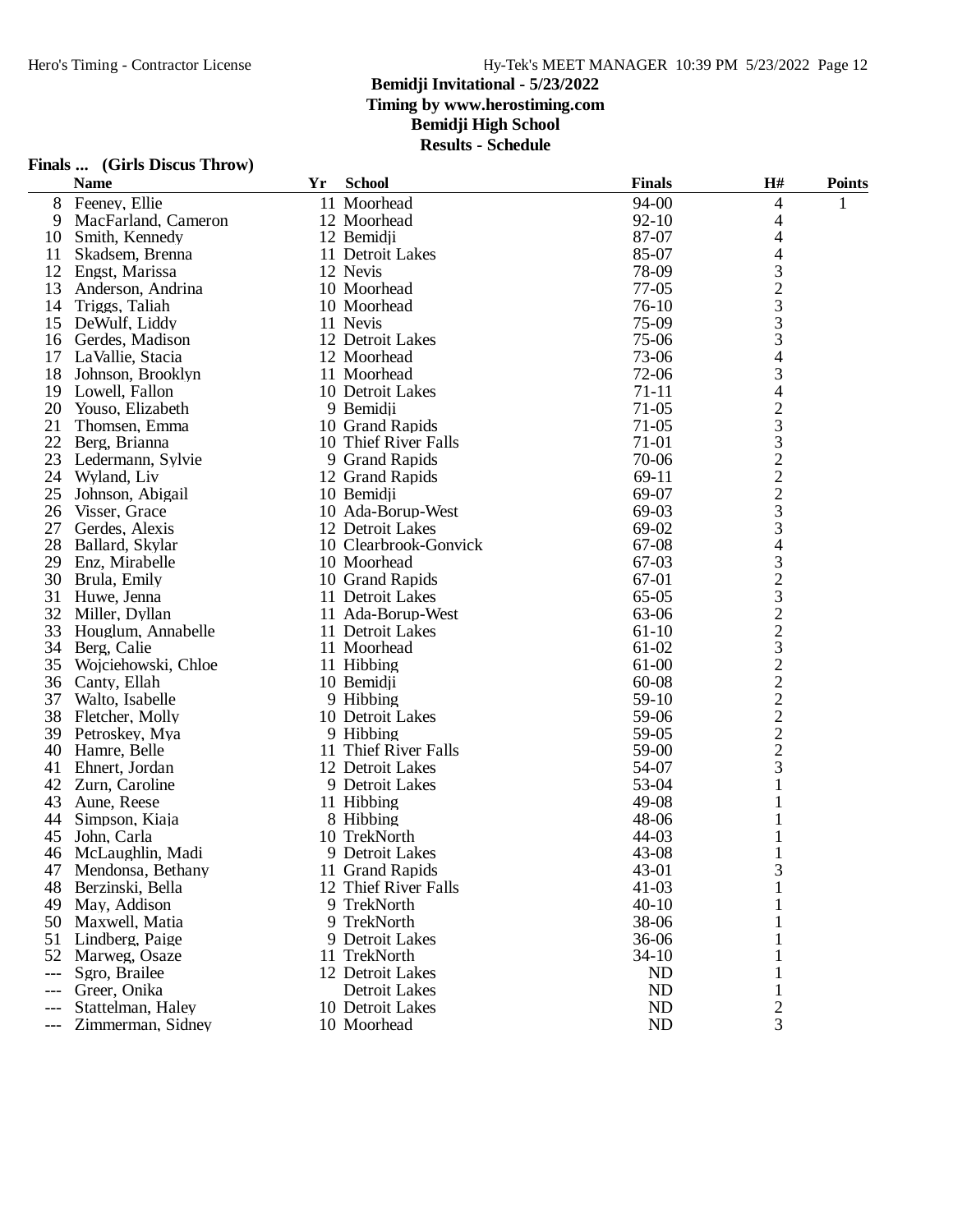**Bemidji Invitational - 5/23/2022**

**Timing by www.herostiming.com**

**Bemidji High School**

|     | Finals  (Girls Discus Throw) |    |                       |               |                |               |
|-----|------------------------------|----|-----------------------|---------------|----------------|---------------|
|     | <b>Name</b>                  | Yr | <b>School</b>         | <b>Finals</b> | H#             | <b>Points</b> |
| 8   | Feeney, Ellie                |    | 11 Moorhead           | 94-00         | $\overline{4}$ | 1             |
| 9   | MacFarland, Cameron          |    | 12 Moorhead           | $92 - 10$     | 4              |               |
| 10  | Smith, Kennedy               |    | 12 Bemidji            | 87-07         | 4              |               |
| 11  | Skadsem, Brenna              |    | 11 Detroit Lakes      | 85-07         | 4              |               |
| 12  | Engst, Marissa               |    | 12 Nevis              | 78-09         | 3              |               |
| 13  | Anderson, Andrina            |    | 10 Moorhead           | $77-05$       | $\frac{2}{3}$  |               |
| 14  | Triggs, Taliah               |    | 10 Moorhead           | 76-10         |                |               |
| 15  | DeWulf, Liddy                |    | 11 Nevis              | 75-09         | 3              |               |
| 16  | Gerdes, Madison              |    | 12 Detroit Lakes      | 75-06         | 3              |               |
| 17  | LaVallie, Stacia             |    | 12 Moorhead           | 73-06         | 4              |               |
| 18  | Johnson, Brooklyn            |    | 11 Moorhead           | 72-06         | $\mathfrak{Z}$ |               |
| 19  | Lowell, Fallon               |    | 10 Detroit Lakes      | $71 - 11$     | 4              |               |
| 20  | Youso, Elizabeth             |    | 9 Bemidji             | $71-05$       | $\overline{c}$ |               |
| 21  | Thomsen, Emma                |    | 10 Grand Rapids       | $71-05$       | 3              |               |
| 22  | Berg, Brianna                |    | 10 Thief River Falls  | 71-01         | 3              |               |
| 23  | Ledermann, Sylvie            |    | 9 Grand Rapids        | 70-06         | $\overline{c}$ |               |
| 24  | Wyland, Liv                  |    | 12 Grand Rapids       | 69-11         |                |               |
| 25  | Johnson, Abigail             |    | 10 Bemidji            | 69-07         | $\frac{2}{3}$  |               |
| 26  | Visser, Grace                |    | 10 Ada-Borup-West     | 69-03         |                |               |
| 27  | Gerdes, Alexis               |    | 12 Detroit Lakes      | 69-02         | 3              |               |
| 28  | Ballard, Skylar              |    | 10 Clearbrook-Gonvick | 67-08         | 4              |               |
| 29  | Enz, Mirabelle               |    | 10 Moorhead           | 67-03         | 3              |               |
| 30  | Brula, Emily                 |    | 10 Grand Rapids       | 67-01         | $\overline{c}$ |               |
| 31  | Huwe, Jenna                  |    | 11 Detroit Lakes      | $65-05$       | 3              |               |
| 32  | Miller, Dyllan               |    | 11 Ada-Borup-West     | 63-06         | $\overline{c}$ |               |
| 33  | Houglum, Annabelle           |    | 11 Detroit Lakes      | $61-10$       | $\frac{2}{3}$  |               |
| 34  | Berg, Calie                  |    | 11 Moorhead           | 61-02         |                |               |
| 35  | Wojciehowski, Chloe          |    | 11 Hibbing            | 61-00         | $\overline{c}$ |               |
| 36  | Canty, Ellah                 |    | 10 Bemidji            | 60-08         | $\frac{2}{2}$  |               |
| 37  | Walto, Isabelle              |    | 9 Hibbing             | 59-10         |                |               |
| 38  | Fletcher, Molly              |    | 10 Detroit Lakes      | 59-06         | $\overline{c}$ |               |
| 39  | Petroskey, Mya               |    | 9 Hibbing             | 59-05         | $\overline{c}$ |               |
| 40  | Hamre, Belle                 |    | 11 Thief River Falls  | 59-00         | $\overline{2}$ |               |
| 41  | Ehnert, Jordan               |    | 12 Detroit Lakes      | 54-07         | 3              |               |
| 42  | Zurn, Caroline               |    | 9 Detroit Lakes       | 53-04         | $\mathbf{1}$   |               |
| 43  | Aune, Reese                  |    | 11 Hibbing            | 49-08         |                |               |
| 44  | Simpson, Kiaja               |    | 8 Hibbing             | 48-06         | 1              |               |
| 45  | John, Carla                  |    | 10 TrekNorth          | 44-03         | 1              |               |
| 46  | McLaughlin, Madi             |    | 9 Detroit Lakes       | 43-08         | $\mathbf{1}$   |               |
| 47  | Mendonsa, Bethany            |    | 11 Grand Rapids       | 43-01         | 3              |               |
| 48  | Berzinski, Bella             |    | 12 Thief River Falls  | $41 - 03$     |                |               |
| 49  | May, Addison                 |    | 9 TrekNorth           | $40 - 10$     |                |               |
| 50  | Maxwell, Matia               |    | 9 TrekNorth           | 38-06         |                |               |
| 51  | Lindberg, Paige              |    | 9 Detroit Lakes       | 36-06         |                |               |
| 52  | Marweg, Osaze                |    | 11 TrekNorth          | $34 - 10$     | 1              |               |
| --- | Sgro, Brailee                |    | 12 Detroit Lakes      | ND            | 1              |               |
| --- | Greer, Onika                 |    | <b>Detroit Lakes</b>  | ND            | 1              |               |
|     | Stattelman, Haley            |    | 10 Detroit Lakes      | ND            | 2              |               |
|     | Zimmerman, Sidney            |    | 10 Moorhead           | ND            | $\overline{3}$ |               |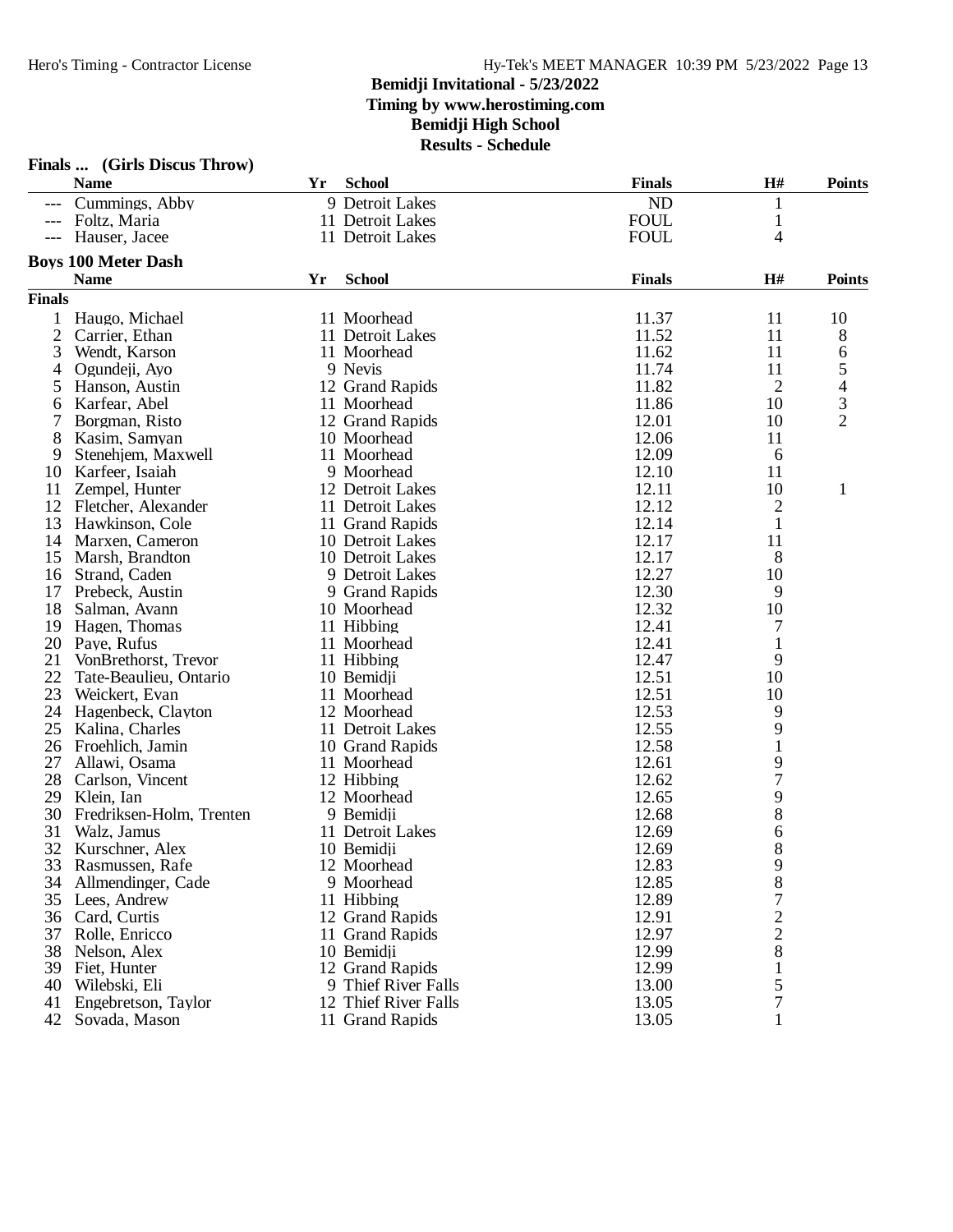### **Bemidji Invitational - 5/23/2022 Timing by www.herostiming.com Bemidji High School Results - Schedule**

|               | Finals  (Girls Discus Throw) |    | - ochcam             |               |                         |                          |
|---------------|------------------------------|----|----------------------|---------------|-------------------------|--------------------------|
|               | <b>Name</b>                  | Yr | <b>School</b>        | <b>Finals</b> | H#                      | <b>Points</b>            |
| $---$         | Cummings, Abby               |    | 9 Detroit Lakes      | ND            | $\mathbf{1}$            |                          |
| $---$         | Foltz, Maria                 |    | 11 Detroit Lakes     | <b>FOUL</b>   | $\mathbf{1}$            |                          |
| $---$         | Hauser, Jacee                |    | 11 Detroit Lakes     | <b>FOUL</b>   | 4                       |                          |
|               | <b>Boys 100 Meter Dash</b>   |    |                      |               |                         |                          |
|               | <b>Name</b>                  | Yr | <b>School</b>        | <b>Finals</b> | H#                      | <b>Points</b>            |
| <b>Finals</b> |                              |    |                      |               |                         |                          |
| 1             | Haugo, Michael               |    | 11 Moorhead          | 11.37         | 11                      | 10                       |
| 2             | Carrier, Ethan               |    | 11 Detroit Lakes     | 11.52         | 11                      | 8                        |
| 3             | Wendt, Karson                |    | 11 Moorhead          | 11.62         | 11                      | 6                        |
| 4             | Ogundeji, Ayo                |    | 9 Nevis              | 11.74         | 11                      | 5                        |
| 5             | Hanson, Austin               |    | 12 Grand Rapids      | 11.82         | 2                       | $\overline{\mathcal{L}}$ |
| 6             | Karfear, Abel                |    | 11 Moorhead          | 11.86         | 10                      | 3                        |
|               | Borgman, Risto               |    | 12 Grand Rapids      | 12.01         | 10                      | $\overline{2}$           |
| 8             | Kasim, Samyan                |    | 10 Moorhead          | 12.06         | 11                      |                          |
| 9             | Stenehiem, Maxwell           |    | 11 Moorhead          | 12.09         | 6                       |                          |
| 10            | Karfeer, Isaiah              |    | 9 Moorhead           | 12.10         | 11                      |                          |
| 11            | Zempel, Hunter               |    | 12 Detroit Lakes     | 12.11         | 10                      | $\mathbf{1}$             |
| 12            | Fletcher, Alexander          |    | 11 Detroit Lakes     | 12.12         | $\overline{\mathbf{c}}$ |                          |
| 13            | Hawkinson, Cole              |    | 11 Grand Rapids      | 12.14         | 1                       |                          |
| 14            | Marxen, Cameron              |    | 10 Detroit Lakes     | 12.17         | 11                      |                          |
| 15            | Marsh, Brandton              |    | 10 Detroit Lakes     | 12.17         | 8                       |                          |
|               | 16 Strand, Caden             |    | 9 Detroit Lakes      | 12.27         | 10                      |                          |
| 17            | Prebeck, Austin              |    | 9 Grand Rapids       | 12.30         | 9                       |                          |
| 18            | Salman, Avann                |    | 10 Moorhead          | 12.32         | 10                      |                          |
| 19            | Hagen, Thomas                |    | 11 Hibbing           | 12.41         | 7                       |                          |
| 20            | Paye, Rufus                  |    | 11 Moorhead          | 12.41         | 1                       |                          |
| 21            | VonBrethorst, Trevor         |    | 11 Hibbing           | 12.47         | 9                       |                          |
| 22            | Tate-Beaulieu, Ontario       |    | 10 Bemidji           | 12.51         | 10                      |                          |
| 23            | Weickert, Evan               |    | 11 Moorhead          | 12.51         | 10                      |                          |
| 24            | Hagenbeck, Clayton           |    | 12 Moorhead          | 12.53         | 9                       |                          |
| 25            | Kalina, Charles              |    | 11 Detroit Lakes     | 12.55         | 9                       |                          |
| 26            | Froehlich, Jamin             |    | 10 Grand Rapids      | 12.58         | $\mathbf{1}$            |                          |
| 27            | Allawi, Osama                |    | 11 Moorhead          | 12.61         | 9                       |                          |
| 28            | Carlson, Vincent             |    | 12 Hibbing           | 12.62         | $\sqrt{ }$              |                          |
| 29            | Klein, Ian                   |    | 12 Moorhead          | 12.65         | 9                       |                          |
| 30            | Fredriksen-Holm, Trenten     |    | 9 Bemidji            | 12.68         | 8                       |                          |
| 31            | Walz, Jamus                  |    | 11 Detroit Lakes     | 12.69         | 6                       |                          |
|               | 32 Kurschner, Alex           |    | 10 Bemidji           | 12.69         | 8                       |                          |
| 33            | Rasmussen, Rafe              |    | 12 Moorhead          | 12.83         | 9                       |                          |
| 34            | Allmendinger, Cade           |    | 9 Moorhead           | 12.85         | 8                       |                          |
| 35            | Lees, Andrew                 |    | 11 Hibbing           | 12.89         | $\boldsymbol{7}$        |                          |
| 36            | Card, Curtis                 |    | 12 Grand Rapids      | 12.91         | $\frac{2}{2}$           |                          |
| 37            | Rolle, Enricco               |    | 11 Grand Rapids      | 12.97         |                         |                          |
| 38            | Nelson, Alex                 |    | 10 Bemidji           | 12.99         | 8                       |                          |
| 39            | Fiet, Hunter                 |    | 12 Grand Rapids      | 12.99         | $\mathbf{1}$            |                          |
| 40            | Wilebski, Eli                |    | 9 Thief River Falls  | 13.00         | 5                       |                          |
| 41            | Engebretson, Taylor          |    | 12 Thief River Falls | 13.05         | 7                       |                          |
| 42            | Sovada, Mason                |    | 11 Grand Rapids      | 13.05         |                         |                          |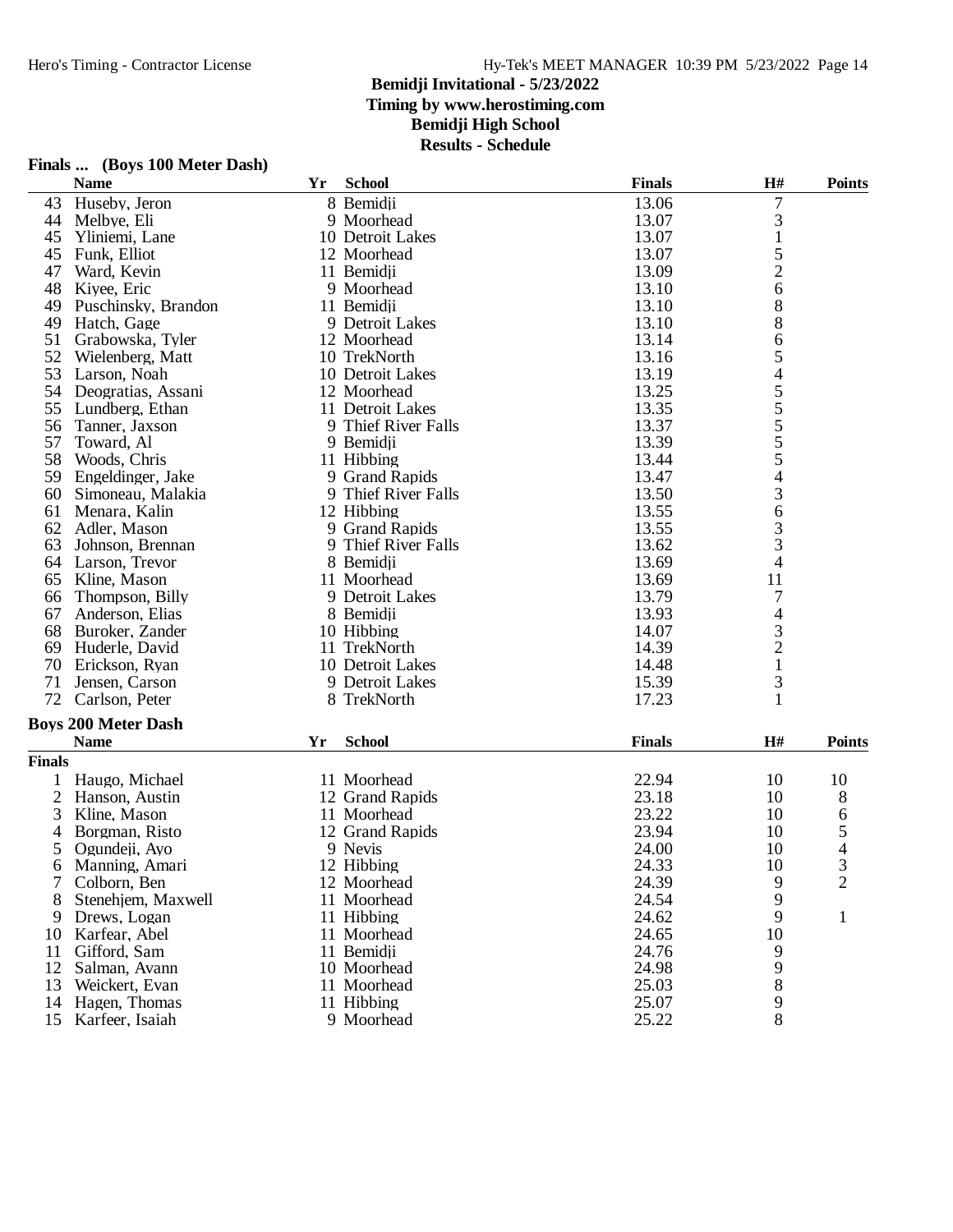#### **Bemidji Invitational - 5/23/2022**

**Timing by www.herostiming.com**

### **Bemidji High School**

**Results - Schedule**

|               | <b>Name</b>                | Yr | <b>School</b>       | <b>Finals</b> | H#               | <b>Points</b>            |
|---------------|----------------------------|----|---------------------|---------------|------------------|--------------------------|
| 43            | Huseby, Jeron              |    | 8 Bemidji           | 13.06         | $\boldsymbol{7}$ |                          |
| 44            | Melbye, Eli                |    | 9 Moorhead          | 13.07         | 3                |                          |
| 45            | Yliniemi, Lane             |    | 10 Detroit Lakes    | 13.07         | $\mathbf{1}$     |                          |
| 45            | Funk, Elliot               |    | 12 Moorhead         | 13.07         | 5                |                          |
| 47            | Ward, Kevin                |    | 11 Bemidji          | 13.09         | $\overline{c}$   |                          |
| 48            | Kiyee, Eric                |    | 9 Moorhead          | 13.10         | 6                |                          |
| 49            | Puschinsky, Brandon        |    | 11 Bemidji          | 13.10         | 8                |                          |
| 49            | Hatch, Gage                |    | 9 Detroit Lakes     | 13.10         | 8                |                          |
| 51            | Grabowska, Tyler           |    | 12 Moorhead         | 13.14         | 6                |                          |
| 52            | Wielenberg, Matt           |    | 10 TrekNorth        | 13.16         | 5                |                          |
| 53            | Larson, Noah               |    | 10 Detroit Lakes    | 13.19         | $\overline{4}$   |                          |
| 54            | Deogratias, Assani         |    | 12 Moorhead         | 13.25         |                  |                          |
| 55            | Lundberg, Ethan            |    | 11 Detroit Lakes    | 13.35         |                  |                          |
| 56            | Tanner, Jaxson             |    | 9 Thief River Falls | 13.37         |                  |                          |
| 57            | Toward, Al                 |    | 9 Bemidji           | 13.39         |                  |                          |
| 58            | Woods, Chris               |    | 11 Hibbing          | 13.44         | $555$<br>$55$    |                          |
| 59            | Engeldinger, Jake          |    | 9 Grand Rapids      | 13.47         | $\overline{4}$   |                          |
| 60            | Simoneau, Malakia          |    | 9 Thief River Falls | 13.50         | 3                |                          |
| 61            | Menara, Kalin              |    | 12 Hibbing          | 13.55         | 6                |                          |
| 62            | Adler, Mason               |    | 9 Grand Rapids      | 13.55         |                  |                          |
| 63            | Johnson, Brennan           |    | 9 Thief River Falls | 13.62         | $\frac{3}{3}$    |                          |
| 64            | Larson, Trevor             |    | 8 Bemidji           | 13.69         | 4                |                          |
| 65            | Kline, Mason               |    | 11 Moorhead         | 13.69         | 11               |                          |
| 66            | Thompson, Billy            |    | 9 Detroit Lakes     | 13.79         | 7                |                          |
| 67            | Anderson, Elias            |    | 8 Bemidji           | 13.93         | 4                |                          |
| 68            | Buroker, Zander            |    | 10 Hibbing          | 14.07         |                  |                          |
| 69            | Huderle, David             |    | 11 TrekNorth        | 14.39         | $\frac{3}{2}$    |                          |
| 70            | Erickson, Ryan             |    | 10 Detroit Lakes    | 14.48         | $\mathbf{1}$     |                          |
| 71            | Jensen, Carson             |    | 9 Detroit Lakes     | 15.39         | 3                |                          |
| 72            | Carlson, Peter             |    | 8 TrekNorth         | 17.23         | $\mathbf{1}$     |                          |
|               |                            |    |                     |               |                  |                          |
|               | <b>Boys 200 Meter Dash</b> |    |                     |               |                  |                          |
|               | <b>Name</b>                | Yr | <b>School</b>       | <b>Finals</b> | H#               | <b>Points</b>            |
| <b>Finals</b> |                            |    |                     |               |                  |                          |
| 1             | Haugo, Michael             |    | 11 Moorhead         | 22.94         | 10               | 10                       |
| 2             | Hanson, Austin             |    | 12 Grand Rapids     | 23.18         | 10               | 8                        |
| 3             | Kline, Mason               |    | 11 Moorhead         | 23.22         | 10               | 6                        |
| 4             | Borgman, Risto             |    | 12 Grand Rapids     | 23.94         | 10               | 5                        |
| 5             | Ogundeji, Ayo              |    | 9 Nevis             | 24.00         | 10               | $\overline{\mathcal{L}}$ |
| 6             | Manning, Amari             |    | 12 Hibbing          | 24.33         | 10               | 3                        |
| 7             | Colborn, Ben               |    | 12 Moorhead         | 24.39         | 9                | $\overline{2}$           |
| 8             | Stenehjem, Maxwell         |    | 11 Moorhead         | 24.54         | 9                |                          |
| 9             | Drews, Logan               |    | 11 Hibbing          | 24.62         | 9                | 1                        |
| 10            | Karfear, Abel              |    | 11 Moorhead         | 24.65         | 10               |                          |
| 11            | Gifford, Sam               |    | 11 Bemidji          | 24.76         | 9                |                          |
| 12            | Salman, Avann              |    | 10 Moorhead         | 24.98         | 9                |                          |
| 13            | Weickert, Evan             |    | 11 Moorhead         | 25.03         | 8                |                          |
| 14            | Hagen, Thomas              |    | 11 Hibbing          | 25.07         | 9                |                          |
| 15            | Karfeer, Isaiah            |    | 9 Moorhead          | 25.22         | 8                |                          |

## **Finals ... (Boys 100 Meter Dash)**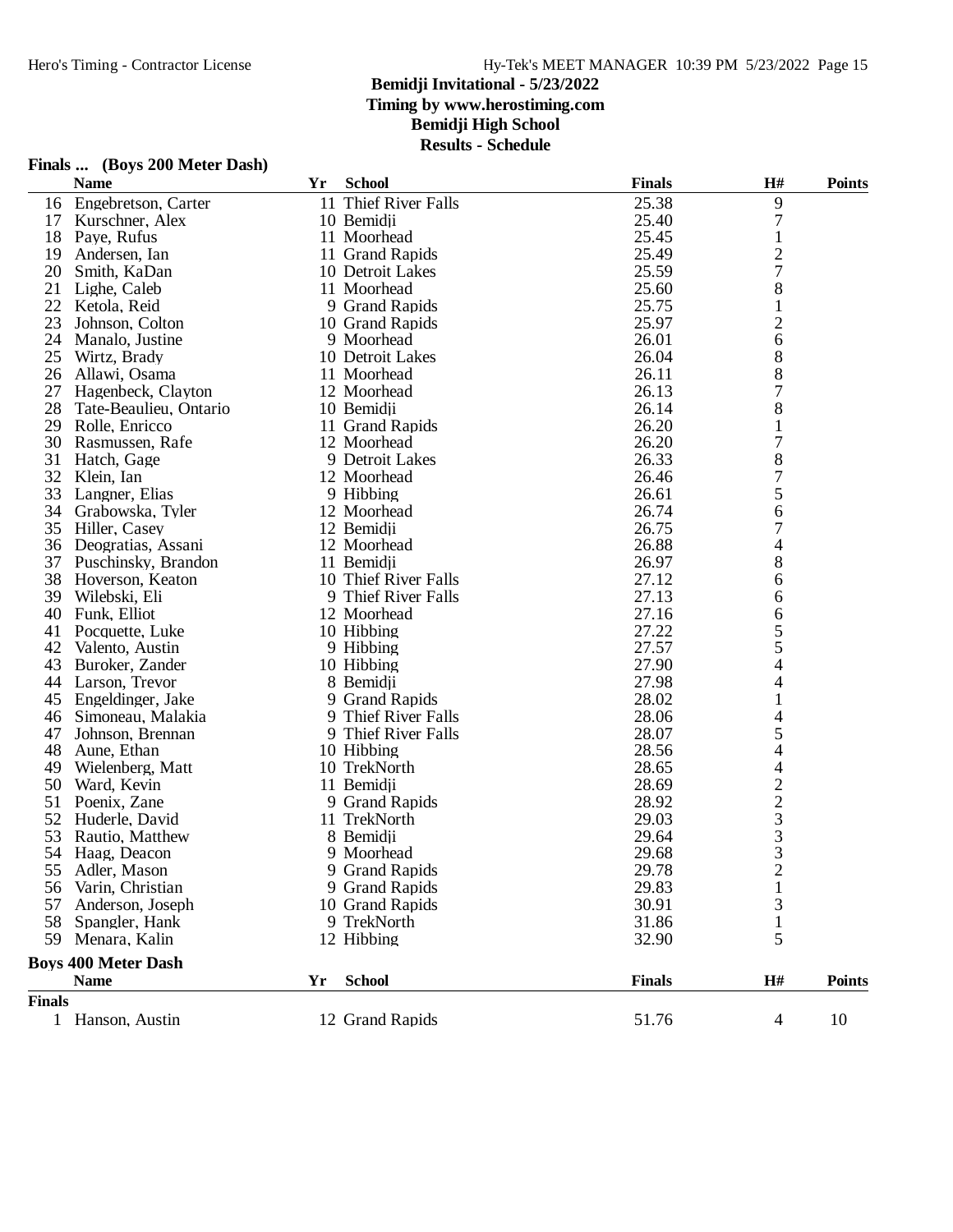### Hy-Tek's MEET MANAGER 10:39 PM 5/23/2022 Page 15

### **Bemidji Invitational - 5/23/2022**

**Timing by www.herostiming.com**

### **Bemidji High School**

**Results - Schedule**

|               | <b>Name</b>                | Yr | <b>School</b>        | <b>Finals</b> | H#             | <b>Points</b> |
|---------------|----------------------------|----|----------------------|---------------|----------------|---------------|
| 16            | Engebretson, Carter        |    | 11 Thief River Falls | 25.38         | 9              |               |
| 17            | Kurschner, Alex            |    | 10 Bemidji           | 25.40         | 7              |               |
| 18            | Paye, Rufus                |    | 11 Moorhead          | 25.45         | $\mathbf{1}$   |               |
| 19            | Andersen, Ian              |    | 11 Grand Rapids      | 25.49         | $\overline{c}$ |               |
| 20            | Smith, KaDan               |    | 10 Detroit Lakes     | 25.59         | 7              |               |
| 21            | Lighe, Caleb               |    | 11 Moorhead          | 25.60         | 8              |               |
| 22            | Ketola, Reid               |    | 9 Grand Rapids       | 25.75         | 1              |               |
| 23            | Johnson, Colton            |    | 10 Grand Rapids      | 25.97         | $\overline{2}$ |               |
| 24            | Manalo, Justine            |    | 9 Moorhead           | 26.01         | 6              |               |
| 25            | Wirtz, Brady               |    | 10 Detroit Lakes     | 26.04         | 8              |               |
| 26            | Allawi, Osama              |    | 11 Moorhead          | 26.11         | 8              |               |
| 27            | Hagenbeck, Clayton         |    | 12 Moorhead          | 26.13         | 7              |               |
| 28            | Tate-Beaulieu, Ontario     |    | 10 Bemidji           | 26.14         | 8              |               |
| 29            | Rolle, Enricco             |    | 11 Grand Rapids      | 26.20         | 1              |               |
| 30            | Rasmussen, Rafe            |    | 12 Moorhead          | 26.20         | 7              |               |
| 31            | Hatch, Gage                |    | 9 Detroit Lakes      | 26.33         | 8              |               |
| 32            | Klein, Ian                 |    | 12 Moorhead          | 26.46         | 7              |               |
| 33            | Langner, Elias             |    | 9 Hibbing            | 26.61         | 5              |               |
| 34            | Grabowska, Tyler           |    | 12 Moorhead          | 26.74         | 6              |               |
| 35            | Hiller, Casey              |    | 12 Bemidji           | 26.75         | 7              |               |
| 36            | Deogratias, Assani         |    | 12 Moorhead          | 26.88         | 4              |               |
| 37            | Puschinsky, Brandon        |    | 11 Bemidji           | 26.97         | 8              |               |
| 38            | Hoverson, Keaton           |    | 10 Thief River Falls | 27.12         | 6              |               |
| 39            | Wilebski, Eli              |    | 9 Thief River Falls  | 27.13         | 6              |               |
| 40            | Funk, Elliot               |    | 12 Moorhead          | 27.16         | 6              |               |
| 41            | Pocquette, Luke            |    | 10 Hibbing           | 27.22         | 5              |               |
| 42            | Valento, Austin            |    | 9 Hibbing            | 27.57         | 5              |               |
| 43            | Buroker, Zander            |    | 10 Hibbing           | 27.90         | 4              |               |
| 44            | Larson, Trevor             |    | 8 Bemidji            | 27.98         | 4              |               |
| 45            | Engeldinger, Jake          |    | 9 Grand Rapids       | 28.02         |                |               |
| 46            | Simoneau, Malakia          |    | 9 Thief River Falls  | 28.06         | 4              |               |
| 47            | Johnson, Brennan           |    | 9 Thief River Falls  | 28.07         | 5              |               |
| 48            | Aune, Ethan                |    | 10 Hibbing           | 28.56         | 4              |               |
| 49            | Wielenberg, Matt           |    | 10 TrekNorth         | 28.65         | 4              |               |
| 50            | Ward, Kevin                |    | 11 Bemidji           | 28.69         |                |               |
| 51            | Poenix, Zane               |    | 9 Grand Rapids       | 28.92         | $\frac{2}{3}$  |               |
| 52            | Huderle, David             |    | 11 TrekNorth         | 29.03         |                |               |
| 53            | Rautio, Matthew            |    | 8 Bemidji            | 29.64         | 3              |               |
| 54            | Haag, Deacon               |    | 9 Moorhead           | 29.68         | 3              |               |
|               | 55 Adler, Mason            |    | 9 Grand Rapids       | 29.78         | $\overline{c}$ |               |
| 56            | Varin, Christian           |    | 9 Grand Rapids       | 29.83         | $\mathbf{1}$   |               |
| 57            | Anderson, Joseph           |    | 10 Grand Rapids      | 30.91         | 3              |               |
| 58            | Spangler, Hank             |    | 9 TrekNorth          | 31.86         | 1              |               |
| 59            | Menara, Kalin              |    | 12 Hibbing           | 32.90         | 5              |               |
|               | <b>Boys 400 Meter Dash</b> |    |                      |               |                |               |
|               | <b>Name</b>                | Yr | <b>School</b>        | <b>Finals</b> | H#             | <b>Points</b> |
| <b>Finals</b> |                            |    |                      |               |                |               |
|               | 1 Hanson, Austin           |    | 12 Grand Rapids      | 51.76         | $\overline{4}$ | 10            |

# **Finals ... (Boys 200 Meter Dash)**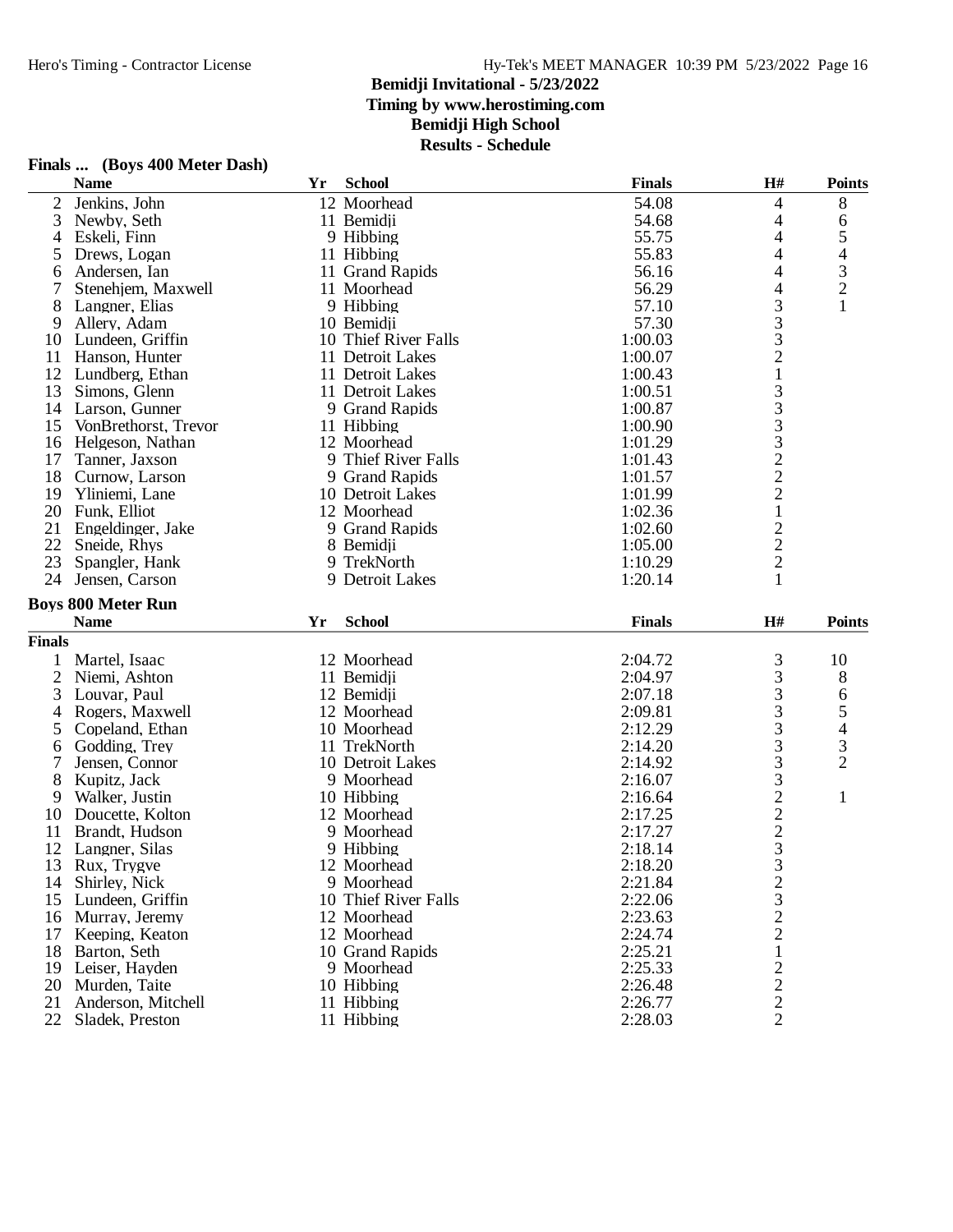### Hy-Tek's MEET MANAGER 10:39 PM 5/23/2022 Page 16

#### **Bemidji Invitational - 5/23/2022**

**Timing by www.herostiming.com**

### **Bemidji High School**

**Results - Schedule**

|                | <b>Name</b>               | Yr | <b>School</b>        | <b>Finals</b>      | $\mathbf{H}$ #                                                  | <b>Points</b>                                   |
|----------------|---------------------------|----|----------------------|--------------------|-----------------------------------------------------------------|-------------------------------------------------|
| $\overline{2}$ | Jenkins, John             |    | 12 Moorhead          | 54.08              | 4                                                               | 8                                               |
| 3              | Newby, Seth               |    | 11 Bemidji           | 54.68              | 4                                                               | 6                                               |
| 4              | Eskeli, Finn              |    | 9 Hibbing            | 55.75              | 4                                                               | 5                                               |
| 5              | Drews, Logan              |    | 11 Hibbing           | 55.83              | 4                                                               |                                                 |
| 6              | Andersen, Ian             |    | 11 Grand Rapids      | 56.16              | 4                                                               | $\begin{array}{c} 4 \\ 3 \\ 2 \\ 1 \end{array}$ |
| 7              | Stenehjem, Maxwell        |    | 11 Moorhead          | 56.29              | 4                                                               |                                                 |
| 8              | Langner, Elias            |    | 9 Hibbing            | 57.10              | 3                                                               |                                                 |
| 9              | Allery, Adam              |    | 10 Bemidji           | 57.30              |                                                                 |                                                 |
| 10             | Lundeen, Griffin          |    | 10 Thief River Falls | 1:00.03            | $\begin{array}{c} 3 \\ 3 \\ 2 \end{array}$                      |                                                 |
| 11             | Hanson, Hunter            |    | 11 Detroit Lakes     | 1:00.07            |                                                                 |                                                 |
| 12             | Lundberg, Ethan           |    | 11 Detroit Lakes     | 1:00.43            | $\,1$                                                           |                                                 |
| 13             | Simons, Glenn             |    | 11 Detroit Lakes     | 1:00.51            |                                                                 |                                                 |
| 14             | Larson, Gunner            |    | 9 Grand Rapids       | 1:00.87            | $\frac{3}{3}$                                                   |                                                 |
| 15             | VonBrethorst, Trevor      |    | 11 Hibbing           | 1:00.90            |                                                                 |                                                 |
| 16             | Helgeson, Nathan          |    | 12 Moorhead          | 1:01.29            |                                                                 |                                                 |
| 17             | Tanner, Jaxson            |    | 9 Thief River Falls  | 1:01.43            | 33222                                                           |                                                 |
| 18             | Curnow, Larson            |    | 9 Grand Rapids       | 1:01.57            |                                                                 |                                                 |
| 19             | Yliniemi, Lane            |    | 10 Detroit Lakes     | 1:01.99            |                                                                 |                                                 |
| 20             | Funk, Elliot              |    | 12 Moorhead          | 1:02.36            | $\,1$                                                           |                                                 |
| 21             | Engeldinger, Jake         |    | 9 Grand Rapids       | 1:02.60            |                                                                 |                                                 |
| 22             | Sneide, Rhys              |    | 8 Bemidji            | 1:05.00            |                                                                 |                                                 |
| 23             | Spangler, Hank            |    | 9 TrekNorth          | 1:10.29            |                                                                 |                                                 |
| 24             | Jensen, Carson            |    | 9 Detroit Lakes      | 1:20.14            | $\begin{array}{c} 2 \\ 2 \\ 2 \\ 1 \end{array}$                 |                                                 |
|                |                           |    |                      |                    |                                                                 |                                                 |
|                |                           |    |                      |                    |                                                                 |                                                 |
|                | <b>Boys 800 Meter Run</b> |    |                      |                    |                                                                 |                                                 |
|                | <b>Name</b>               | Yr | <b>School</b>        | <b>Finals</b>      | H#                                                              | <b>Points</b>                                   |
| <b>Finals</b>  |                           |    |                      |                    |                                                                 |                                                 |
| 1              | Martel, Isaac             |    | 12 Moorhead          | 2:04.72            | 3                                                               | 10                                              |
| $\overline{2}$ | Niemi, Ashton             |    | 11 Bemidji           | 2:04.97            | 3                                                               | 8                                               |
| 3              | Louvar, Paul              |    | 12 Bemidji           | 2:07.18            | 3                                                               | 6                                               |
| 4              | Rogers, Maxwell           |    | 12 Moorhead          | 2:09.81            | 3                                                               |                                                 |
| 5              | Copeland, Ethan           |    | 10 Moorhead          | 2:12.29            | 3                                                               |                                                 |
| 6              | Godding, Trey             |    | 11 TrekNorth         | 2:14.20            | 3                                                               |                                                 |
| 7              | Jensen, Connor            |    | 10 Detroit Lakes     | 2:14.92            | 3                                                               | 5<br>4<br>3<br>2                                |
| 8              | Kupitz, Jack              |    | 9 Moorhead           | 2:16.07            |                                                                 |                                                 |
| 9              | Walker, Justin            |    | 10 Hibbing           | 2:16.64            |                                                                 | $\mathbf{1}$                                    |
| 10             | Doucette, Kolton          |    | 12 Moorhead          | 2:17.25            |                                                                 |                                                 |
| 11             | Brandt, Hudson            |    | 9 Moorhead           | 2:17.27            |                                                                 |                                                 |
| 12             | Langner, Silas            |    | 9 Hibbing            | 2:18.14            | $\frac{3}{2}$ $\frac{2}{3}$                                     |                                                 |
| 13             | Rux, Trygve               |    | 12 Moorhead          | 2:18.20            | $\overline{3}$                                                  |                                                 |
| 14             | Shirley, Nick             |    | 9 Moorhead           | 2:21.84            |                                                                 |                                                 |
| 15             | Lundeen, Griffin          |    | 10 Thief River Falls |                    |                                                                 |                                                 |
| 16             | Murray, Jeremy            |    | 12 Moorhead          | 2:22.06<br>2:23.63 |                                                                 |                                                 |
| 17             | Keeping, Keaton           |    | 12 Moorhead          | 2:24.74            |                                                                 |                                                 |
| 18             | Barton, Seth              |    | 10 Grand Rapids      | 2:25.21            | $\begin{array}{c} 2 \\ 3 \\ 2 \\ 2 \end{array}$<br>$\mathbf{1}$ |                                                 |
| 19             | Leiser, Hayden            |    | 9 Moorhead           | 2:25.33            |                                                                 |                                                 |
| 20             | Murden, Taite             |    | 10 Hibbing           | 2:26.48            |                                                                 |                                                 |
| 21             | Anderson, Mitchell        |    | 11 Hibbing           | 2:26.77            | $\frac{2}{2}$                                                   |                                                 |

# **Finals ... (Boys 400 Meter Dash)**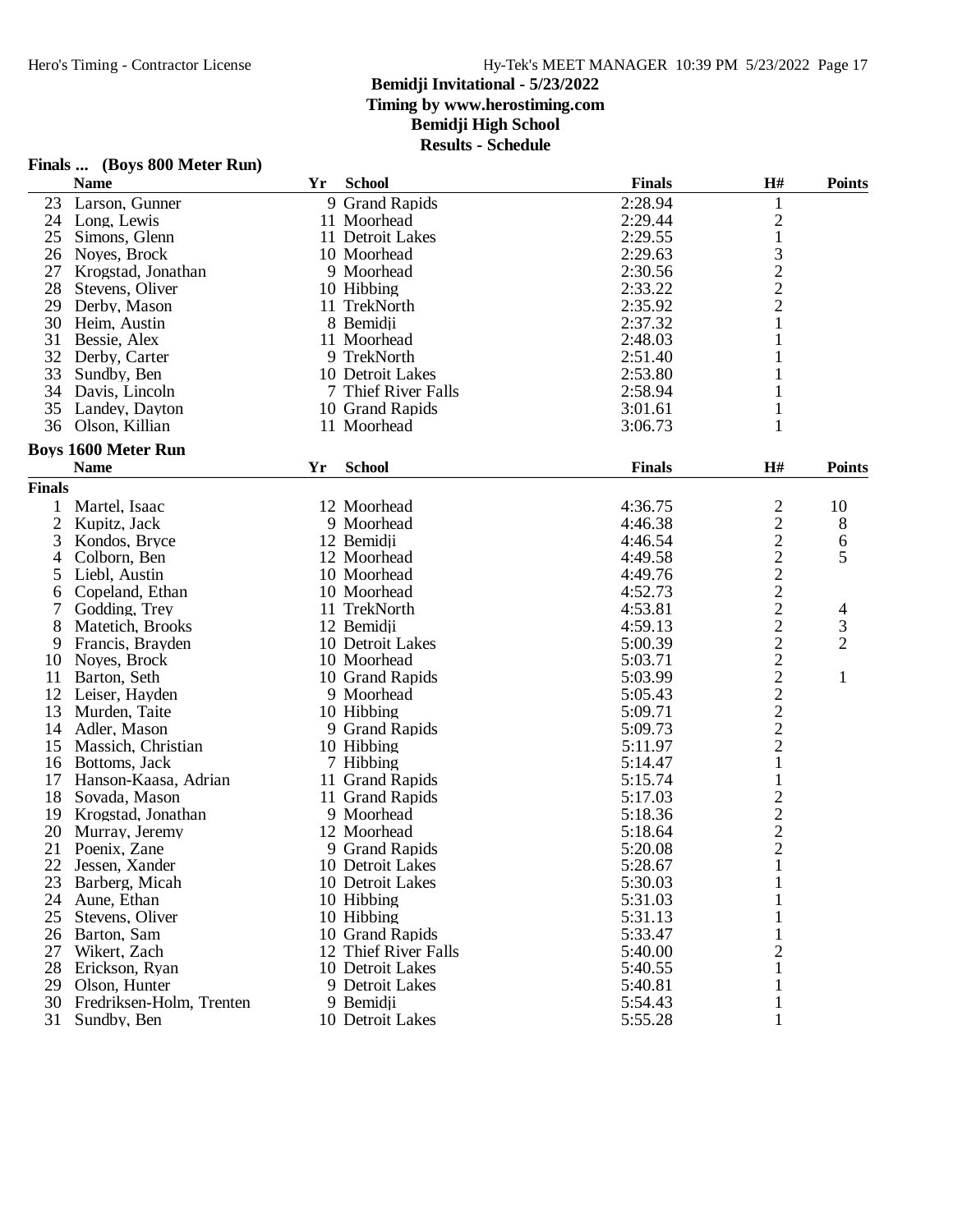## **Bemidji Invitational - 5/23/2022**

**Timing by www.herostiming.com**

## **Bemidji High School**

**Results - Schedule**

|                | <b>Name</b>                | Yr | <b>School</b>        | <b>Finals</b> | H#                                         | <b>Points</b>  |
|----------------|----------------------------|----|----------------------|---------------|--------------------------------------------|----------------|
| 23             | Larson, Gunner             |    | 9 Grand Rapids       | 2:28.94       | 1                                          |                |
| 24             | Long, Lewis                |    | 11 Moorhead          | 2:29.44       |                                            |                |
| 25             | Simons, Glenn              |    | 11 Detroit Lakes     | 2:29.55       | $\begin{smallmatrix}2\\1\end{smallmatrix}$ |                |
| 26             | Noyes, Brock               |    | 10 Moorhead          | 2:29.63       |                                            |                |
| 27             | Krogstad, Jonathan         |    | 9 Moorhead           | 2:30.56       | $\begin{array}{c} 3 \\ 2 \\ 2 \end{array}$ |                |
| 28             | Stevens, Oliver            |    | 10 Hibbing           | 2:33.22       |                                            |                |
| 29             | Derby, Mason               |    | 11 TrekNorth         | 2:35.92       |                                            |                |
| 30             | Heim, Austin               |    | 8 Bemidji            | 2:37.32       | $\mathbf{1}$                               |                |
| 31             | Bessie, Alex               |    | 11 Moorhead          | 2:48.03       | $\mathbf{1}$                               |                |
| 32             | Derby, Carter              |    | 9 TrekNorth          | 2:51.40       |                                            |                |
| 33             | Sundby, Ben                |    | 10 Detroit Lakes     | 2:53.80       |                                            |                |
| 34             | Davis, Lincoln             |    | 7 Thief River Falls  | 2:58.94       |                                            |                |
| 35             | Landey, Dayton             |    | 10 Grand Rapids      | 3:01.61       | 1                                          |                |
| 36             | Olson, Killian             |    | 11 Moorhead          | 3:06.73       | 1                                          |                |
|                |                            |    |                      |               |                                            |                |
|                | <b>Boys 1600 Meter Run</b> |    |                      |               |                                            |                |
|                | <b>Name</b>                | Yr | <b>School</b>        | <b>Finals</b> | H#                                         | <b>Points</b>  |
| <b>Finals</b>  |                            |    |                      |               |                                            |                |
| 1              | Martel, Isaac              |    | 12 Moorhead          | 4:36.75       | $\overline{c}$                             | 10             |
| $\overline{c}$ | Kupitz, Jack               |    | 9 Moorhead           | 4:46.38       | $\overline{c}$                             | 8              |
| 3              | Kondos, Bryce              |    | 12 Bemidji           | 4:46.54       | $\overline{c}$                             | 6              |
| 4              | Colborn, Ben               |    | 12 Moorhead          | 4:49.58       | $\overline{c}$                             | 5              |
| 5              | Liebl, Austin              |    | 10 Moorhead          | 4:49.76       | $\overline{c}$                             |                |
| 6              | Copeland, Ethan            |    | 10 Moorhead          | 4:52.73       | $\overline{c}$                             |                |
| 7              | Godding, Trey              |    | 11 TrekNorth         | 4:53.81       | $\frac{2}{2}$                              | 4              |
| 8              | Matetich, Brooks           |    | 12 Bemidji           | 4:59.13       |                                            | 3              |
| 9              | Francis, Brayden           |    | 10 Detroit Lakes     | 5:00.39       |                                            | $\overline{2}$ |
| 10             | Noves, Brock               |    | 10 Moorhead          | 5:03.71       |                                            |                |
| 11             | Barton, Seth               |    | 10 Grand Rapids      | 5:03.99       | $\frac{2}{2}$ $\frac{2}{2}$ $\frac{2}{2}$  | 1              |
| 12             | Leiser, Hayden             |    | 9 Moorhead           | 5:05.43       |                                            |                |
| 13             | Murden, Taite              |    | 10 Hibbing           | 5:09.71       |                                            |                |
| 14             | Adler, Mason               |    | 9 Grand Rapids       | 5:09.73       |                                            |                |
| 15             | Massich, Christian         |    | 10 Hibbing           | 5:11.97       |                                            |                |
| 16             | Bottoms, Jack              |    | 7 Hibbing            | 5:14.47       | $\mathbf{1}$                               |                |
| 17             | Hanson-Kaasa, Adrian       |    | 11 Grand Rapids      | 5:15.74       | $\mathbf{1}$                               |                |
| 18             | Sovada, Mason              |    | 11 Grand Rapids      | 5:17.03       |                                            |                |
| 19             | Krogstad, Jonathan         |    | 9 Moorhead           | 5:18.36       | $\begin{array}{c} 2 \\ 2 \\ 2 \end{array}$ |                |
| 20             | Murray, Jeremy             |    | 12 Moorhead          | 5:18.64       |                                            |                |
| 21             | Poenix, Zane               |    | 9 Grand Rapids       | 5:20.08       |                                            |                |
| 22             | Jessen, Xander             |    | 10 Detroit Lakes     | 5:28.67       | $\mathbf{1}$                               |                |
| 23             | Barberg, Micah             |    | 10 Detroit Lakes     | 5:30.03       | $\mathbf{1}$                               |                |
| 24             | Aune, Ethan                |    | 10 Hibbing           | 5:31.03       | 1                                          |                |
| 25             | Stevens, Oliver            |    | 10 Hibbing           | 5:31.13       | 1                                          |                |
| 26             | Barton, Sam                |    | 10 Grand Rapids      | 5:33.47       |                                            |                |
| 27             | Wikert, Zach               |    | 12 Thief River Falls | 5:40.00       | $\overline{c}$                             |                |
| 28             | Erickson, Ryan             |    | 10 Detroit Lakes     | 5:40.55       | 1                                          |                |
| 29             | Olson, Hunter              |    | 9 Detroit Lakes      | 5:40.81       |                                            |                |
| 30             | Fredriksen-Holm, Trenten   |    | 9 Bemidji            | 5:54.43       | 1                                          |                |
|                | 31 Sundby, Ben             |    | 10 Detroit Lakes     | 5:55.28       |                                            |                |
|                |                            |    |                      |               |                                            |                |

# **Finals ... (Boys 800 Meter Run)**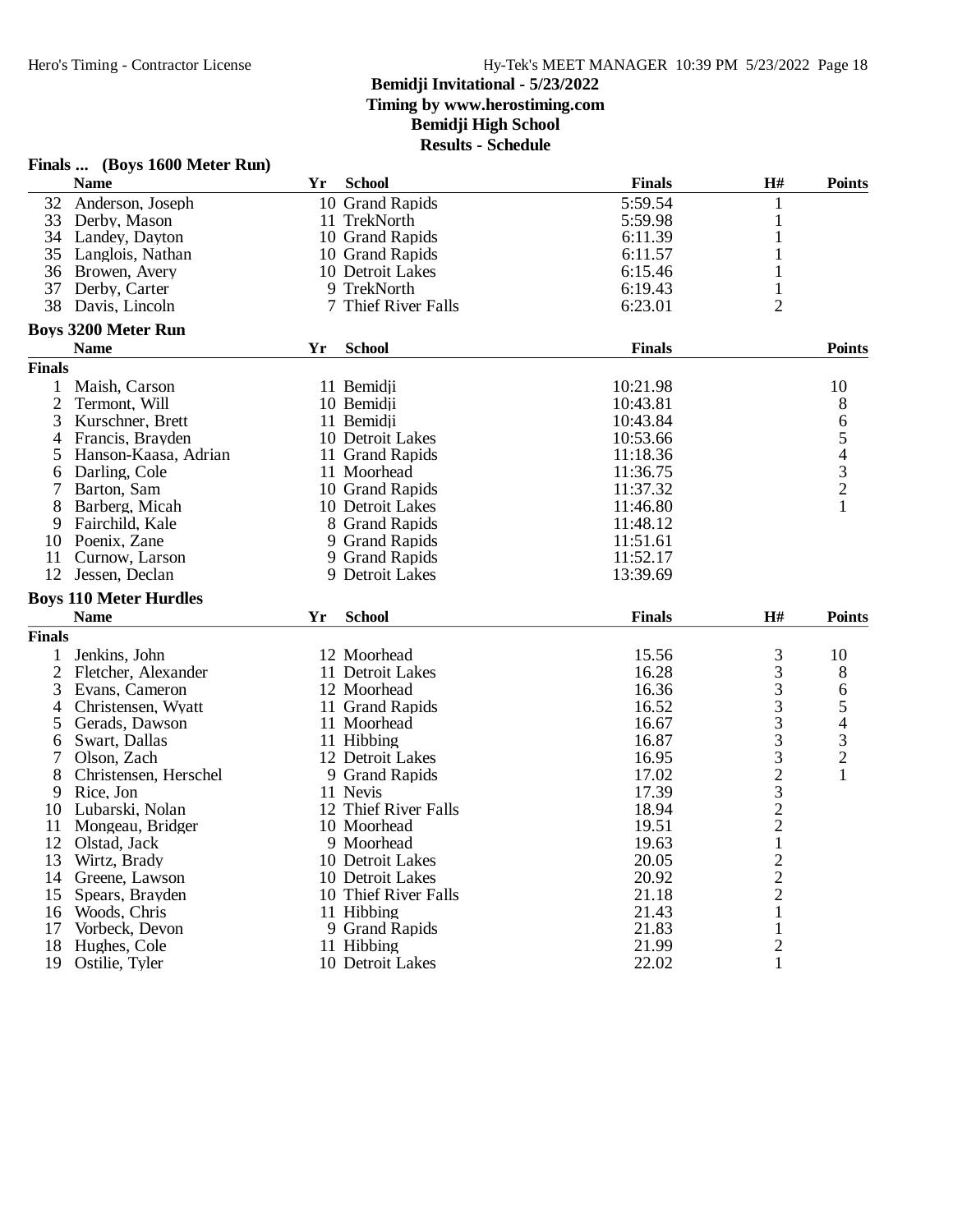|                | Finals  (Boys 1600 Meter Run) |    |                      |               |                                |                                            |
|----------------|-------------------------------|----|----------------------|---------------|--------------------------------|--------------------------------------------|
|                | <b>Name</b>                   | Yr | <b>School</b>        | <b>Finals</b> | H#                             | <b>Points</b>                              |
| 32             | Anderson, Joseph              |    | 10 Grand Rapids      | 5:59.54       | 1                              |                                            |
| 33             | Derby, Mason                  |    | 11 TrekNorth         | 5:59.98       | $\mathbf{1}$                   |                                            |
| 34             | Landey, Dayton                |    | 10 Grand Rapids      | 6:11.39       | 1                              |                                            |
| 35             | Langlois, Nathan              |    | 10 Grand Rapids      | 6:11.57       | 1                              |                                            |
| 36             | Browen, Avery                 |    | 10 Detroit Lakes     | 6:15.46       | 1                              |                                            |
| 37             | Derby, Carter                 |    | 9 TrekNorth          | 6:19.43       | $\mathbf{1}$                   |                                            |
| 38             | Davis, Lincoln                |    | 7 Thief River Falls  | 6:23.01       | $\overline{2}$                 |                                            |
|                | <b>Boys 3200 Meter Run</b>    |    |                      |               |                                |                                            |
|                | <b>Name</b>                   | Yr | <b>School</b>        | <b>Finals</b> |                                | <b>Points</b>                              |
| <b>Finals</b>  |                               |    |                      |               |                                |                                            |
|                | Maish, Carson                 |    | 11 Bemidji           | 10:21.98      |                                | 10                                         |
| 2              | Termont, Will                 |    | 10 Bemidji           | 10:43.81      |                                | 8                                          |
| 3              | Kurschner, Brett              |    | 11 Bemidji           | 10:43.84      |                                | 6                                          |
| 4              | Francis, Brayden              |    | 10 Detroit Lakes     | 10:53.66      |                                | 5                                          |
| 5              | Hanson-Kaasa, Adrian          |    | 11 Grand Rapids      | 11:18.36      |                                |                                            |
| 6              | Darling, Cole                 |    | 11 Moorhead          | 11:36.75      |                                | $\begin{array}{c} 4 \\ 3 \\ 2 \end{array}$ |
|                | Barton, Sam                   |    | 10 Grand Rapids      | 11:37.32      |                                |                                            |
| 8              | Barberg, Micah                |    | 10 Detroit Lakes     | 11:46.80      |                                |                                            |
| 9              | Fairchild, Kale               |    | 8 Grand Rapids       | 11:48.12      |                                |                                            |
| 10             | Poenix, Zane                  |    | 9 Grand Rapids       | 11:51.61      |                                |                                            |
| 11             | Curnow, Larson                |    | 9 Grand Rapids       | 11:52.17      |                                |                                            |
| 12             | Jessen, Declan                |    | 9 Detroit Lakes      | 13:39.69      |                                |                                            |
|                | <b>Boys 110 Meter Hurdles</b> |    |                      |               |                                |                                            |
|                | <b>Name</b>                   | Yr | <b>School</b>        | <b>Finals</b> | H#                             | <b>Points</b>                              |
| <b>Finals</b>  |                               |    |                      |               |                                |                                            |
|                | Jenkins, John                 |    | 12 Moorhead          | 15.56         | 3                              | 10                                         |
| $\overline{2}$ | Fletcher, Alexander           |    | 11 Detroit Lakes     | 16.28         | 3                              | 8                                          |
| 3              | Evans, Cameron                |    | 12 Moorhead          | 16.36         |                                | 6                                          |
| 4              | Christensen, Wyatt            |    | 11 Grand Rapids      | 16.52         |                                | 5                                          |
| 5              | Gerads, Dawson                |    | 11 Moorhead          | 16.67         |                                | $\overline{4}$                             |
| 6              | Swart, Dallas                 |    | 11 Hibbing           | 16.87         |                                |                                            |
| 7              | Olson, Zach                   |    | 12 Detroit Lakes     | 16.95         |                                |                                            |
| 8              | Christensen, Herschel         |    | 9 Grand Rapids       | 17.02         | 33332322                       | $\begin{array}{c} 3 \\ 2 \\ 1 \end{array}$ |
| 9              | Rice, Jon                     |    | 11 Nevis             | 17.39         |                                |                                            |
| 10             | Lubarski, Nolan               |    | 12 Thief River Falls | 18.94         |                                |                                            |
| 11             | Mongeau, Bridger              |    | 10 Moorhead          | 19.51         |                                |                                            |
| 12             | Olstad, Jack                  |    | 9 Moorhead           | 19.63         | $\mathbf{1}$                   |                                            |
| 13             | Wirtz, Brady                  |    | 10 Detroit Lakes     | 20.05         |                                |                                            |
| 14             | Greene, Lawson                |    | 10 Detroit Lakes     | 20.92         |                                |                                            |
| 15             | Spears, Brayden               |    | 10 Thief River Falls | 21.18         | $\frac{2}{2}$                  |                                            |
|                | 16 Woods, Chris               |    | 11 Hibbing           | 21.43         | $\mathbf{1}$                   |                                            |
|                | Vorbeck, Devon                |    | 9 Grand Rapids       | 21.83         |                                |                                            |
| 17<br>18       |                               |    |                      | 21.99         | $\mathbf{1}$                   |                                            |
|                | Hughes, Cole                  |    | 11 Hibbing           |               | $\overline{c}$<br>$\mathbf{1}$ |                                            |
| 19             | Ostilie, Tyler                |    | 10 Detroit Lakes     | 22.02         |                                |                                            |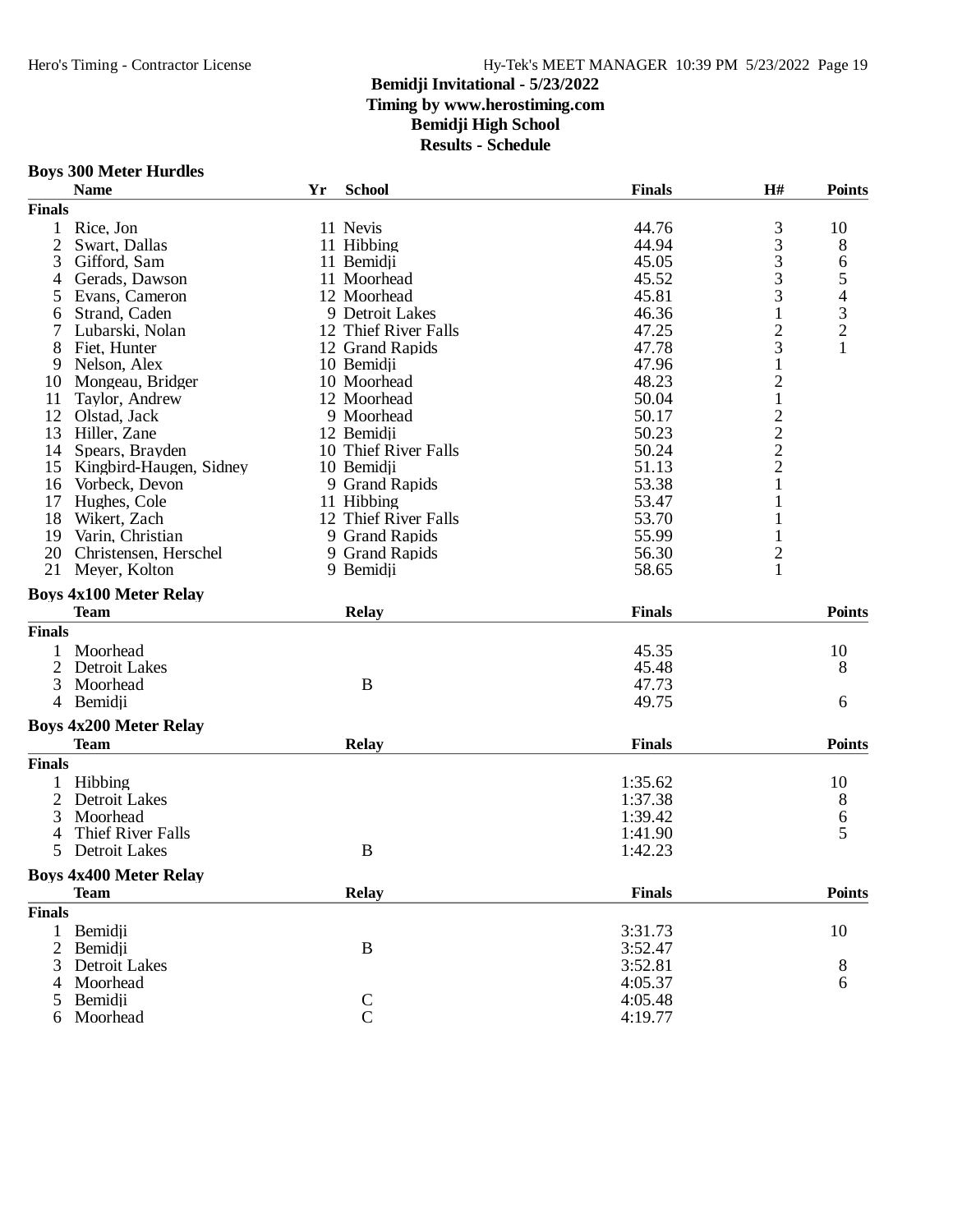**Boys 300 Meter Hurdles**

### Hero's Timing - Contractor License Hy-Tek's MEET MANAGER 10:39 PM 5/23/2022 Page 19

### **Bemidji Invitational - 5/23/2022 Timing by www.herostiming.com**

**Bemidji High School**

|                | <b>Name</b>                   | Yr | <b>School</b>        | <b>Finals</b> | H#                                                | <b>Points</b> |
|----------------|-------------------------------|----|----------------------|---------------|---------------------------------------------------|---------------|
| <b>Finals</b>  |                               |    |                      |               |                                                   |               |
| $\mathbf{1}$   | Rice, Jon                     |    | 11 Nevis             | 44.76         | 3                                                 | 10            |
| $\overline{2}$ | Swart, Dallas                 |    | 11 Hibbing           | 44.94         | 3                                                 | 8             |
| 3              | Gifford, Sam                  |    | 11 Bemidji           | 45.05         | 3                                                 |               |
| 4              | Gerads, Dawson                |    | 11 Moorhead          | 45.52         | 3                                                 | 654321        |
| 5              | Evans, Cameron                |    | 12 Moorhead          | 45.81         | 3                                                 |               |
| 6              | Strand, Caden                 |    | 9 Detroit Lakes      | 46.36         | $\mathbf{1}$                                      |               |
| 7              | Lubarski, Nolan               |    | 12 Thief River Falls | 47.25         |                                                   |               |
| 8              | Fiet, Hunter                  |    | 12 Grand Rapids      | 47.78         | $\frac{2}{3}$                                     |               |
| 9              | Nelson, Alex                  |    | 10 Bemidji           | 47.96         | $\mathbf{1}$                                      |               |
| 10             | Mongeau, Bridger              |    | 10 Moorhead          | 48.23         | $\overline{c}$                                    |               |
| 11             | Taylor, Andrew                |    | 12 Moorhead          | 50.04         | $\,1$                                             |               |
| 12             | Olstad, Jack                  |    | 9 Moorhead           | 50.17         |                                                   |               |
|                |                               |    |                      |               | $\begin{array}{c}\n2 \\ 2 \\ 2 \\ 1\n\end{array}$ |               |
| 13             | Hiller, Zane                  |    | 12 Bemidii           | 50.23         |                                                   |               |
| 14             | Spears, Brayden               |    | 10 Thief River Falls | 50.24         |                                                   |               |
|                | 15 Kingbird-Haugen, Sidney    |    | 10 Bemidji           | 51.13         |                                                   |               |
| 16             | Vorbeck, Devon                |    | 9 Grand Rapids       | 53.38         |                                                   |               |
| 17             | Hughes, Cole                  |    | 11 Hibbing           | 53.47         | 1                                                 |               |
| 18             | Wikert, Zach                  |    | 12 Thief River Falls | 53.70         | $\mathbf{1}$                                      |               |
| 19             | Varin, Christian              |    | 9 Grand Rapids       | 55.99         | $\mathbf{1}$                                      |               |
|                | 20 Christensen, Herschel      |    | 9 Grand Rapids       | 56.30         | $\overline{\mathbf{c}}$                           |               |
| 21             | Meyer, Kolton                 |    | 9 Bemidji            | 58.65         | $\mathbf{1}$                                      |               |
|                | <b>Boys 4x100 Meter Relay</b> |    |                      |               |                                                   |               |
|                | <b>Team</b>                   |    | <b>Relay</b>         | <b>Finals</b> |                                                   | <b>Points</b> |
| <b>Finals</b>  |                               |    |                      |               |                                                   |               |
|                |                               |    |                      |               |                                                   |               |
| 1              | Moorhead                      |    |                      | 45.35         |                                                   | 10            |
| $\overline{c}$ | <b>Detroit Lakes</b>          |    |                      | 45.48         |                                                   | 8             |
| 3              | Moorhead                      |    | $\bf{B}$             | 47.73         |                                                   |               |
| 4              | Bemidji                       |    |                      | 49.75         |                                                   | 6             |
|                | <b>Boys 4x200 Meter Relay</b> |    |                      |               |                                                   |               |
|                | <b>Team</b>                   |    | <b>Relay</b>         | <b>Finals</b> |                                                   | <b>Points</b> |
| <b>Finals</b>  |                               |    |                      |               |                                                   |               |
| 1              | Hibbing                       |    |                      | 1:35.62       |                                                   | 10            |
| $\mathbf{2}$   | Detroit Lakes                 |    |                      | 1:37.38       |                                                   | 8             |
| 3              | Moorhead                      |    |                      | 1:39.42       |                                                   | 6             |
|                | Thief River Falls             |    |                      | 1:41.90       |                                                   | 5             |
| 4<br>5         |                               |    | $\, {\bf B}$         |               |                                                   |               |
|                | Detroit Lakes                 |    |                      | 1:42.23       |                                                   |               |
|                | <b>Boys 4x400 Meter Relay</b> |    |                      |               |                                                   |               |
|                | <b>Team</b>                   |    | <b>Relay</b>         | <b>Finals</b> |                                                   | <b>Points</b> |
| <b>Finals</b>  |                               |    |                      |               |                                                   |               |
| $\mathbf{1}$   | Bemidji                       |    |                      | 3:31.73       |                                                   | 10            |
| $\overline{c}$ | Bemidji                       |    | $\, {\bf B}$         | 3:52.47       |                                                   |               |
| 3              | <b>Detroit Lakes</b>          |    |                      | 3:52.81       |                                                   | 8             |
| 4              | Moorhead                      |    |                      | 4:05.37       |                                                   | 6             |
| 5              | Bemidji                       |    |                      | 4:05.48       |                                                   |               |
| 6              | Moorhead                      |    | $\frac{C}{C}$        | 4:19.77       |                                                   |               |
|                |                               |    |                      |               |                                                   |               |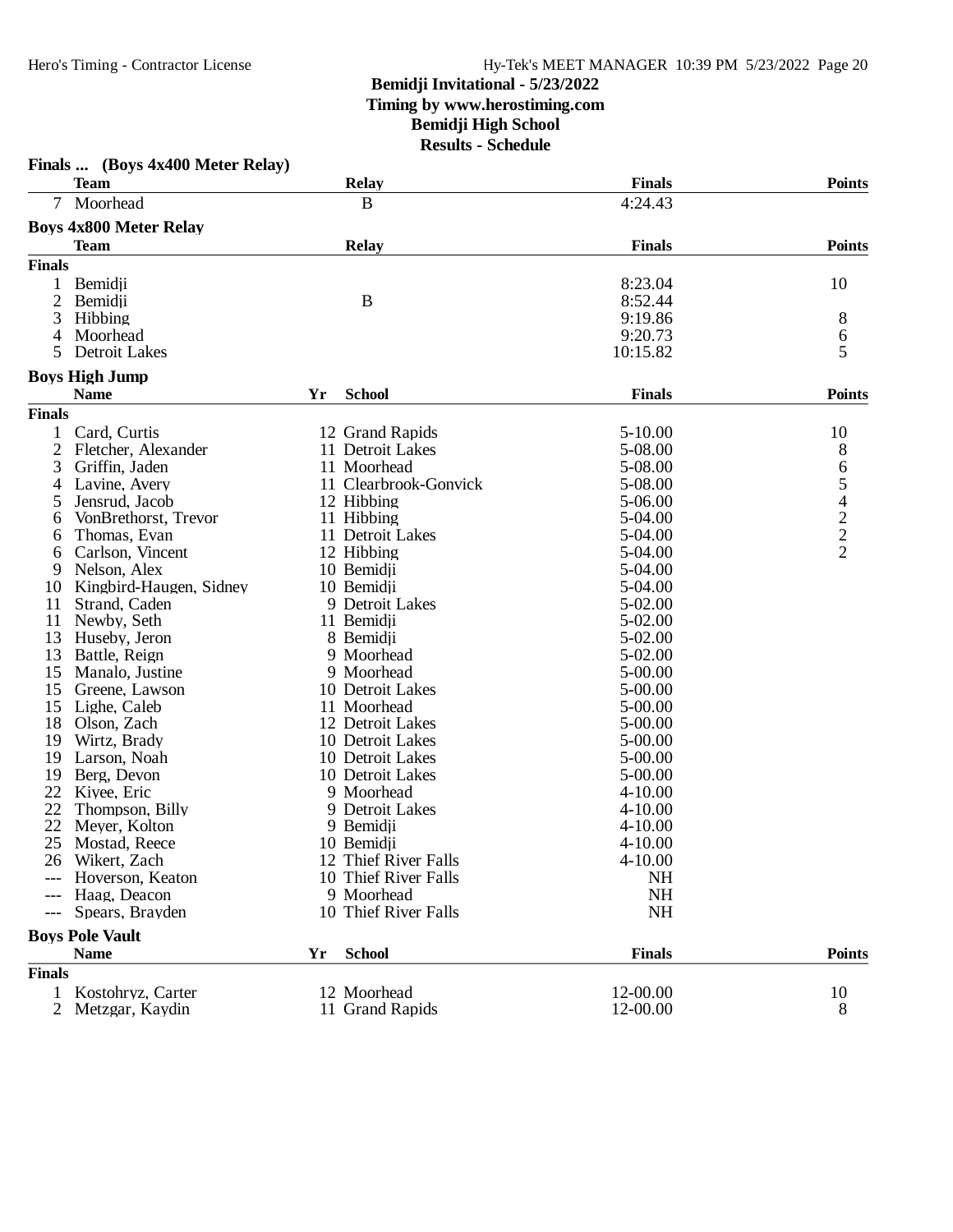### **Bemidji Invitational - 5/23/2022 Timing by www.herostiming.com**

## **Bemidji High School**

| <b>Finals</b><br><b>Points</b><br><b>Team</b><br><b>Relay</b><br>Moorhead<br>4:24.43<br>B<br>7<br><b>Boys 4x800 Meter Relay</b><br><b>Finals</b><br><b>Points</b><br><b>Team</b><br><b>Relay</b><br><b>Finals</b><br>8:23.04<br>10<br>1<br>Bemidji<br>$\overline{2}$<br>B<br>8:52.44<br>Bemidji<br>3<br>9:19.86<br>Hibbing<br>8<br>9:20.73<br>6<br>Moorhead<br>4<br>5<br>Detroit Lakes<br>10:15.82<br>5<br><b>Boys High Jump</b><br><b>School</b><br><b>Finals</b><br><b>Points</b><br><b>Name</b><br>Yr<br><b>Finals</b><br>$5 - 10.00$<br>Card, Curtis<br>12 Grand Rapids<br>10<br>1<br>2<br>5-08.00<br>8<br>Fletcher, Alexander<br>11 Detroit Lakes<br>654222<br>5-08.00<br>3<br>Griffin, Jaden<br>11 Moorhead<br>Lavine, Avery<br>11 Clearbrook-Gonvick<br>5-08.00<br>4<br>Jensrud, Jacob<br>12 Hibbing<br>5-06.00<br>5<br>11 Hibbing<br>VonBrethorst, Trevor<br>5-04.00<br>6<br>Thomas, Evan<br>11 Detroit Lakes<br>5-04.00<br>6<br>12 Hibbing<br>5-04.00<br>Carlson, Vincent<br>6<br>10 Bemidji<br>5-04.00<br>Nelson, Alex<br>9<br>10 Bemidji<br>5-04.00<br>Kingbird-Haugen, Sidney<br>10<br>5-02.00<br>11<br>Strand, Caden<br>9 Detroit Lakes<br>11<br>5-02.00<br>Newby, Seth<br>11 Bemidji<br>13<br>8 Bemidji<br>5-02.00<br>Huseby, Jeron<br>13<br>5-02.00<br>Battle, Reign<br>9 Moorhead<br>15<br>$5 - 00.00$<br>Manalo, Justine<br>9 Moorhead<br>15<br>Greene, Lawson<br>10 Detroit Lakes<br>$5 - 00.00$<br>15<br>Lighe, Caleb<br>11 Moorhead<br>5-00.00<br>18<br>Olson, Zach<br>12 Detroit Lakes<br>5-00.00<br>19<br>Wirtz, Brady<br>10 Detroit Lakes<br>5-00.00<br>10 Detroit Lakes<br>$5 - 00.00$<br>19<br>Larson, Noah<br>19<br>10 Detroit Lakes<br>$5 - 00.00$<br>Berg, Devon<br>22<br>9 Moorhead<br>Kiyee, Eric<br>$4 - 10.00$<br>22<br>Thompson, Billy<br>9 Detroit Lakes<br>$4 - 10.00$<br>22<br>Meyer, Kolton<br>9 Bemidji<br>$4 - 10.00$<br>25<br>10 Bemidji<br>$4 - 10.00$<br>Mostad, Reece<br>12 Thief River Falls<br>$4 - 10.00$<br>26 Wikert, Zach<br>10 Thief River Falls<br><b>NH</b><br>Hoverson, Keaton<br>9 Moorhead<br><b>NH</b><br>Haag, Deacon<br>$---$<br>10 Thief River Falls<br>NH<br>Spears, Brayden<br>$---$<br><b>Boys Pole Vault</b><br><b>School</b><br><b>Points</b><br><b>Name</b><br><b>Finals</b><br>Yr<br><b>Finals</b><br>12 Moorhead<br>12-00.00<br>1 Kostohryz, Carter<br>10<br>11 Grand Rapids<br>12-00.00<br>8<br>$\overline{2}$<br>Metzgar, Kaydin | Finals  (Boys 4x400 Meter Relay) |  |  |
|-------------------------------------------------------------------------------------------------------------------------------------------------------------------------------------------------------------------------------------------------------------------------------------------------------------------------------------------------------------------------------------------------------------------------------------------------------------------------------------------------------------------------------------------------------------------------------------------------------------------------------------------------------------------------------------------------------------------------------------------------------------------------------------------------------------------------------------------------------------------------------------------------------------------------------------------------------------------------------------------------------------------------------------------------------------------------------------------------------------------------------------------------------------------------------------------------------------------------------------------------------------------------------------------------------------------------------------------------------------------------------------------------------------------------------------------------------------------------------------------------------------------------------------------------------------------------------------------------------------------------------------------------------------------------------------------------------------------------------------------------------------------------------------------------------------------------------------------------------------------------------------------------------------------------------------------------------------------------------------------------------------------------------------------------------------------------------------------------------------------------------------------------------------------------------------------------------------------------------------------------------------------------------------------------------------------------------------------------------------------------------------------------------|----------------------------------|--|--|
|                                                                                                                                                                                                                                                                                                                                                                                                                                                                                                                                                                                                                                                                                                                                                                                                                                                                                                                                                                                                                                                                                                                                                                                                                                                                                                                                                                                                                                                                                                                                                                                                                                                                                                                                                                                                                                                                                                                                                                                                                                                                                                                                                                                                                                                                                                                                                                                                       |                                  |  |  |
|                                                                                                                                                                                                                                                                                                                                                                                                                                                                                                                                                                                                                                                                                                                                                                                                                                                                                                                                                                                                                                                                                                                                                                                                                                                                                                                                                                                                                                                                                                                                                                                                                                                                                                                                                                                                                                                                                                                                                                                                                                                                                                                                                                                                                                                                                                                                                                                                       |                                  |  |  |
|                                                                                                                                                                                                                                                                                                                                                                                                                                                                                                                                                                                                                                                                                                                                                                                                                                                                                                                                                                                                                                                                                                                                                                                                                                                                                                                                                                                                                                                                                                                                                                                                                                                                                                                                                                                                                                                                                                                                                                                                                                                                                                                                                                                                                                                                                                                                                                                                       |                                  |  |  |
|                                                                                                                                                                                                                                                                                                                                                                                                                                                                                                                                                                                                                                                                                                                                                                                                                                                                                                                                                                                                                                                                                                                                                                                                                                                                                                                                                                                                                                                                                                                                                                                                                                                                                                                                                                                                                                                                                                                                                                                                                                                                                                                                                                                                                                                                                                                                                                                                       |                                  |  |  |
|                                                                                                                                                                                                                                                                                                                                                                                                                                                                                                                                                                                                                                                                                                                                                                                                                                                                                                                                                                                                                                                                                                                                                                                                                                                                                                                                                                                                                                                                                                                                                                                                                                                                                                                                                                                                                                                                                                                                                                                                                                                                                                                                                                                                                                                                                                                                                                                                       |                                  |  |  |
|                                                                                                                                                                                                                                                                                                                                                                                                                                                                                                                                                                                                                                                                                                                                                                                                                                                                                                                                                                                                                                                                                                                                                                                                                                                                                                                                                                                                                                                                                                                                                                                                                                                                                                                                                                                                                                                                                                                                                                                                                                                                                                                                                                                                                                                                                                                                                                                                       |                                  |  |  |
|                                                                                                                                                                                                                                                                                                                                                                                                                                                                                                                                                                                                                                                                                                                                                                                                                                                                                                                                                                                                                                                                                                                                                                                                                                                                                                                                                                                                                                                                                                                                                                                                                                                                                                                                                                                                                                                                                                                                                                                                                                                                                                                                                                                                                                                                                                                                                                                                       |                                  |  |  |
|                                                                                                                                                                                                                                                                                                                                                                                                                                                                                                                                                                                                                                                                                                                                                                                                                                                                                                                                                                                                                                                                                                                                                                                                                                                                                                                                                                                                                                                                                                                                                                                                                                                                                                                                                                                                                                                                                                                                                                                                                                                                                                                                                                                                                                                                                                                                                                                                       |                                  |  |  |
|                                                                                                                                                                                                                                                                                                                                                                                                                                                                                                                                                                                                                                                                                                                                                                                                                                                                                                                                                                                                                                                                                                                                                                                                                                                                                                                                                                                                                                                                                                                                                                                                                                                                                                                                                                                                                                                                                                                                                                                                                                                                                                                                                                                                                                                                                                                                                                                                       |                                  |  |  |
|                                                                                                                                                                                                                                                                                                                                                                                                                                                                                                                                                                                                                                                                                                                                                                                                                                                                                                                                                                                                                                                                                                                                                                                                                                                                                                                                                                                                                                                                                                                                                                                                                                                                                                                                                                                                                                                                                                                                                                                                                                                                                                                                                                                                                                                                                                                                                                                                       |                                  |  |  |
|                                                                                                                                                                                                                                                                                                                                                                                                                                                                                                                                                                                                                                                                                                                                                                                                                                                                                                                                                                                                                                                                                                                                                                                                                                                                                                                                                                                                                                                                                                                                                                                                                                                                                                                                                                                                                                                                                                                                                                                                                                                                                                                                                                                                                                                                                                                                                                                                       |                                  |  |  |
|                                                                                                                                                                                                                                                                                                                                                                                                                                                                                                                                                                                                                                                                                                                                                                                                                                                                                                                                                                                                                                                                                                                                                                                                                                                                                                                                                                                                                                                                                                                                                                                                                                                                                                                                                                                                                                                                                                                                                                                                                                                                                                                                                                                                                                                                                                                                                                                                       |                                  |  |  |
|                                                                                                                                                                                                                                                                                                                                                                                                                                                                                                                                                                                                                                                                                                                                                                                                                                                                                                                                                                                                                                                                                                                                                                                                                                                                                                                                                                                                                                                                                                                                                                                                                                                                                                                                                                                                                                                                                                                                                                                                                                                                                                                                                                                                                                                                                                                                                                                                       |                                  |  |  |
|                                                                                                                                                                                                                                                                                                                                                                                                                                                                                                                                                                                                                                                                                                                                                                                                                                                                                                                                                                                                                                                                                                                                                                                                                                                                                                                                                                                                                                                                                                                                                                                                                                                                                                                                                                                                                                                                                                                                                                                                                                                                                                                                                                                                                                                                                                                                                                                                       |                                  |  |  |
|                                                                                                                                                                                                                                                                                                                                                                                                                                                                                                                                                                                                                                                                                                                                                                                                                                                                                                                                                                                                                                                                                                                                                                                                                                                                                                                                                                                                                                                                                                                                                                                                                                                                                                                                                                                                                                                                                                                                                                                                                                                                                                                                                                                                                                                                                                                                                                                                       |                                  |  |  |
|                                                                                                                                                                                                                                                                                                                                                                                                                                                                                                                                                                                                                                                                                                                                                                                                                                                                                                                                                                                                                                                                                                                                                                                                                                                                                                                                                                                                                                                                                                                                                                                                                                                                                                                                                                                                                                                                                                                                                                                                                                                                                                                                                                                                                                                                                                                                                                                                       |                                  |  |  |
|                                                                                                                                                                                                                                                                                                                                                                                                                                                                                                                                                                                                                                                                                                                                                                                                                                                                                                                                                                                                                                                                                                                                                                                                                                                                                                                                                                                                                                                                                                                                                                                                                                                                                                                                                                                                                                                                                                                                                                                                                                                                                                                                                                                                                                                                                                                                                                                                       |                                  |  |  |
|                                                                                                                                                                                                                                                                                                                                                                                                                                                                                                                                                                                                                                                                                                                                                                                                                                                                                                                                                                                                                                                                                                                                                                                                                                                                                                                                                                                                                                                                                                                                                                                                                                                                                                                                                                                                                                                                                                                                                                                                                                                                                                                                                                                                                                                                                                                                                                                                       |                                  |  |  |
|                                                                                                                                                                                                                                                                                                                                                                                                                                                                                                                                                                                                                                                                                                                                                                                                                                                                                                                                                                                                                                                                                                                                                                                                                                                                                                                                                                                                                                                                                                                                                                                                                                                                                                                                                                                                                                                                                                                                                                                                                                                                                                                                                                                                                                                                                                                                                                                                       |                                  |  |  |
|                                                                                                                                                                                                                                                                                                                                                                                                                                                                                                                                                                                                                                                                                                                                                                                                                                                                                                                                                                                                                                                                                                                                                                                                                                                                                                                                                                                                                                                                                                                                                                                                                                                                                                                                                                                                                                                                                                                                                                                                                                                                                                                                                                                                                                                                                                                                                                                                       |                                  |  |  |
|                                                                                                                                                                                                                                                                                                                                                                                                                                                                                                                                                                                                                                                                                                                                                                                                                                                                                                                                                                                                                                                                                                                                                                                                                                                                                                                                                                                                                                                                                                                                                                                                                                                                                                                                                                                                                                                                                                                                                                                                                                                                                                                                                                                                                                                                                                                                                                                                       |                                  |  |  |
|                                                                                                                                                                                                                                                                                                                                                                                                                                                                                                                                                                                                                                                                                                                                                                                                                                                                                                                                                                                                                                                                                                                                                                                                                                                                                                                                                                                                                                                                                                                                                                                                                                                                                                                                                                                                                                                                                                                                                                                                                                                                                                                                                                                                                                                                                                                                                                                                       |                                  |  |  |
|                                                                                                                                                                                                                                                                                                                                                                                                                                                                                                                                                                                                                                                                                                                                                                                                                                                                                                                                                                                                                                                                                                                                                                                                                                                                                                                                                                                                                                                                                                                                                                                                                                                                                                                                                                                                                                                                                                                                                                                                                                                                                                                                                                                                                                                                                                                                                                                                       |                                  |  |  |
|                                                                                                                                                                                                                                                                                                                                                                                                                                                                                                                                                                                                                                                                                                                                                                                                                                                                                                                                                                                                                                                                                                                                                                                                                                                                                                                                                                                                                                                                                                                                                                                                                                                                                                                                                                                                                                                                                                                                                                                                                                                                                                                                                                                                                                                                                                                                                                                                       |                                  |  |  |
|                                                                                                                                                                                                                                                                                                                                                                                                                                                                                                                                                                                                                                                                                                                                                                                                                                                                                                                                                                                                                                                                                                                                                                                                                                                                                                                                                                                                                                                                                                                                                                                                                                                                                                                                                                                                                                                                                                                                                                                                                                                                                                                                                                                                                                                                                                                                                                                                       |                                  |  |  |
|                                                                                                                                                                                                                                                                                                                                                                                                                                                                                                                                                                                                                                                                                                                                                                                                                                                                                                                                                                                                                                                                                                                                                                                                                                                                                                                                                                                                                                                                                                                                                                                                                                                                                                                                                                                                                                                                                                                                                                                                                                                                                                                                                                                                                                                                                                                                                                                                       |                                  |  |  |
|                                                                                                                                                                                                                                                                                                                                                                                                                                                                                                                                                                                                                                                                                                                                                                                                                                                                                                                                                                                                                                                                                                                                                                                                                                                                                                                                                                                                                                                                                                                                                                                                                                                                                                                                                                                                                                                                                                                                                                                                                                                                                                                                                                                                                                                                                                                                                                                                       |                                  |  |  |
|                                                                                                                                                                                                                                                                                                                                                                                                                                                                                                                                                                                                                                                                                                                                                                                                                                                                                                                                                                                                                                                                                                                                                                                                                                                                                                                                                                                                                                                                                                                                                                                                                                                                                                                                                                                                                                                                                                                                                                                                                                                                                                                                                                                                                                                                                                                                                                                                       |                                  |  |  |
|                                                                                                                                                                                                                                                                                                                                                                                                                                                                                                                                                                                                                                                                                                                                                                                                                                                                                                                                                                                                                                                                                                                                                                                                                                                                                                                                                                                                                                                                                                                                                                                                                                                                                                                                                                                                                                                                                                                                                                                                                                                                                                                                                                                                                                                                                                                                                                                                       |                                  |  |  |
|                                                                                                                                                                                                                                                                                                                                                                                                                                                                                                                                                                                                                                                                                                                                                                                                                                                                                                                                                                                                                                                                                                                                                                                                                                                                                                                                                                                                                                                                                                                                                                                                                                                                                                                                                                                                                                                                                                                                                                                                                                                                                                                                                                                                                                                                                                                                                                                                       |                                  |  |  |
|                                                                                                                                                                                                                                                                                                                                                                                                                                                                                                                                                                                                                                                                                                                                                                                                                                                                                                                                                                                                                                                                                                                                                                                                                                                                                                                                                                                                                                                                                                                                                                                                                                                                                                                                                                                                                                                                                                                                                                                                                                                                                                                                                                                                                                                                                                                                                                                                       |                                  |  |  |
|                                                                                                                                                                                                                                                                                                                                                                                                                                                                                                                                                                                                                                                                                                                                                                                                                                                                                                                                                                                                                                                                                                                                                                                                                                                                                                                                                                                                                                                                                                                                                                                                                                                                                                                                                                                                                                                                                                                                                                                                                                                                                                                                                                                                                                                                                                                                                                                                       |                                  |  |  |
|                                                                                                                                                                                                                                                                                                                                                                                                                                                                                                                                                                                                                                                                                                                                                                                                                                                                                                                                                                                                                                                                                                                                                                                                                                                                                                                                                                                                                                                                                                                                                                                                                                                                                                                                                                                                                                                                                                                                                                                                                                                                                                                                                                                                                                                                                                                                                                                                       |                                  |  |  |
|                                                                                                                                                                                                                                                                                                                                                                                                                                                                                                                                                                                                                                                                                                                                                                                                                                                                                                                                                                                                                                                                                                                                                                                                                                                                                                                                                                                                                                                                                                                                                                                                                                                                                                                                                                                                                                                                                                                                                                                                                                                                                                                                                                                                                                                                                                                                                                                                       |                                  |  |  |
|                                                                                                                                                                                                                                                                                                                                                                                                                                                                                                                                                                                                                                                                                                                                                                                                                                                                                                                                                                                                                                                                                                                                                                                                                                                                                                                                                                                                                                                                                                                                                                                                                                                                                                                                                                                                                                                                                                                                                                                                                                                                                                                                                                                                                                                                                                                                                                                                       |                                  |  |  |
|                                                                                                                                                                                                                                                                                                                                                                                                                                                                                                                                                                                                                                                                                                                                                                                                                                                                                                                                                                                                                                                                                                                                                                                                                                                                                                                                                                                                                                                                                                                                                                                                                                                                                                                                                                                                                                                                                                                                                                                                                                                                                                                                                                                                                                                                                                                                                                                                       |                                  |  |  |
|                                                                                                                                                                                                                                                                                                                                                                                                                                                                                                                                                                                                                                                                                                                                                                                                                                                                                                                                                                                                                                                                                                                                                                                                                                                                                                                                                                                                                                                                                                                                                                                                                                                                                                                                                                                                                                                                                                                                                                                                                                                                                                                                                                                                                                                                                                                                                                                                       |                                  |  |  |
|                                                                                                                                                                                                                                                                                                                                                                                                                                                                                                                                                                                                                                                                                                                                                                                                                                                                                                                                                                                                                                                                                                                                                                                                                                                                                                                                                                                                                                                                                                                                                                                                                                                                                                                                                                                                                                                                                                                                                                                                                                                                                                                                                                                                                                                                                                                                                                                                       |                                  |  |  |
|                                                                                                                                                                                                                                                                                                                                                                                                                                                                                                                                                                                                                                                                                                                                                                                                                                                                                                                                                                                                                                                                                                                                                                                                                                                                                                                                                                                                                                                                                                                                                                                                                                                                                                                                                                                                                                                                                                                                                                                                                                                                                                                                                                                                                                                                                                                                                                                                       |                                  |  |  |
|                                                                                                                                                                                                                                                                                                                                                                                                                                                                                                                                                                                                                                                                                                                                                                                                                                                                                                                                                                                                                                                                                                                                                                                                                                                                                                                                                                                                                                                                                                                                                                                                                                                                                                                                                                                                                                                                                                                                                                                                                                                                                                                                                                                                                                                                                                                                                                                                       |                                  |  |  |
|                                                                                                                                                                                                                                                                                                                                                                                                                                                                                                                                                                                                                                                                                                                                                                                                                                                                                                                                                                                                                                                                                                                                                                                                                                                                                                                                                                                                                                                                                                                                                                                                                                                                                                                                                                                                                                                                                                                                                                                                                                                                                                                                                                                                                                                                                                                                                                                                       |                                  |  |  |
|                                                                                                                                                                                                                                                                                                                                                                                                                                                                                                                                                                                                                                                                                                                                                                                                                                                                                                                                                                                                                                                                                                                                                                                                                                                                                                                                                                                                                                                                                                                                                                                                                                                                                                                                                                                                                                                                                                                                                                                                                                                                                                                                                                                                                                                                                                                                                                                                       |                                  |  |  |
|                                                                                                                                                                                                                                                                                                                                                                                                                                                                                                                                                                                                                                                                                                                                                                                                                                                                                                                                                                                                                                                                                                                                                                                                                                                                                                                                                                                                                                                                                                                                                                                                                                                                                                                                                                                                                                                                                                                                                                                                                                                                                                                                                                                                                                                                                                                                                                                                       |                                  |  |  |
|                                                                                                                                                                                                                                                                                                                                                                                                                                                                                                                                                                                                                                                                                                                                                                                                                                                                                                                                                                                                                                                                                                                                                                                                                                                                                                                                                                                                                                                                                                                                                                                                                                                                                                                                                                                                                                                                                                                                                                                                                                                                                                                                                                                                                                                                                                                                                                                                       |                                  |  |  |
|                                                                                                                                                                                                                                                                                                                                                                                                                                                                                                                                                                                                                                                                                                                                                                                                                                                                                                                                                                                                                                                                                                                                                                                                                                                                                                                                                                                                                                                                                                                                                                                                                                                                                                                                                                                                                                                                                                                                                                                                                                                                                                                                                                                                                                                                                                                                                                                                       |                                  |  |  |
|                                                                                                                                                                                                                                                                                                                                                                                                                                                                                                                                                                                                                                                                                                                                                                                                                                                                                                                                                                                                                                                                                                                                                                                                                                                                                                                                                                                                                                                                                                                                                                                                                                                                                                                                                                                                                                                                                                                                                                                                                                                                                                                                                                                                                                                                                                                                                                                                       |                                  |  |  |
|                                                                                                                                                                                                                                                                                                                                                                                                                                                                                                                                                                                                                                                                                                                                                                                                                                                                                                                                                                                                                                                                                                                                                                                                                                                                                                                                                                                                                                                                                                                                                                                                                                                                                                                                                                                                                                                                                                                                                                                                                                                                                                                                                                                                                                                                                                                                                                                                       |                                  |  |  |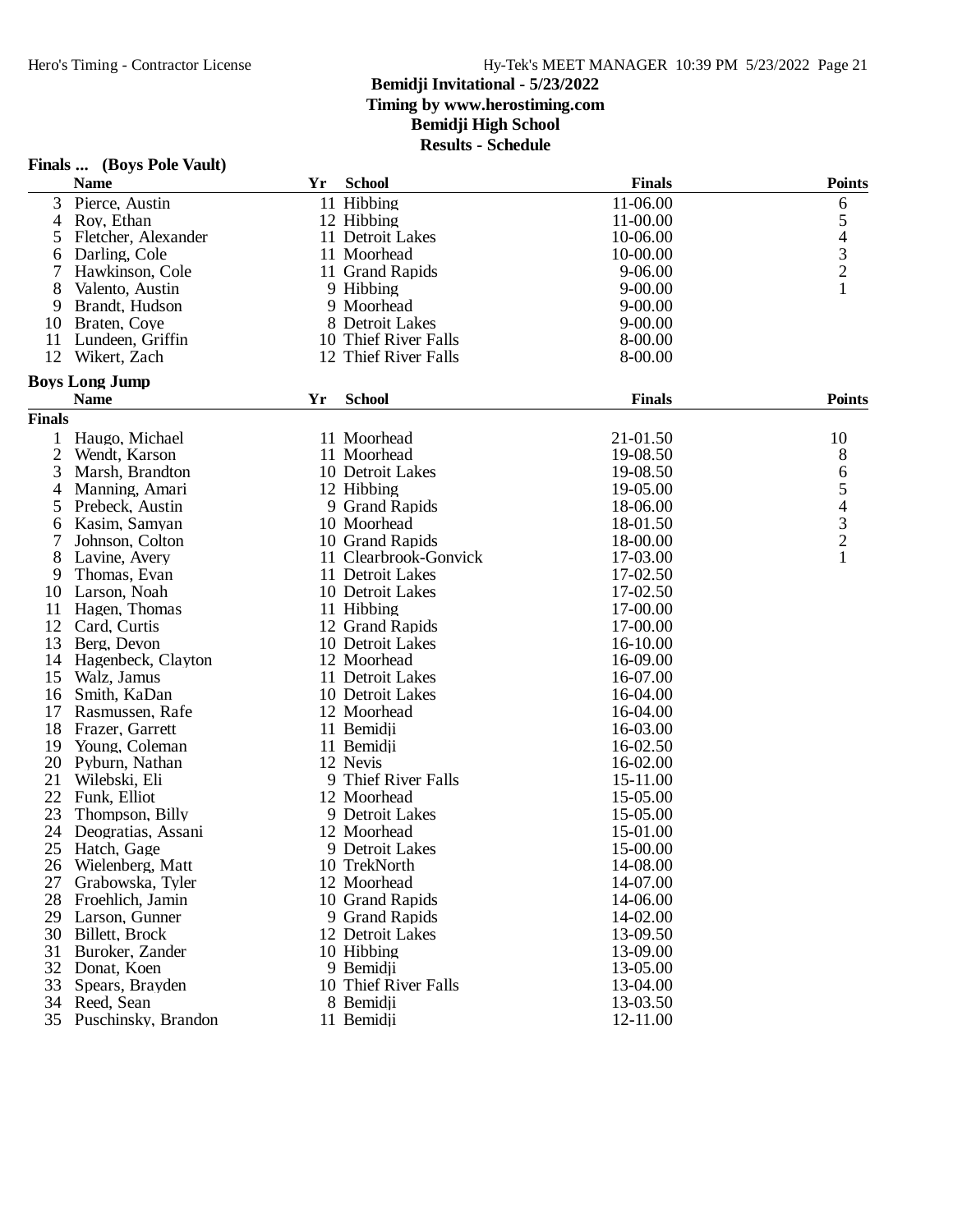|                | Finals  (Boys Pole Vault) |    |                       |               |                                            |
|----------------|---------------------------|----|-----------------------|---------------|--------------------------------------------|
|                | <b>Name</b>               | Yr | <b>School</b>         | <b>Finals</b> | <b>Points</b>                              |
| 3              | Pierce, Austin            |    | 11 Hibbing            | 11-06.00      | 6                                          |
| 4              | Roy, Ethan                |    | 12 Hibbing            | 11-00.00      | 5                                          |
| 5              | Fletcher, Alexander       |    | 11 Detroit Lakes      | 10-06.00      |                                            |
| 6              | Darling, Cole             |    | 11 Moorhead           | 10-00.00      | $\begin{array}{c} 4 \\ 3 \\ 2 \end{array}$ |
| 7              | Hawkinson, Cole           |    | 11 Grand Rapids       | 9-06.00       |                                            |
| 8              | Valento, Austin           |    | 9 Hibbing             | $9 - 00.00$   | 1                                          |
| 9              | Brandt, Hudson            |    | 9 Moorhead            | $9 - 00.00$   |                                            |
| 10             | Braten, Coye              |    | 8 Detroit Lakes       | $9 - 00.00$   |                                            |
| 11             | Lundeen, Griffin          |    | 10 Thief River Falls  | 8-00.00       |                                            |
| 12             | Wikert, Zach              |    | 12 Thief River Falls  | 8-00.00       |                                            |
|                | <b>Boys Long Jump</b>     |    |                       |               |                                            |
|                | <b>Name</b>               | Yr | <b>School</b>         | <b>Finals</b> | <b>Points</b>                              |
| <b>Finals</b>  |                           |    |                       |               |                                            |
| 1              | Haugo, Michael            |    | 11 Moorhead           | 21-01.50      | 10                                         |
| $\overline{2}$ | Wendt, Karson             |    | 11 Moorhead           | 19-08.50      | 8                                          |
| 3              | Marsh, Brandton           |    | 10 Detroit Lakes      | 19-08.50      | 6                                          |
| 4              | Manning, Amari            |    | 12 Hibbing            | 19-05.00      | $\mathfrak s$                              |
| 5              | Prebeck, Austin           |    | 9 Grand Rapids        | 18-06.00      |                                            |
| 6              | Kasim, Samyan             |    | 10 Moorhead           | 18-01.50      | $\begin{array}{c} 4 \\ 3 \\ 2 \end{array}$ |
|                | Johnson, Colton           |    | 10 Grand Rapids       | 18-00.00      |                                            |
| 8              | Lavine, Avery             |    | 11 Clearbrook-Gonvick | 17-03.00      | $\mathbf{1}$                               |
| 9              | Thomas, Evan              |    | 11 Detroit Lakes      | 17-02.50      |                                            |
| 10             | Larson, Noah              |    | 10 Detroit Lakes      | 17-02.50      |                                            |
| 11             | Hagen, Thomas             |    | 11 Hibbing            | 17-00.00      |                                            |
| 12             | Card, Curtis              |    | 12 Grand Rapids       | 17-00.00      |                                            |
| 13             | Berg, Devon               |    | 10 Detroit Lakes      | 16-10.00      |                                            |
| 14             | Hagenbeck, Clayton        |    | 12 Moorhead           | 16-09.00      |                                            |
| 15             | Walz, Jamus               |    | 11 Detroit Lakes      | 16-07.00      |                                            |
| 16             | Smith, KaDan              |    | 10 Detroit Lakes      | 16-04.00      |                                            |
| 17             | Rasmussen, Rafe           |    | 12 Moorhead           | 16-04.00      |                                            |
| 18             | Frazer, Garrett           |    | 11 Bemidji            | 16-03.00      |                                            |
| 19             | Young, Coleman            |    | 11 Bemidji            | 16-02.50      |                                            |
| 20             | Pyburn, Nathan            |    | 12 Nevis              | 16-02.00      |                                            |
| 21             | Wilebski, Eli             |    | 9 Thief River Falls   | 15-11.00      |                                            |
| 22             | Funk, Elliot              |    | 12 Moorhead           | 15-05.00      |                                            |
| 23             | Thompson, Billy           |    | 9 Detroit Lakes       | 15-05.00      |                                            |
| 24             | Deogratias, Assani        |    | 12 Moorhead           | 15-01.00      |                                            |
|                | 25 Hatch, Gage            |    | 9 Detroit Lakes       | 15-00.00      |                                            |
|                | 26 Wielenberg, Matt       |    | 10 TrekNorth          | 14-08.00      |                                            |
| 27             | Grabowska, Tyler          |    | 12 Moorhead           | 14-07.00      |                                            |
|                | 28 Froehlich, Jamin       |    | 10 Grand Rapids       | 14-06.00      |                                            |
|                | 29 Larson, Gunner         |    | 9 Grand Rapids        | 14-02.00      |                                            |
|                | 30 Billett, Brock         |    | 12 Detroit Lakes      | 13-09.50      |                                            |
| 31             | Buroker, Zander           |    | 10 Hibbing            | 13-09.00      |                                            |
| 32             | Donat, Koen               |    | 9 Bemidii             | 13-05.00      |                                            |
|                | 33 Spears, Brayden        |    | 10 Thief River Falls  | 13-04.00      |                                            |
|                | 34 Reed, Sean             |    | 8 Bemidji             | 13-03.50      |                                            |
|                | 35 Puschinsky, Brandon    |    | 11 Bemidji            | 12-11.00      |                                            |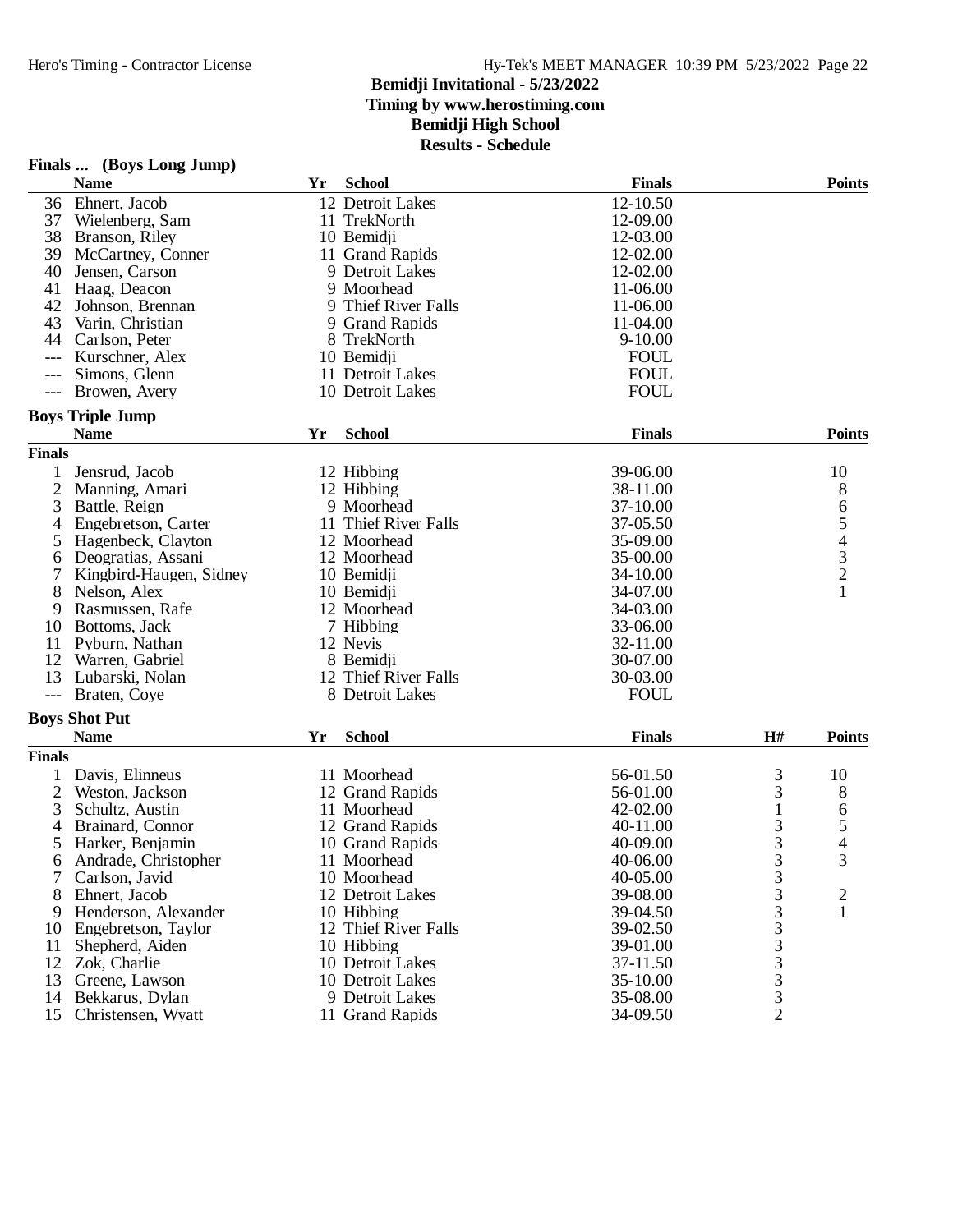## **Bemidji Invitational - 5/23/2022 Timing by www.herostiming.com**

**Bemidji High School**

| <b>School</b><br><b>Finals</b><br><b>Points</b><br><b>Name</b><br>Yr<br>12-10.50<br>36<br>Ehnert, Jacob<br>12 Detroit Lakes<br>12-09.00<br>37<br>Wielenberg, Sam<br>11 TrekNorth<br>38<br>12-03.00<br>Branson, Riley<br>10 Bemidji<br>39<br>12-02.00<br>11 Grand Rapids<br>McCartney, Conner<br>40<br>12-02.00<br>Jensen, Carson<br>9 Detroit Lakes<br>41<br>9 Moorhead<br>11-06.00<br>Haag, Deacon<br>9 Thief River Falls<br>42<br>11-06.00<br>Johnson, Brennan<br>43<br>9 Grand Rapids<br>11-04.00<br>Varin, Christian<br>$9 - 10.00$<br>44<br>8 TrekNorth<br>Carlson, Peter<br><b>FOUL</b><br>Kurschner, Alex<br>10 Bemidji<br>---<br><b>FOUL</b><br>Simons, Glenn<br>11 Detroit Lakes<br>---<br>Browen, Avery<br>10 Detroit Lakes<br><b>FOUL</b><br>$---$<br><b>Boys Triple Jump</b><br><b>School</b><br><b>Points</b><br>Yr<br><b>Finals</b><br><b>Name</b><br><b>Finals</b><br>39-06.00<br>10<br>1<br>Jensrud, Jacob<br>12 Hibbing<br>$\mathbf{2}$<br>8<br>12 Hibbing<br>38-11.00<br>Manning, Amari<br>65432<br>3<br>37-10.00<br>Battle, Reign<br>9 Moorhead<br>11 Thief River Falls<br>Engebretson, Carter<br>37-05.50<br>4<br>Hagenbeck, Clayton<br>12 Moorhead<br>35-09.00<br>5<br>35-00.00<br>Deogratias, Assani<br>12 Moorhead<br>6<br>34-10.00<br>7<br>Kingbird-Haugen, Sidney<br>10 Bemidji<br>$\mathbf{1}$<br>8<br>10 Bemidji<br>34-07.00<br>Nelson, Alex<br>34-03.00<br>9<br>Rasmussen, Rafe<br>12 Moorhead<br>33-06.00<br>Bottoms, Jack<br>7 Hibbing<br>10<br>11<br>Pyburn, Nathan<br>12 Nevis<br>32-11.00<br>12<br>8 Bemidii<br>30-07.00<br>Warren, Gabriel<br>13<br>12 Thief River Falls<br>30-03.00<br>Lubarski, Nolan<br>8 Detroit Lakes<br><b>FOUL</b><br>Braten, Coye<br>$---$<br><b>Boys Shot Put</b><br><b>School</b><br>H#<br><b>Points</b><br><b>Name</b><br>Yr<br><b>Finals</b><br><b>Finals</b><br>3<br>1<br>Davis, Elinneus<br>11 Moorhead<br>56-01.50<br>10<br>3<br>2<br>8<br>Weston, Jackson<br>12 Grand Rapids<br>56-01.00<br>42-02.00<br>$\mathbf{1}$<br>6<br>3<br>Schultz, Austin<br>11 Moorhead<br>5<br>3<br>12 Grand Rapids<br>40-11.00<br>4<br>Brainard, Connor<br>3<br>4<br>5<br>Harker, Benjamin<br>10 Grand Rapids<br>40-09.00<br>Andrade, Christopher<br>11 Moorhead<br>3<br>3<br>40-06.00<br>6<br>$\frac{3}{3}$<br>Carlson, Javid<br>10 Moorhead<br>40-05.00<br>Ehnert, Jacob<br>12 Detroit Lakes<br>8<br>39-08.00<br>$\overline{\mathbf{c}}$<br>3<br>Henderson, Alexander<br>39-04.50<br>1<br>10 Hibbing<br>9<br>$\begin{array}{c}\n3 \\ 3 \\ 3 \\ 3\n\end{array}$<br>12 Thief River Falls<br>39-02.50<br>Engebretson, Taylor<br>10<br>39-01.00<br>11<br>Shepherd, Aiden<br>10 Hibbing<br>12<br>Zok, Charlie<br>10 Detroit Lakes<br>37-11.50<br>35-10.00<br>13<br>Greene, Lawson<br>10 Detroit Lakes<br>Bekkarus, Dylan<br>9 Detroit Lakes<br>14<br>35-08.00<br>$\overline{2}$<br>15<br>Christensen, Wyatt<br>11 Grand Rapids<br>34-09.50 | Finals  (Boys Long Jump) |  |  |  |
|--------------------------------------------------------------------------------------------------------------------------------------------------------------------------------------------------------------------------------------------------------------------------------------------------------------------------------------------------------------------------------------------------------------------------------------------------------------------------------------------------------------------------------------------------------------------------------------------------------------------------------------------------------------------------------------------------------------------------------------------------------------------------------------------------------------------------------------------------------------------------------------------------------------------------------------------------------------------------------------------------------------------------------------------------------------------------------------------------------------------------------------------------------------------------------------------------------------------------------------------------------------------------------------------------------------------------------------------------------------------------------------------------------------------------------------------------------------------------------------------------------------------------------------------------------------------------------------------------------------------------------------------------------------------------------------------------------------------------------------------------------------------------------------------------------------------------------------------------------------------------------------------------------------------------------------------------------------------------------------------------------------------------------------------------------------------------------------------------------------------------------------------------------------------------------------------------------------------------------------------------------------------------------------------------------------------------------------------------------------------------------------------------------------------------------------------------------------------------------------------------------------------------------------------------------------------------------------------------------------------------------------------------------------------------------------------------------------------------------------------------------------------------------------------------------------------------------------------------------------------------------------|--------------------------|--|--|--|
|                                                                                                                                                                                                                                                                                                                                                                                                                                                                                                                                                                                                                                                                                                                                                                                                                                                                                                                                                                                                                                                                                                                                                                                                                                                                                                                                                                                                                                                                                                                                                                                                                                                                                                                                                                                                                                                                                                                                                                                                                                                                                                                                                                                                                                                                                                                                                                                                                                                                                                                                                                                                                                                                                                                                                                                                                                                                                      |                          |  |  |  |
|                                                                                                                                                                                                                                                                                                                                                                                                                                                                                                                                                                                                                                                                                                                                                                                                                                                                                                                                                                                                                                                                                                                                                                                                                                                                                                                                                                                                                                                                                                                                                                                                                                                                                                                                                                                                                                                                                                                                                                                                                                                                                                                                                                                                                                                                                                                                                                                                                                                                                                                                                                                                                                                                                                                                                                                                                                                                                      |                          |  |  |  |
|                                                                                                                                                                                                                                                                                                                                                                                                                                                                                                                                                                                                                                                                                                                                                                                                                                                                                                                                                                                                                                                                                                                                                                                                                                                                                                                                                                                                                                                                                                                                                                                                                                                                                                                                                                                                                                                                                                                                                                                                                                                                                                                                                                                                                                                                                                                                                                                                                                                                                                                                                                                                                                                                                                                                                                                                                                                                                      |                          |  |  |  |
|                                                                                                                                                                                                                                                                                                                                                                                                                                                                                                                                                                                                                                                                                                                                                                                                                                                                                                                                                                                                                                                                                                                                                                                                                                                                                                                                                                                                                                                                                                                                                                                                                                                                                                                                                                                                                                                                                                                                                                                                                                                                                                                                                                                                                                                                                                                                                                                                                                                                                                                                                                                                                                                                                                                                                                                                                                                                                      |                          |  |  |  |
|                                                                                                                                                                                                                                                                                                                                                                                                                                                                                                                                                                                                                                                                                                                                                                                                                                                                                                                                                                                                                                                                                                                                                                                                                                                                                                                                                                                                                                                                                                                                                                                                                                                                                                                                                                                                                                                                                                                                                                                                                                                                                                                                                                                                                                                                                                                                                                                                                                                                                                                                                                                                                                                                                                                                                                                                                                                                                      |                          |  |  |  |
|                                                                                                                                                                                                                                                                                                                                                                                                                                                                                                                                                                                                                                                                                                                                                                                                                                                                                                                                                                                                                                                                                                                                                                                                                                                                                                                                                                                                                                                                                                                                                                                                                                                                                                                                                                                                                                                                                                                                                                                                                                                                                                                                                                                                                                                                                                                                                                                                                                                                                                                                                                                                                                                                                                                                                                                                                                                                                      |                          |  |  |  |
|                                                                                                                                                                                                                                                                                                                                                                                                                                                                                                                                                                                                                                                                                                                                                                                                                                                                                                                                                                                                                                                                                                                                                                                                                                                                                                                                                                                                                                                                                                                                                                                                                                                                                                                                                                                                                                                                                                                                                                                                                                                                                                                                                                                                                                                                                                                                                                                                                                                                                                                                                                                                                                                                                                                                                                                                                                                                                      |                          |  |  |  |
|                                                                                                                                                                                                                                                                                                                                                                                                                                                                                                                                                                                                                                                                                                                                                                                                                                                                                                                                                                                                                                                                                                                                                                                                                                                                                                                                                                                                                                                                                                                                                                                                                                                                                                                                                                                                                                                                                                                                                                                                                                                                                                                                                                                                                                                                                                                                                                                                                                                                                                                                                                                                                                                                                                                                                                                                                                                                                      |                          |  |  |  |
|                                                                                                                                                                                                                                                                                                                                                                                                                                                                                                                                                                                                                                                                                                                                                                                                                                                                                                                                                                                                                                                                                                                                                                                                                                                                                                                                                                                                                                                                                                                                                                                                                                                                                                                                                                                                                                                                                                                                                                                                                                                                                                                                                                                                                                                                                                                                                                                                                                                                                                                                                                                                                                                                                                                                                                                                                                                                                      |                          |  |  |  |
|                                                                                                                                                                                                                                                                                                                                                                                                                                                                                                                                                                                                                                                                                                                                                                                                                                                                                                                                                                                                                                                                                                                                                                                                                                                                                                                                                                                                                                                                                                                                                                                                                                                                                                                                                                                                                                                                                                                                                                                                                                                                                                                                                                                                                                                                                                                                                                                                                                                                                                                                                                                                                                                                                                                                                                                                                                                                                      |                          |  |  |  |
|                                                                                                                                                                                                                                                                                                                                                                                                                                                                                                                                                                                                                                                                                                                                                                                                                                                                                                                                                                                                                                                                                                                                                                                                                                                                                                                                                                                                                                                                                                                                                                                                                                                                                                                                                                                                                                                                                                                                                                                                                                                                                                                                                                                                                                                                                                                                                                                                                                                                                                                                                                                                                                                                                                                                                                                                                                                                                      |                          |  |  |  |
|                                                                                                                                                                                                                                                                                                                                                                                                                                                                                                                                                                                                                                                                                                                                                                                                                                                                                                                                                                                                                                                                                                                                                                                                                                                                                                                                                                                                                                                                                                                                                                                                                                                                                                                                                                                                                                                                                                                                                                                                                                                                                                                                                                                                                                                                                                                                                                                                                                                                                                                                                                                                                                                                                                                                                                                                                                                                                      |                          |  |  |  |
|                                                                                                                                                                                                                                                                                                                                                                                                                                                                                                                                                                                                                                                                                                                                                                                                                                                                                                                                                                                                                                                                                                                                                                                                                                                                                                                                                                                                                                                                                                                                                                                                                                                                                                                                                                                                                                                                                                                                                                                                                                                                                                                                                                                                                                                                                                                                                                                                                                                                                                                                                                                                                                                                                                                                                                                                                                                                                      |                          |  |  |  |
|                                                                                                                                                                                                                                                                                                                                                                                                                                                                                                                                                                                                                                                                                                                                                                                                                                                                                                                                                                                                                                                                                                                                                                                                                                                                                                                                                                                                                                                                                                                                                                                                                                                                                                                                                                                                                                                                                                                                                                                                                                                                                                                                                                                                                                                                                                                                                                                                                                                                                                                                                                                                                                                                                                                                                                                                                                                                                      |                          |  |  |  |
|                                                                                                                                                                                                                                                                                                                                                                                                                                                                                                                                                                                                                                                                                                                                                                                                                                                                                                                                                                                                                                                                                                                                                                                                                                                                                                                                                                                                                                                                                                                                                                                                                                                                                                                                                                                                                                                                                                                                                                                                                                                                                                                                                                                                                                                                                                                                                                                                                                                                                                                                                                                                                                                                                                                                                                                                                                                                                      |                          |  |  |  |
|                                                                                                                                                                                                                                                                                                                                                                                                                                                                                                                                                                                                                                                                                                                                                                                                                                                                                                                                                                                                                                                                                                                                                                                                                                                                                                                                                                                                                                                                                                                                                                                                                                                                                                                                                                                                                                                                                                                                                                                                                                                                                                                                                                                                                                                                                                                                                                                                                                                                                                                                                                                                                                                                                                                                                                                                                                                                                      |                          |  |  |  |
|                                                                                                                                                                                                                                                                                                                                                                                                                                                                                                                                                                                                                                                                                                                                                                                                                                                                                                                                                                                                                                                                                                                                                                                                                                                                                                                                                                                                                                                                                                                                                                                                                                                                                                                                                                                                                                                                                                                                                                                                                                                                                                                                                                                                                                                                                                                                                                                                                                                                                                                                                                                                                                                                                                                                                                                                                                                                                      |                          |  |  |  |
|                                                                                                                                                                                                                                                                                                                                                                                                                                                                                                                                                                                                                                                                                                                                                                                                                                                                                                                                                                                                                                                                                                                                                                                                                                                                                                                                                                                                                                                                                                                                                                                                                                                                                                                                                                                                                                                                                                                                                                                                                                                                                                                                                                                                                                                                                                                                                                                                                                                                                                                                                                                                                                                                                                                                                                                                                                                                                      |                          |  |  |  |
|                                                                                                                                                                                                                                                                                                                                                                                                                                                                                                                                                                                                                                                                                                                                                                                                                                                                                                                                                                                                                                                                                                                                                                                                                                                                                                                                                                                                                                                                                                                                                                                                                                                                                                                                                                                                                                                                                                                                                                                                                                                                                                                                                                                                                                                                                                                                                                                                                                                                                                                                                                                                                                                                                                                                                                                                                                                                                      |                          |  |  |  |
|                                                                                                                                                                                                                                                                                                                                                                                                                                                                                                                                                                                                                                                                                                                                                                                                                                                                                                                                                                                                                                                                                                                                                                                                                                                                                                                                                                                                                                                                                                                                                                                                                                                                                                                                                                                                                                                                                                                                                                                                                                                                                                                                                                                                                                                                                                                                                                                                                                                                                                                                                                                                                                                                                                                                                                                                                                                                                      |                          |  |  |  |
|                                                                                                                                                                                                                                                                                                                                                                                                                                                                                                                                                                                                                                                                                                                                                                                                                                                                                                                                                                                                                                                                                                                                                                                                                                                                                                                                                                                                                                                                                                                                                                                                                                                                                                                                                                                                                                                                                                                                                                                                                                                                                                                                                                                                                                                                                                                                                                                                                                                                                                                                                                                                                                                                                                                                                                                                                                                                                      |                          |  |  |  |
|                                                                                                                                                                                                                                                                                                                                                                                                                                                                                                                                                                                                                                                                                                                                                                                                                                                                                                                                                                                                                                                                                                                                                                                                                                                                                                                                                                                                                                                                                                                                                                                                                                                                                                                                                                                                                                                                                                                                                                                                                                                                                                                                                                                                                                                                                                                                                                                                                                                                                                                                                                                                                                                                                                                                                                                                                                                                                      |                          |  |  |  |
|                                                                                                                                                                                                                                                                                                                                                                                                                                                                                                                                                                                                                                                                                                                                                                                                                                                                                                                                                                                                                                                                                                                                                                                                                                                                                                                                                                                                                                                                                                                                                                                                                                                                                                                                                                                                                                                                                                                                                                                                                                                                                                                                                                                                                                                                                                                                                                                                                                                                                                                                                                                                                                                                                                                                                                                                                                                                                      |                          |  |  |  |
|                                                                                                                                                                                                                                                                                                                                                                                                                                                                                                                                                                                                                                                                                                                                                                                                                                                                                                                                                                                                                                                                                                                                                                                                                                                                                                                                                                                                                                                                                                                                                                                                                                                                                                                                                                                                                                                                                                                                                                                                                                                                                                                                                                                                                                                                                                                                                                                                                                                                                                                                                                                                                                                                                                                                                                                                                                                                                      |                          |  |  |  |
|                                                                                                                                                                                                                                                                                                                                                                                                                                                                                                                                                                                                                                                                                                                                                                                                                                                                                                                                                                                                                                                                                                                                                                                                                                                                                                                                                                                                                                                                                                                                                                                                                                                                                                                                                                                                                                                                                                                                                                                                                                                                                                                                                                                                                                                                                                                                                                                                                                                                                                                                                                                                                                                                                                                                                                                                                                                                                      |                          |  |  |  |
|                                                                                                                                                                                                                                                                                                                                                                                                                                                                                                                                                                                                                                                                                                                                                                                                                                                                                                                                                                                                                                                                                                                                                                                                                                                                                                                                                                                                                                                                                                                                                                                                                                                                                                                                                                                                                                                                                                                                                                                                                                                                                                                                                                                                                                                                                                                                                                                                                                                                                                                                                                                                                                                                                                                                                                                                                                                                                      |                          |  |  |  |
|                                                                                                                                                                                                                                                                                                                                                                                                                                                                                                                                                                                                                                                                                                                                                                                                                                                                                                                                                                                                                                                                                                                                                                                                                                                                                                                                                                                                                                                                                                                                                                                                                                                                                                                                                                                                                                                                                                                                                                                                                                                                                                                                                                                                                                                                                                                                                                                                                                                                                                                                                                                                                                                                                                                                                                                                                                                                                      |                          |  |  |  |
|                                                                                                                                                                                                                                                                                                                                                                                                                                                                                                                                                                                                                                                                                                                                                                                                                                                                                                                                                                                                                                                                                                                                                                                                                                                                                                                                                                                                                                                                                                                                                                                                                                                                                                                                                                                                                                                                                                                                                                                                                                                                                                                                                                                                                                                                                                                                                                                                                                                                                                                                                                                                                                                                                                                                                                                                                                                                                      |                          |  |  |  |
|                                                                                                                                                                                                                                                                                                                                                                                                                                                                                                                                                                                                                                                                                                                                                                                                                                                                                                                                                                                                                                                                                                                                                                                                                                                                                                                                                                                                                                                                                                                                                                                                                                                                                                                                                                                                                                                                                                                                                                                                                                                                                                                                                                                                                                                                                                                                                                                                                                                                                                                                                                                                                                                                                                                                                                                                                                                                                      |                          |  |  |  |
|                                                                                                                                                                                                                                                                                                                                                                                                                                                                                                                                                                                                                                                                                                                                                                                                                                                                                                                                                                                                                                                                                                                                                                                                                                                                                                                                                                                                                                                                                                                                                                                                                                                                                                                                                                                                                                                                                                                                                                                                                                                                                                                                                                                                                                                                                                                                                                                                                                                                                                                                                                                                                                                                                                                                                                                                                                                                                      |                          |  |  |  |
|                                                                                                                                                                                                                                                                                                                                                                                                                                                                                                                                                                                                                                                                                                                                                                                                                                                                                                                                                                                                                                                                                                                                                                                                                                                                                                                                                                                                                                                                                                                                                                                                                                                                                                                                                                                                                                                                                                                                                                                                                                                                                                                                                                                                                                                                                                                                                                                                                                                                                                                                                                                                                                                                                                                                                                                                                                                                                      |                          |  |  |  |
|                                                                                                                                                                                                                                                                                                                                                                                                                                                                                                                                                                                                                                                                                                                                                                                                                                                                                                                                                                                                                                                                                                                                                                                                                                                                                                                                                                                                                                                                                                                                                                                                                                                                                                                                                                                                                                                                                                                                                                                                                                                                                                                                                                                                                                                                                                                                                                                                                                                                                                                                                                                                                                                                                                                                                                                                                                                                                      |                          |  |  |  |
|                                                                                                                                                                                                                                                                                                                                                                                                                                                                                                                                                                                                                                                                                                                                                                                                                                                                                                                                                                                                                                                                                                                                                                                                                                                                                                                                                                                                                                                                                                                                                                                                                                                                                                                                                                                                                                                                                                                                                                                                                                                                                                                                                                                                                                                                                                                                                                                                                                                                                                                                                                                                                                                                                                                                                                                                                                                                                      |                          |  |  |  |
|                                                                                                                                                                                                                                                                                                                                                                                                                                                                                                                                                                                                                                                                                                                                                                                                                                                                                                                                                                                                                                                                                                                                                                                                                                                                                                                                                                                                                                                                                                                                                                                                                                                                                                                                                                                                                                                                                                                                                                                                                                                                                                                                                                                                                                                                                                                                                                                                                                                                                                                                                                                                                                                                                                                                                                                                                                                                                      |                          |  |  |  |
|                                                                                                                                                                                                                                                                                                                                                                                                                                                                                                                                                                                                                                                                                                                                                                                                                                                                                                                                                                                                                                                                                                                                                                                                                                                                                                                                                                                                                                                                                                                                                                                                                                                                                                                                                                                                                                                                                                                                                                                                                                                                                                                                                                                                                                                                                                                                                                                                                                                                                                                                                                                                                                                                                                                                                                                                                                                                                      |                          |  |  |  |
|                                                                                                                                                                                                                                                                                                                                                                                                                                                                                                                                                                                                                                                                                                                                                                                                                                                                                                                                                                                                                                                                                                                                                                                                                                                                                                                                                                                                                                                                                                                                                                                                                                                                                                                                                                                                                                                                                                                                                                                                                                                                                                                                                                                                                                                                                                                                                                                                                                                                                                                                                                                                                                                                                                                                                                                                                                                                                      |                          |  |  |  |
|                                                                                                                                                                                                                                                                                                                                                                                                                                                                                                                                                                                                                                                                                                                                                                                                                                                                                                                                                                                                                                                                                                                                                                                                                                                                                                                                                                                                                                                                                                                                                                                                                                                                                                                                                                                                                                                                                                                                                                                                                                                                                                                                                                                                                                                                                                                                                                                                                                                                                                                                                                                                                                                                                                                                                                                                                                                                                      |                          |  |  |  |
|                                                                                                                                                                                                                                                                                                                                                                                                                                                                                                                                                                                                                                                                                                                                                                                                                                                                                                                                                                                                                                                                                                                                                                                                                                                                                                                                                                                                                                                                                                                                                                                                                                                                                                                                                                                                                                                                                                                                                                                                                                                                                                                                                                                                                                                                                                                                                                                                                                                                                                                                                                                                                                                                                                                                                                                                                                                                                      |                          |  |  |  |
|                                                                                                                                                                                                                                                                                                                                                                                                                                                                                                                                                                                                                                                                                                                                                                                                                                                                                                                                                                                                                                                                                                                                                                                                                                                                                                                                                                                                                                                                                                                                                                                                                                                                                                                                                                                                                                                                                                                                                                                                                                                                                                                                                                                                                                                                                                                                                                                                                                                                                                                                                                                                                                                                                                                                                                                                                                                                                      |                          |  |  |  |
|                                                                                                                                                                                                                                                                                                                                                                                                                                                                                                                                                                                                                                                                                                                                                                                                                                                                                                                                                                                                                                                                                                                                                                                                                                                                                                                                                                                                                                                                                                                                                                                                                                                                                                                                                                                                                                                                                                                                                                                                                                                                                                                                                                                                                                                                                                                                                                                                                                                                                                                                                                                                                                                                                                                                                                                                                                                                                      |                          |  |  |  |
|                                                                                                                                                                                                                                                                                                                                                                                                                                                                                                                                                                                                                                                                                                                                                                                                                                                                                                                                                                                                                                                                                                                                                                                                                                                                                                                                                                                                                                                                                                                                                                                                                                                                                                                                                                                                                                                                                                                                                                                                                                                                                                                                                                                                                                                                                                                                                                                                                                                                                                                                                                                                                                                                                                                                                                                                                                                                                      |                          |  |  |  |
|                                                                                                                                                                                                                                                                                                                                                                                                                                                                                                                                                                                                                                                                                                                                                                                                                                                                                                                                                                                                                                                                                                                                                                                                                                                                                                                                                                                                                                                                                                                                                                                                                                                                                                                                                                                                                                                                                                                                                                                                                                                                                                                                                                                                                                                                                                                                                                                                                                                                                                                                                                                                                                                                                                                                                                                                                                                                                      |                          |  |  |  |
|                                                                                                                                                                                                                                                                                                                                                                                                                                                                                                                                                                                                                                                                                                                                                                                                                                                                                                                                                                                                                                                                                                                                                                                                                                                                                                                                                                                                                                                                                                                                                                                                                                                                                                                                                                                                                                                                                                                                                                                                                                                                                                                                                                                                                                                                                                                                                                                                                                                                                                                                                                                                                                                                                                                                                                                                                                                                                      |                          |  |  |  |
|                                                                                                                                                                                                                                                                                                                                                                                                                                                                                                                                                                                                                                                                                                                                                                                                                                                                                                                                                                                                                                                                                                                                                                                                                                                                                                                                                                                                                                                                                                                                                                                                                                                                                                                                                                                                                                                                                                                                                                                                                                                                                                                                                                                                                                                                                                                                                                                                                                                                                                                                                                                                                                                                                                                                                                                                                                                                                      |                          |  |  |  |
|                                                                                                                                                                                                                                                                                                                                                                                                                                                                                                                                                                                                                                                                                                                                                                                                                                                                                                                                                                                                                                                                                                                                                                                                                                                                                                                                                                                                                                                                                                                                                                                                                                                                                                                                                                                                                                                                                                                                                                                                                                                                                                                                                                                                                                                                                                                                                                                                                                                                                                                                                                                                                                                                                                                                                                                                                                                                                      |                          |  |  |  |
|                                                                                                                                                                                                                                                                                                                                                                                                                                                                                                                                                                                                                                                                                                                                                                                                                                                                                                                                                                                                                                                                                                                                                                                                                                                                                                                                                                                                                                                                                                                                                                                                                                                                                                                                                                                                                                                                                                                                                                                                                                                                                                                                                                                                                                                                                                                                                                                                                                                                                                                                                                                                                                                                                                                                                                                                                                                                                      |                          |  |  |  |
|                                                                                                                                                                                                                                                                                                                                                                                                                                                                                                                                                                                                                                                                                                                                                                                                                                                                                                                                                                                                                                                                                                                                                                                                                                                                                                                                                                                                                                                                                                                                                                                                                                                                                                                                                                                                                                                                                                                                                                                                                                                                                                                                                                                                                                                                                                                                                                                                                                                                                                                                                                                                                                                                                                                                                                                                                                                                                      |                          |  |  |  |
|                                                                                                                                                                                                                                                                                                                                                                                                                                                                                                                                                                                                                                                                                                                                                                                                                                                                                                                                                                                                                                                                                                                                                                                                                                                                                                                                                                                                                                                                                                                                                                                                                                                                                                                                                                                                                                                                                                                                                                                                                                                                                                                                                                                                                                                                                                                                                                                                                                                                                                                                                                                                                                                                                                                                                                                                                                                                                      |                          |  |  |  |
|                                                                                                                                                                                                                                                                                                                                                                                                                                                                                                                                                                                                                                                                                                                                                                                                                                                                                                                                                                                                                                                                                                                                                                                                                                                                                                                                                                                                                                                                                                                                                                                                                                                                                                                                                                                                                                                                                                                                                                                                                                                                                                                                                                                                                                                                                                                                                                                                                                                                                                                                                                                                                                                                                                                                                                                                                                                                                      |                          |  |  |  |
|                                                                                                                                                                                                                                                                                                                                                                                                                                                                                                                                                                                                                                                                                                                                                                                                                                                                                                                                                                                                                                                                                                                                                                                                                                                                                                                                                                                                                                                                                                                                                                                                                                                                                                                                                                                                                                                                                                                                                                                                                                                                                                                                                                                                                                                                                                                                                                                                                                                                                                                                                                                                                                                                                                                                                                                                                                                                                      |                          |  |  |  |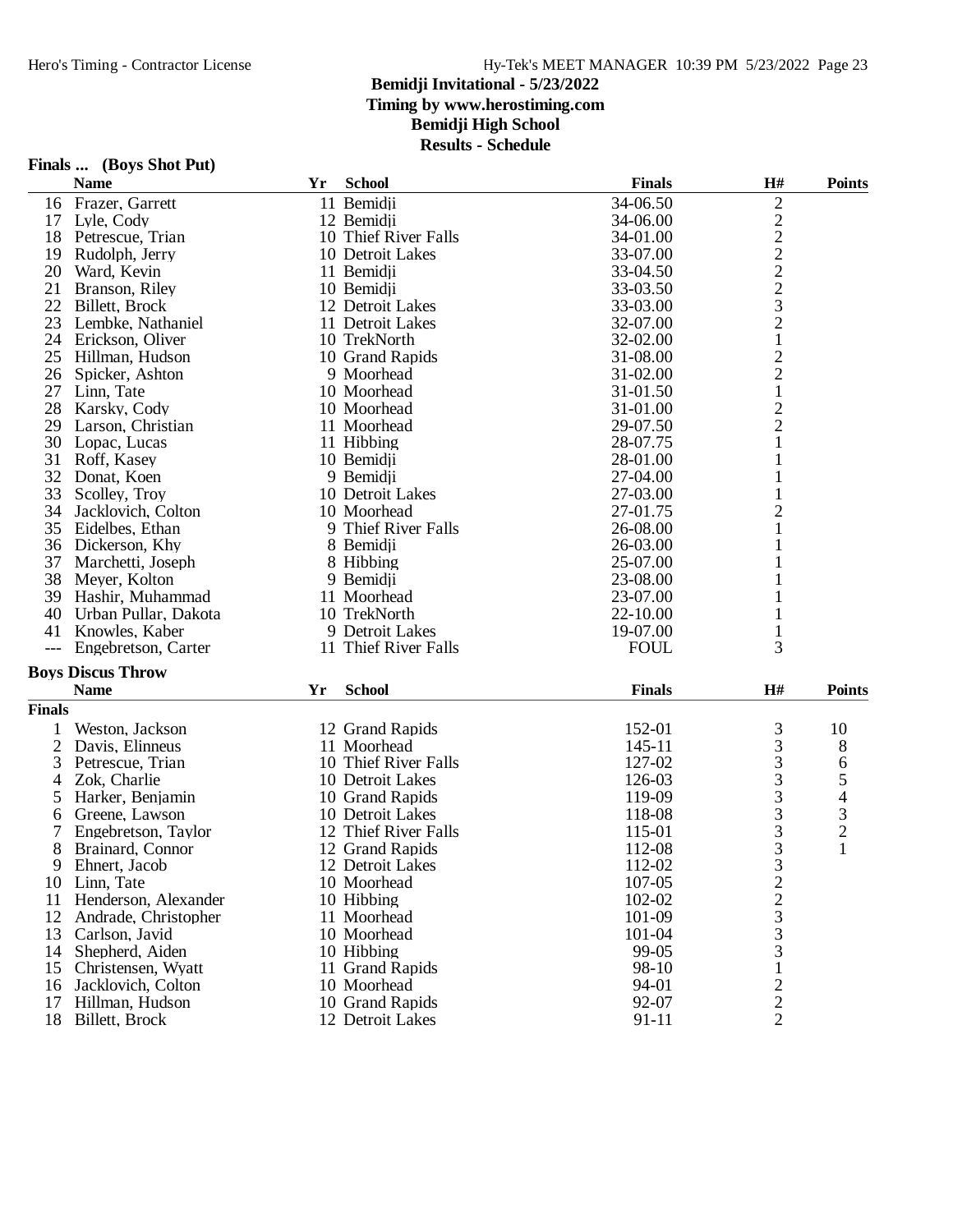### **Bemidji Invitational - 5/23/2022 Timing by www.herostiming.com Bemidji High School Results - Schedule**

|               | Finals  (Boys Shot Put)  |    |                      |               |                |                |
|---------------|--------------------------|----|----------------------|---------------|----------------|----------------|
|               | <b>Name</b>              | Yr | <b>School</b>        | <b>Finals</b> | H#             | <b>Points</b>  |
| 16            | Frazer, Garrett          |    | 11 Bemidii           | 34-06.50      | $\overline{2}$ |                |
| 17            | Lyle, Cody               |    | 12 Bemidji           | 34-06.00      | $\overline{c}$ |                |
| 18            | Petrescue, Trian         |    | 10 Thief River Falls | 34-01.00      | $\overline{c}$ |                |
| 19            | Rudolph, Jerry           |    | 10 Detroit Lakes     | 33-07.00      | $\overline{c}$ |                |
| 20            | Ward, Kevin              |    | 11 Bemidji           | 33-04.50      | $\overline{c}$ |                |
| 21            | Branson, Riley           |    | 10 Bemidji           | 33-03.50      | $\overline{c}$ |                |
| 22            | Billett, Brock           |    | 12 Detroit Lakes     | 33-03.00      | 3              |                |
| 23            | Lembke, Nathaniel        |    | 11 Detroit Lakes     | 32-07.00      | $\overline{c}$ |                |
| 24            | Erickson, Oliver         |    | 10 TrekNorth         | 32-02.00      | $\mathbf{1}$   |                |
| 25            | Hillman, Hudson          |    | 10 Grand Rapids      | 31-08.00      | $\overline{c}$ |                |
| 26            | Spicker, Ashton          |    | 9 Moorhead           | 31-02.00      | $\overline{c}$ |                |
| 27            | Linn, Tate               |    | 10 Moorhead          | 31-01.50      | $\mathbf{1}$   |                |
| 28            | Karsky, Cody             |    | 10 Moorhead          | 31-01.00      | $\overline{c}$ |                |
| 29            | Larson, Christian        |    | 11 Moorhead          | 29-07.50      | $\overline{c}$ |                |
| 30            | Lopac, Lucas             |    | 11 Hibbing           | 28-07.75      | $\mathbf{1}$   |                |
| 31            | Roff, Kasey              |    | 10 Bemidji           | 28-01.00      | $\mathbf{1}$   |                |
| 32            | Donat, Koen              |    | 9 Bemidji            | 27-04.00      | $\mathbf{1}$   |                |
| 33            | Scolley, Troy            |    | 10 Detroit Lakes     | 27-03.00      | 1              |                |
| 34            | Jacklovich, Colton       |    | 10 Moorhead          | 27-01.75      | $\overline{c}$ |                |
| 35            | Eidelbes, Ethan          |    | 9 Thief River Falls  | 26-08.00      | 1              |                |
| 36            | Dickerson, Khy           |    | 8 Bemidji            | 26-03.00      | $\mathbf{1}$   |                |
| 37            | Marchetti, Joseph        |    | 8 Hibbing            | 25-07.00      | 1              |                |
| 38            | Meyer, Kolton            |    | 9 Bemidji            | 23-08.00      |                |                |
| 39            | Hashir, Muhammad         |    | 11 Moorhead          | 23-07.00      |                |                |
| 40            | Urban Pullar, Dakota     |    | 10 TrekNorth         | 22-10.00      |                |                |
| 41            | Knowles, Kaber           |    | 9 Detroit Lakes      | 19-07.00      | 1              |                |
|               | Engebretson, Carter      |    | 11 Thief River Falls | <b>FOUL</b>   | 3              |                |
|               | <b>Boys Discus Throw</b> |    |                      |               |                |                |
|               | <b>Name</b>              | Yr | <b>School</b>        | <b>Finals</b> | H#             | <b>Points</b>  |
| <b>Finals</b> |                          |    |                      |               |                |                |
|               | Weston, Jackson          |    | 12 Grand Rapids      | 152-01        | 3              | 10             |
| 2             | Davis, Elinneus          |    | 11 Moorhead          | 145-11        | 3              | 8              |
| 3             | Petrescue, Trian         |    | 10 Thief River Falls | 127-02        | 3              | 6              |
| 4             | Zok, Charlie             |    | 10 Detroit Lakes     | 126-03        | 3              | 5              |
| 5             | Harker, Benjamin         |    | 10 Grand Rapids      | 119-09        | 3              | 4              |
| 6             | Greene, Lawson           |    | 10 Detroit Lakes     | 118-08        | 3              | 3              |
| 7             | Engebretson, Taylor      |    | 12 Thief River Falls | 115-01        | 3              | $\overline{c}$ |
|               | 8 Brainard, Connor       |    | 12 Grand Rapids      | 112-08        | 3              | 1              |
| 9             | Ehnert, Jacob            |    | 12 Detroit Lakes     | 112-02        | 3              |                |
| 10            | Linn, Tate               |    | 10 Moorhead          | 107-05        | $\overline{c}$ |                |
| 11            | Henderson, Alexander     |    | 10 Hibbing           | 102-02        | $\overline{c}$ |                |
| 12            | Andrade, Christopher     |    | 11 Moorhead          | 101-09        | 3              |                |
| 13            | Carlson, Javid           |    | 10 Moorhead          | 101-04        | 3              |                |
|               | 14 Shepherd, Aiden       |    | 10 Hibbing           | 99-05         | 3              |                |
| 15            | Christensen, Wyatt       |    | 11 Grand Rapids      | 98-10         |                |                |
| 16            | Jacklovich, Colton       |    | 10 Moorhead          | 94-01         | 2              |                |
| 17            | Hillman, Hudson          |    | 10 Grand Rapids      | 92-07         | 2              |                |
|               | 18 Billett, Brock        |    | 12 Detroit Lakes     | 91-11         | 2              |                |